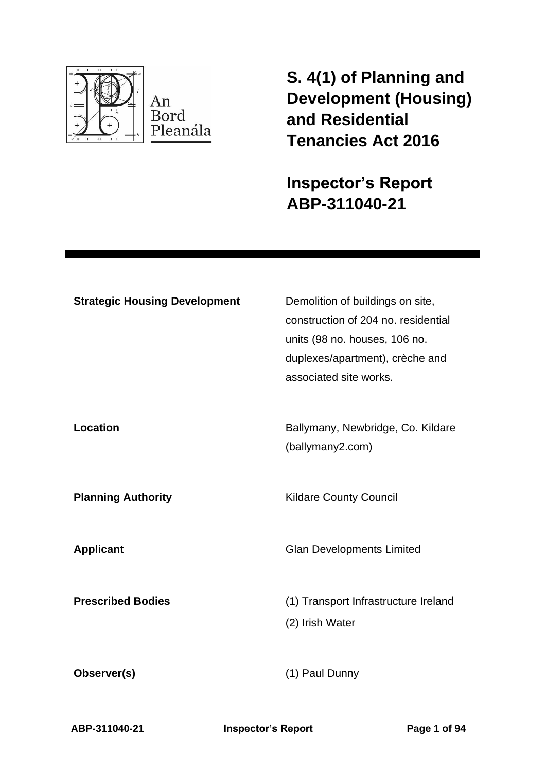

**S. 4(1) of Planning and Development (Housing) and Residential Tenancies Act 2016** 

**Inspector's Report ABP-311040-21**

| <b>Strategic Housing Development</b> | Demolition of buildings on site,<br>construction of 204 no. residential<br>units (98 no. houses, 106 no.<br>duplexes/apartment), crèche and<br>associated site works. |
|--------------------------------------|-----------------------------------------------------------------------------------------------------------------------------------------------------------------------|
| Location                             | Ballymany, Newbridge, Co. Kildare<br>(ballymany2.com)                                                                                                                 |
| <b>Planning Authority</b>            | <b>Kildare County Council</b>                                                                                                                                         |
| <b>Applicant</b>                     | <b>Glan Developments Limited</b>                                                                                                                                      |
| <b>Prescribed Bodies</b>             | (1) Transport Infrastructure Ireland<br>(2) Irish Water                                                                                                               |
| Observer(s)                          | (1) Paul Dunny                                                                                                                                                        |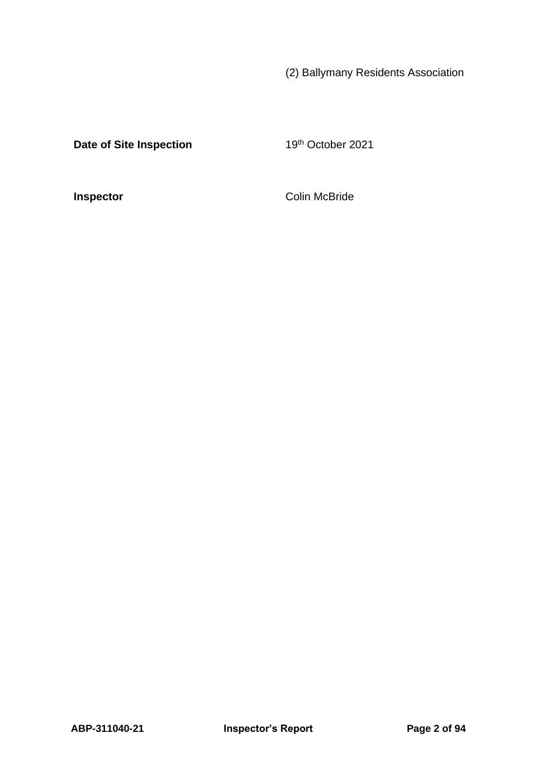(2) Ballymany Residents Association

**Date of Site Inspection** 19th October 2021

**Inspector** Colin McBride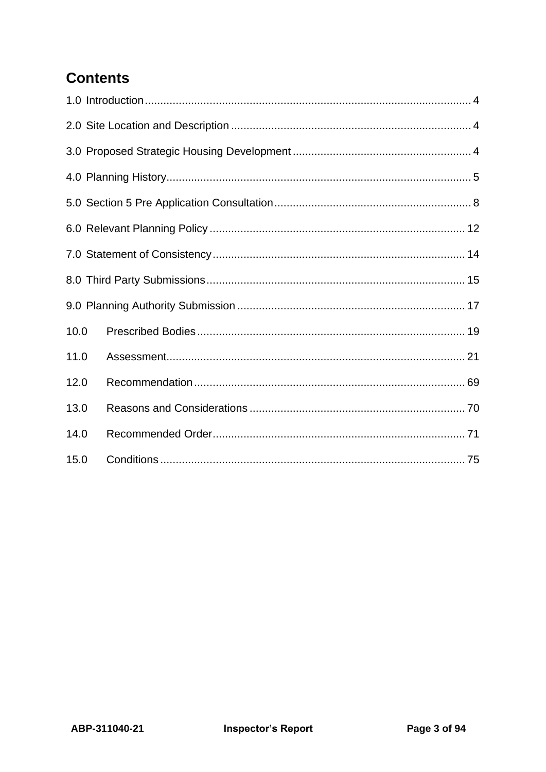# **Contents**

| 10.0 |  |
|------|--|
| 11.0 |  |
| 12.0 |  |
| 13.0 |  |
| 14.0 |  |
| 15.0 |  |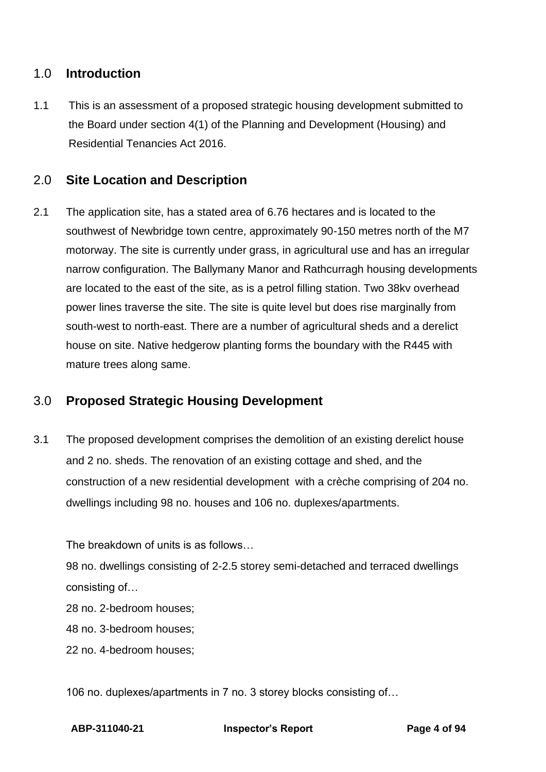## <span id="page-3-0"></span>1.0 **Introduction**

1.1 This is an assessment of a proposed strategic housing development submitted to the Board under section 4(1) of the Planning and Development (Housing) and Residential Tenancies Act 2016.

## <span id="page-3-1"></span>2.0 **Site Location and Description**

2.1 The application site, has a stated area of 6.76 hectares and is located to the southwest of Newbridge town centre, approximately 90-150 metres north of the M7 motorway. The site is currently under grass, in agricultural use and has an irregular narrow configuration. The Ballymany Manor and Rathcurragh housing developments are located to the east of the site, as is a petrol filling station. Two 38kv overhead power lines traverse the site. The site is quite level but does rise marginally from south-west to north-east. There are a number of agricultural sheds and a derelict house on site. Native hedgerow planting forms the boundary with the R445 with mature trees along same.

## <span id="page-3-2"></span>3.0 **Proposed Strategic Housing Development**

3.1 The proposed development comprises the demolition of an existing derelict house and 2 no. sheds. The renovation of an existing cottage and shed, and the construction of a new residential development with a crèche comprising of 204 no. dwellings including 98 no. houses and 106 no. duplexes/apartments.

The breakdown of units is as follows…

98 no. dwellings consisting of 2-2.5 storey semi-detached and terraced dwellings consisting of…

28 no. 2-bedroom houses;

48 no. 3-bedroom houses;

22 no. 4-bedroom houses;

106 no. duplexes/apartments in 7 no. 3 storey blocks consisting of…

**ABP-311040-21 Inspector's Report Page 4 of 94**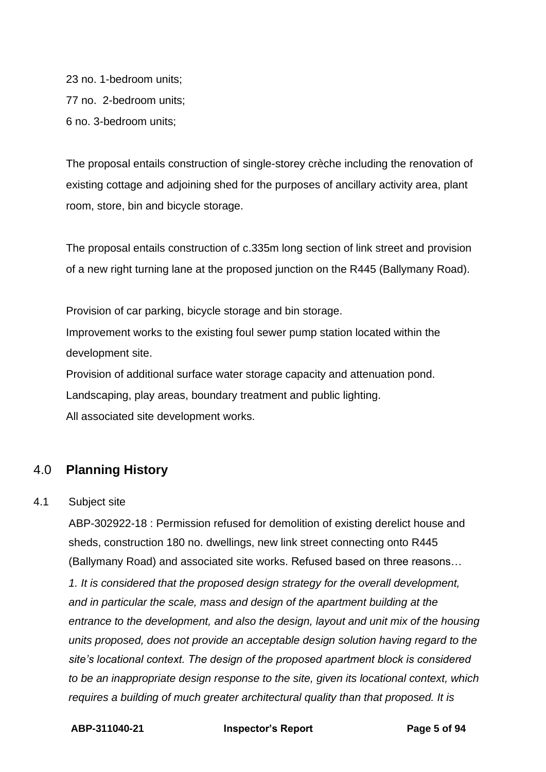23 no. 1-bedroom units; 77 no. 2-bedroom units; 6 no. 3-bedroom units;

The proposal entails construction of single-storey crèche including the renovation of existing cottage and adjoining shed for the purposes of ancillary activity area, plant room, store, bin and bicycle storage.

The proposal entails construction of c.335m long section of link street and provision of a new right turning lane at the proposed junction on the R445 (Ballymany Road).

Provision of car parking, bicycle storage and bin storage. Improvement works to the existing foul sewer pump station located within the development site.

Provision of additional surface water storage capacity and attenuation pond. Landscaping, play areas, boundary treatment and public lighting. All associated site development works.

## <span id="page-4-0"></span>4.0 **Planning History**

#### 4.1 Subject site

ABP-302922-18 : Permission refused for demolition of existing derelict house and sheds, construction 180 no. dwellings, new link street connecting onto R445 (Ballymany Road) and associated site works. Refused based on three reasons…

*1. It is considered that the proposed design strategy for the overall development, and in particular the scale, mass and design of the apartment building at the entrance to the development, and also the design, layout and unit mix of the housing units proposed, does not provide an acceptable design solution having regard to the site's locational context. The design of the proposed apartment block is considered to be an inappropriate design response to the site, given its locational context, which requires a building of much greater architectural quality than that proposed. It is*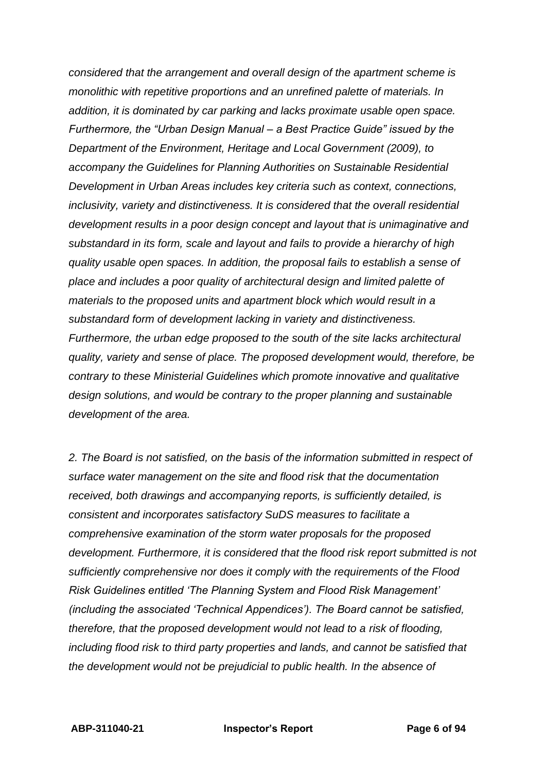*considered that the arrangement and overall design of the apartment scheme is monolithic with repetitive proportions and an unrefined palette of materials. In addition, it is dominated by car parking and lacks proximate usable open space. Furthermore, the "Urban Design Manual – a Best Practice Guide" issued by the Department of the Environment, Heritage and Local Government (2009), to accompany the Guidelines for Planning Authorities on Sustainable Residential Development in Urban Areas includes key criteria such as context, connections, inclusivity, variety and distinctiveness. It is considered that the overall residential development results in a poor design concept and layout that is unimaginative and substandard in its form, scale and layout and fails to provide a hierarchy of high quality usable open spaces. In addition, the proposal fails to establish a sense of place and includes a poor quality of architectural design and limited palette of materials to the proposed units and apartment block which would result in a substandard form of development lacking in variety and distinctiveness. Furthermore, the urban edge proposed to the south of the site lacks architectural quality, variety and sense of place. The proposed development would, therefore, be contrary to these Ministerial Guidelines which promote innovative and qualitative design solutions, and would be contrary to the proper planning and sustainable development of the area.*

*2. The Board is not satisfied, on the basis of the information submitted in respect of surface water management on the site and flood risk that the documentation received, both drawings and accompanying reports, is sufficiently detailed, is consistent and incorporates satisfactory SuDS measures to facilitate a comprehensive examination of the storm water proposals for the proposed development. Furthermore, it is considered that the flood risk report submitted is not sufficiently comprehensive nor does it comply with the requirements of the Flood Risk Guidelines entitled 'The Planning System and Flood Risk Management' (including the associated 'Technical Appendices'). The Board cannot be satisfied, therefore, that the proposed development would not lead to a risk of flooding, including flood risk to third party properties and lands, and cannot be satisfied that the development would not be prejudicial to public health. In the absence of*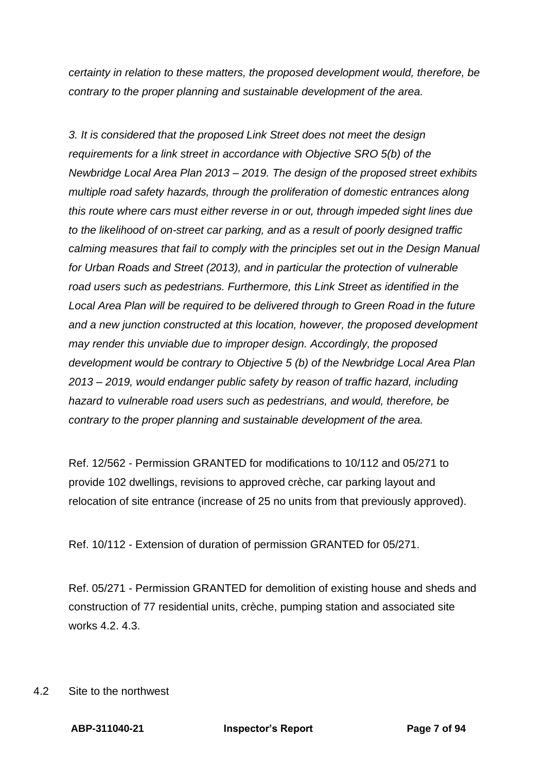*certainty in relation to these matters, the proposed development would, therefore, be contrary to the proper planning and sustainable development of the area.*

*3. It is considered that the proposed Link Street does not meet the design requirements for a link street in accordance with Objective SRO 5(b) of the Newbridge Local Area Plan 2013 – 2019. The design of the proposed street exhibits multiple road safety hazards, through the proliferation of domestic entrances along this route where cars must either reverse in or out, through impeded sight lines due to the likelihood of on-street car parking, and as a result of poorly designed traffic calming measures that fail to comply with the principles set out in the Design Manual for Urban Roads and Street (2013), and in particular the protection of vulnerable road users such as pedestrians. Furthermore, this Link Street as identified in the Local Area Plan will be required to be delivered through to Green Road in the future and a new junction constructed at this location, however, the proposed development may render this unviable due to improper design. Accordingly, the proposed development would be contrary to Objective 5 (b) of the Newbridge Local Area Plan 2013 – 2019, would endanger public safety by reason of traffic hazard, including hazard to vulnerable road users such as pedestrians, and would, therefore, be contrary to the proper planning and sustainable development of the area.*

Ref. 12/562 - Permission GRANTED for modifications to 10/112 and 05/271 to provide 102 dwellings, revisions to approved crèche, car parking layout and relocation of site entrance (increase of 25 no units from that previously approved).

Ref. 10/112 - Extension of duration of permission GRANTED for 05/271.

Ref. 05/271 - Permission GRANTED for demolition of existing house and sheds and construction of 77 residential units, crèche, pumping station and associated site works  $4.2 \cdot 4.3$ 

4.2 Site to the northwest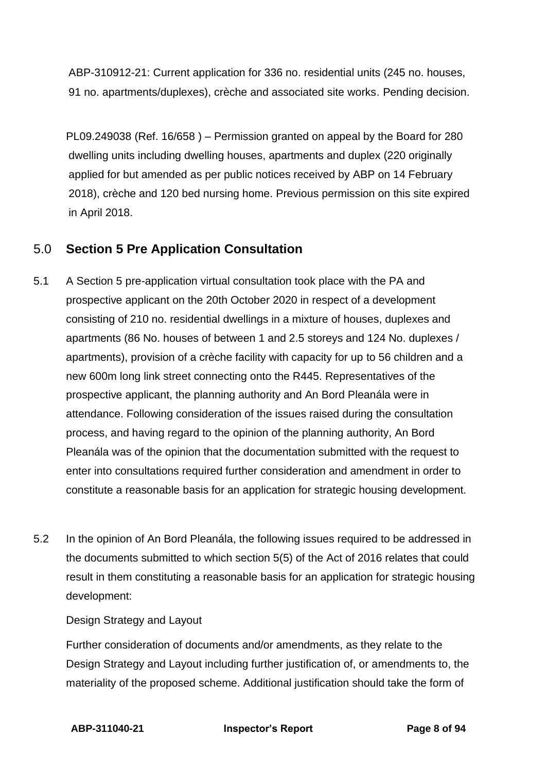ABP-310912-21: Current application for 336 no. residential units (245 no. houses, 91 no. apartments/duplexes), crèche and associated site works. Pending decision.

PL09.249038 (Ref. 16/658 ) – Permission granted on appeal by the Board for 280 dwelling units including dwelling houses, apartments and duplex (220 originally applied for but amended as per public notices received by ABP on 14 February 2018), crèche and 120 bed nursing home. Previous permission on this site expired in April 2018.

## <span id="page-7-0"></span>5.0 **Section 5 Pre Application Consultation**

- 5.1 A Section 5 pre-application virtual consultation took place with the PA and prospective applicant on the 20th October 2020 in respect of a development consisting of 210 no. residential dwellings in a mixture of houses, duplexes and apartments (86 No. houses of between 1 and 2.5 storeys and 124 No. duplexes / apartments), provision of a crèche facility with capacity for up to 56 children and a new 600m long link street connecting onto the R445. Representatives of the prospective applicant, the planning authority and An Bord Pleanála were in attendance. Following consideration of the issues raised during the consultation process, and having regard to the opinion of the planning authority, An Bord Pleanála was of the opinion that the documentation submitted with the request to enter into consultations required further consideration and amendment in order to constitute a reasonable basis for an application for strategic housing development.
- 5.2 In the opinion of An Bord Pleanála, the following issues required to be addressed in the documents submitted to which section 5(5) of the Act of 2016 relates that could result in them constituting a reasonable basis for an application for strategic housing development:

Design Strategy and Layout

Further consideration of documents and/or amendments, as they relate to the Design Strategy and Layout including further justification of, or amendments to, the materiality of the proposed scheme. Additional justification should take the form of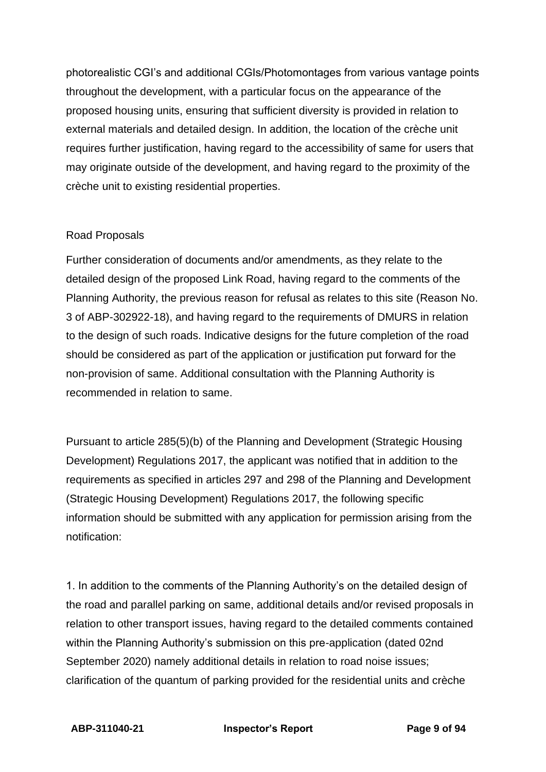photorealistic CGI's and additional CGIs/Photomontages from various vantage points throughout the development, with a particular focus on the appearance of the proposed housing units, ensuring that sufficient diversity is provided in relation to external materials and detailed design. In addition, the location of the crèche unit requires further justification, having regard to the accessibility of same for users that may originate outside of the development, and having regard to the proximity of the crèche unit to existing residential properties.

### Road Proposals

Further consideration of documents and/or amendments, as they relate to the detailed design of the proposed Link Road, having regard to the comments of the Planning Authority, the previous reason for refusal as relates to this site (Reason No. 3 of ABP-302922-18), and having regard to the requirements of DMURS in relation to the design of such roads. Indicative designs for the future completion of the road should be considered as part of the application or justification put forward for the non-provision of same. Additional consultation with the Planning Authority is recommended in relation to same.

Pursuant to article 285(5)(b) of the Planning and Development (Strategic Housing Development) Regulations 2017, the applicant was notified that in addition to the requirements as specified in articles 297 and 298 of the Planning and Development (Strategic Housing Development) Regulations 2017, the following specific information should be submitted with any application for permission arising from the notification:

1. In addition to the comments of the Planning Authority's on the detailed design of the road and parallel parking on same, additional details and/or revised proposals in relation to other transport issues, having regard to the detailed comments contained within the Planning Authority's submission on this pre-application (dated 02nd September 2020) namely additional details in relation to road noise issues; clarification of the quantum of parking provided for the residential units and crèche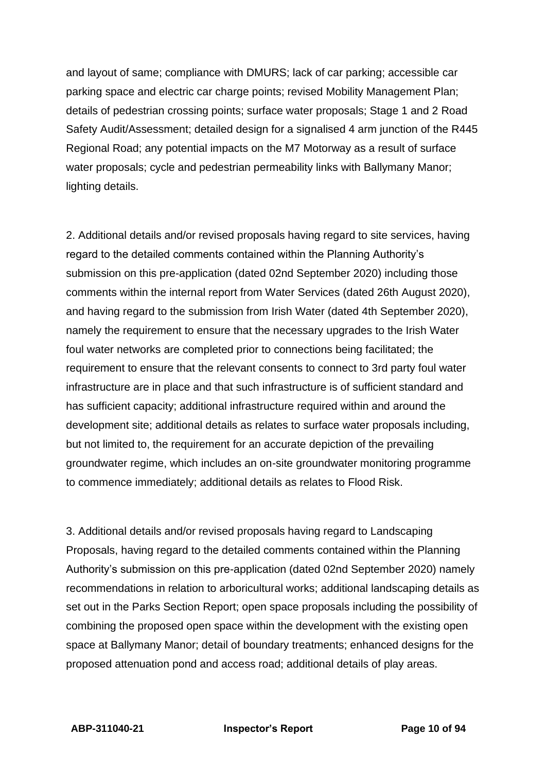and layout of same; compliance with DMURS; lack of car parking; accessible car parking space and electric car charge points; revised Mobility Management Plan; details of pedestrian crossing points; surface water proposals; Stage 1 and 2 Road Safety Audit/Assessment; detailed design for a signalised 4 arm junction of the R445 Regional Road; any potential impacts on the M7 Motorway as a result of surface water proposals; cycle and pedestrian permeability links with Ballymany Manor; lighting details.

2. Additional details and/or revised proposals having regard to site services, having regard to the detailed comments contained within the Planning Authority's submission on this pre-application (dated 02nd September 2020) including those comments within the internal report from Water Services (dated 26th August 2020), and having regard to the submission from Irish Water (dated 4th September 2020), namely the requirement to ensure that the necessary upgrades to the Irish Water foul water networks are completed prior to connections being facilitated; the requirement to ensure that the relevant consents to connect to 3rd party foul water infrastructure are in place and that such infrastructure is of sufficient standard and has sufficient capacity; additional infrastructure required within and around the development site; additional details as relates to surface water proposals including, but not limited to, the requirement for an accurate depiction of the prevailing groundwater regime, which includes an on-site groundwater monitoring programme to commence immediately; additional details as relates to Flood Risk.

3. Additional details and/or revised proposals having regard to Landscaping Proposals, having regard to the detailed comments contained within the Planning Authority's submission on this pre-application (dated 02nd September 2020) namely recommendations in relation to arboricultural works; additional landscaping details as set out in the Parks Section Report; open space proposals including the possibility of combining the proposed open space within the development with the existing open space at Ballymany Manor; detail of boundary treatments; enhanced designs for the proposed attenuation pond and access road; additional details of play areas.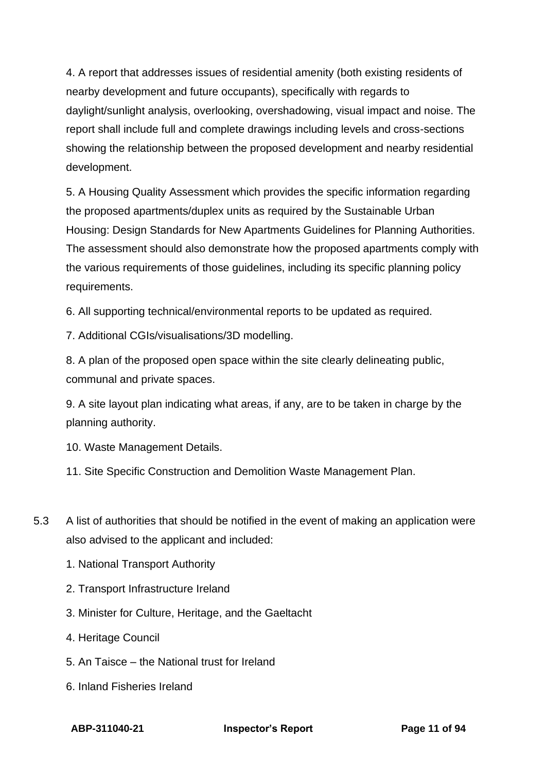4. A report that addresses issues of residential amenity (both existing residents of nearby development and future occupants), specifically with regards to daylight/sunlight analysis, overlooking, overshadowing, visual impact and noise. The report shall include full and complete drawings including levels and cross-sections showing the relationship between the proposed development and nearby residential development.

5. A Housing Quality Assessment which provides the specific information regarding the proposed apartments/duplex units as required by the Sustainable Urban Housing: Design Standards for New Apartments Guidelines for Planning Authorities. The assessment should also demonstrate how the proposed apartments comply with the various requirements of those guidelines, including its specific planning policy requirements.

6. All supporting technical/environmental reports to be updated as required.

7. Additional CGIs/visualisations/3D modelling.

8. A plan of the proposed open space within the site clearly delineating public, communal and private spaces.

9. A site layout plan indicating what areas, if any, are to be taken in charge by the planning authority.

10. Waste Management Details.

11. Site Specific Construction and Demolition Waste Management Plan.

- 5.3 A list of authorities that should be notified in the event of making an application were also advised to the applicant and included:
	- 1. National Transport Authority
	- 2. Transport Infrastructure Ireland
	- 3. Minister for Culture, Heritage, and the Gaeltacht
	- 4. Heritage Council
	- 5. An Taisce the National trust for Ireland
	- 6. Inland Fisheries Ireland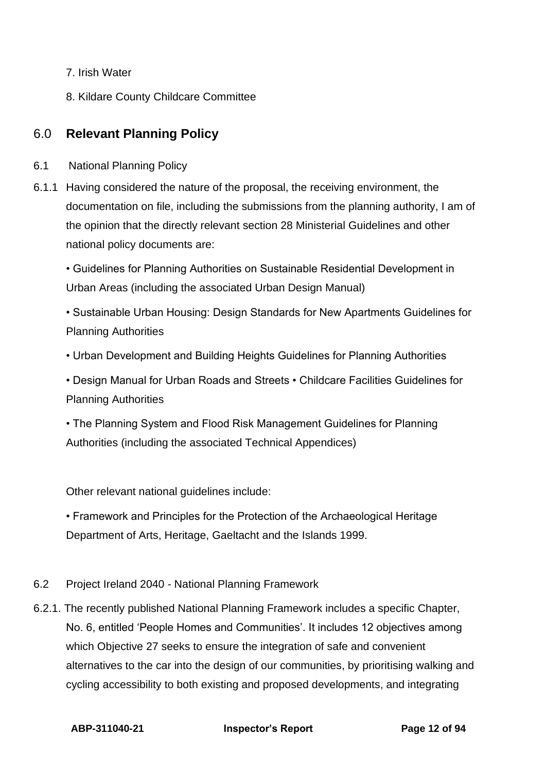- 7. Irish Water
- <span id="page-11-0"></span>8. Kildare County Childcare Committee

## 6.0 **Relevant Planning Policy**

- 6.1 National Planning Policy
- 6.1.1 Having considered the nature of the proposal, the receiving environment, the documentation on file, including the submissions from the planning authority, I am of the opinion that the directly relevant section 28 Ministerial Guidelines and other national policy documents are:

• Guidelines for Planning Authorities on Sustainable Residential Development in Urban Areas (including the associated Urban Design Manual)

• Sustainable Urban Housing: Design Standards for New Apartments Guidelines for Planning Authorities

• Urban Development and Building Heights Guidelines for Planning Authorities

• Design Manual for Urban Roads and Streets • Childcare Facilities Guidelines for Planning Authorities

• The Planning System and Flood Risk Management Guidelines for Planning Authorities (including the associated Technical Appendices)

Other relevant national guidelines include:

• Framework and Principles for the Protection of the Archaeological Heritage Department of Arts, Heritage, Gaeltacht and the Islands 1999.

- 6.2 Project Ireland 2040 National Planning Framework
- 6.2.1. The recently published National Planning Framework includes a specific Chapter, No. 6, entitled 'People Homes and Communities'. It includes 12 objectives among which Objective 27 seeks to ensure the integration of safe and convenient alternatives to the car into the design of our communities, by prioritising walking and cycling accessibility to both existing and proposed developments, and integrating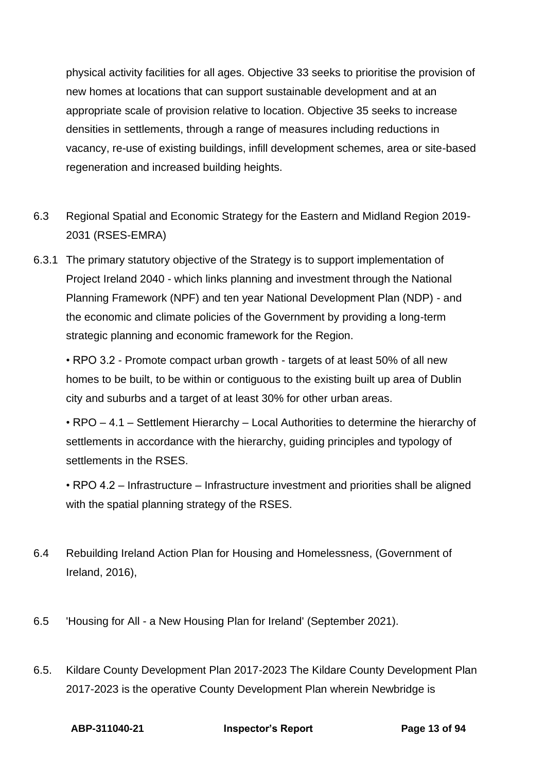physical activity facilities for all ages. Objective 33 seeks to prioritise the provision of new homes at locations that can support sustainable development and at an appropriate scale of provision relative to location. Objective 35 seeks to increase densities in settlements, through a range of measures including reductions in vacancy, re-use of existing buildings, infill development schemes, area or site-based regeneration and increased building heights.

- 6.3 Regional Spatial and Economic Strategy for the Eastern and Midland Region 2019- 2031 (RSES-EMRA)
- 6.3.1 The primary statutory objective of the Strategy is to support implementation of Project Ireland 2040 - which links planning and investment through the National Planning Framework (NPF) and ten year National Development Plan (NDP) - and the economic and climate policies of the Government by providing a long-term strategic planning and economic framework for the Region.

• RPO 3.2 - Promote compact urban growth - targets of at least 50% of all new homes to be built, to be within or contiguous to the existing built up area of Dublin city and suburbs and a target of at least 30% for other urban areas.

• RPO – 4.1 – Settlement Hierarchy – Local Authorities to determine the hierarchy of settlements in accordance with the hierarchy, guiding principles and typology of settlements in the RSES.

• RPO 4.2 – Infrastructure – Infrastructure investment and priorities shall be aligned with the spatial planning strategy of the RSES.

- 6.4 Rebuilding Ireland Action Plan for Housing and Homelessness, (Government of Ireland, 2016),
- 6.5 'Housing for All a New Housing Plan for Ireland' (September 2021).
- 6.5. Kildare County Development Plan 2017-2023 The Kildare County Development Plan 2017-2023 is the operative County Development Plan wherein Newbridge is

**ABP-311040-21 Inspector's Report Page 13 of 94**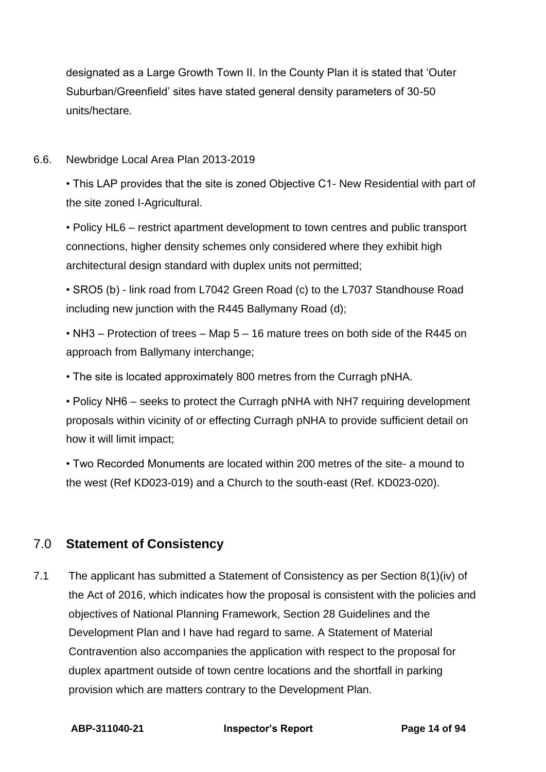designated as a Large Growth Town II. In the County Plan it is stated that 'Outer Suburban/Greenfield' sites have stated general density parameters of 30-50 units/hectare.

#### 6.6. Newbridge Local Area Plan 2013-2019

• This LAP provides that the site is zoned Objective C1- New Residential with part of the site zoned I-Agricultural.

• Policy HL6 – restrict apartment development to town centres and public transport connections, higher density schemes only considered where they exhibit high architectural design standard with duplex units not permitted;

• SRO5 (b) - link road from L7042 Green Road (c) to the L7037 Standhouse Road including new junction with the R445 Ballymany Road (d);

• NH3 – Protection of trees – Map 5 – 16 mature trees on both side of the R445 on approach from Ballymany interchange;

• The site is located approximately 800 metres from the Curragh pNHA.

• Policy NH6 – seeks to protect the Curragh pNHA with NH7 requiring development proposals within vicinity of or effecting Curragh pNHA to provide sufficient detail on how it will limit impact;

• Two Recorded Monuments are located within 200 metres of the site- a mound to the west (Ref KD023-019) and a Church to the south-east (Ref. KD023-020).

## <span id="page-13-0"></span>7.0 **Statement of Consistency**

7.1 The applicant has submitted a Statement of Consistency as per Section 8(1)(iv) of the Act of 2016, which indicates how the proposal is consistent with the policies and objectives of National Planning Framework, Section 28 Guidelines and the Development Plan and I have had regard to same. A Statement of Material Contravention also accompanies the application with respect to the proposal for duplex apartment outside of town centre locations and the shortfall in parking provision which are matters contrary to the Development Plan.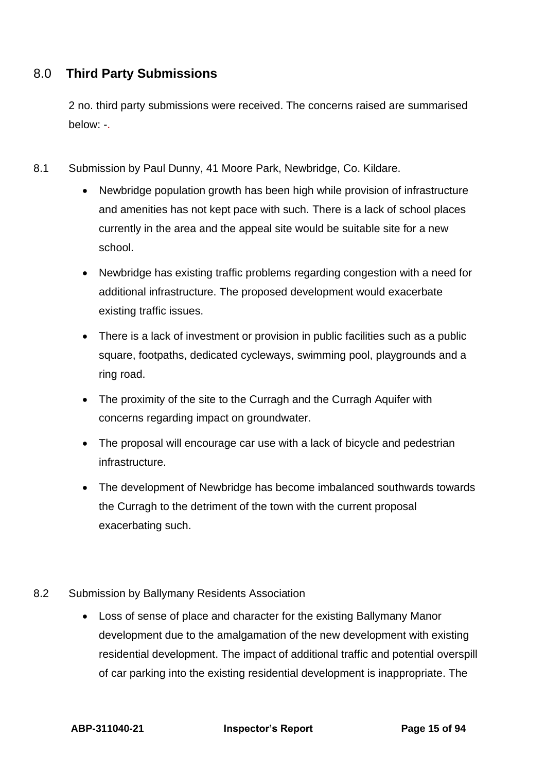## <span id="page-14-0"></span>8.0 **Third Party Submissions**

2 no. third party submissions were received. The concerns raised are summarised below: -.

- 8.1 Submission by Paul Dunny, 41 Moore Park, Newbridge, Co. Kildare.
	- Newbridge population growth has been high while provision of infrastructure and amenities has not kept pace with such. There is a lack of school places currently in the area and the appeal site would be suitable site for a new school.
	- Newbridge has existing traffic problems regarding congestion with a need for additional infrastructure. The proposed development would exacerbate existing traffic issues.
	- There is a lack of investment or provision in public facilities such as a public square, footpaths, dedicated cycleways, swimming pool, playgrounds and a ring road.
	- The proximity of the site to the Curragh and the Curragh Aquifer with concerns regarding impact on groundwater.
	- The proposal will encourage car use with a lack of bicycle and pedestrian infrastructure.
	- The development of Newbridge has become imbalanced southwards towards the Curragh to the detriment of the town with the current proposal exacerbating such.
- 8.2 Submission by Ballymany Residents Association
	- Loss of sense of place and character for the existing Ballymany Manor development due to the amalgamation of the new development with existing residential development. The impact of additional traffic and potential overspill of car parking into the existing residential development is inappropriate. The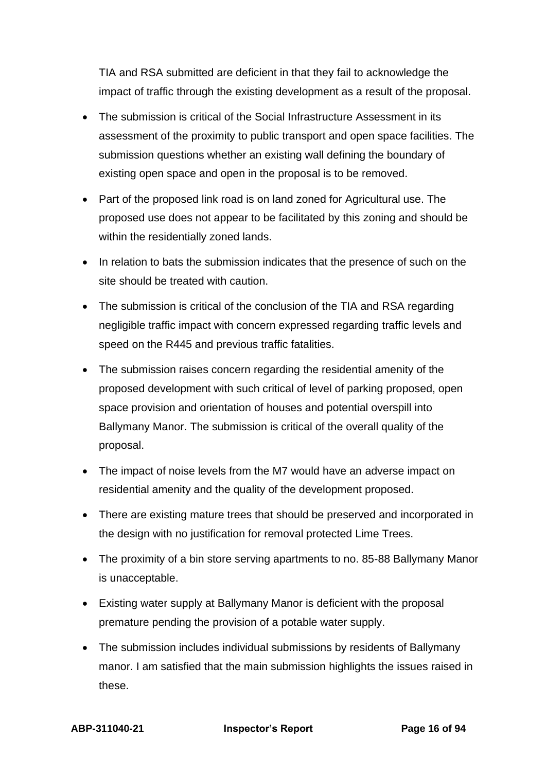TIA and RSA submitted are deficient in that they fail to acknowledge the impact of traffic through the existing development as a result of the proposal.

- The submission is critical of the Social Infrastructure Assessment in its assessment of the proximity to public transport and open space facilities. The submission questions whether an existing wall defining the boundary of existing open space and open in the proposal is to be removed.
- Part of the proposed link road is on land zoned for Agricultural use. The proposed use does not appear to be facilitated by this zoning and should be within the residentially zoned lands.
- In relation to bats the submission indicates that the presence of such on the site should be treated with caution.
- The submission is critical of the conclusion of the TIA and RSA regarding negligible traffic impact with concern expressed regarding traffic levels and speed on the R445 and previous traffic fatalities.
- The submission raises concern regarding the residential amenity of the proposed development with such critical of level of parking proposed, open space provision and orientation of houses and potential overspill into Ballymany Manor. The submission is critical of the overall quality of the proposal.
- The impact of noise levels from the M7 would have an adverse impact on residential amenity and the quality of the development proposed.
- There are existing mature trees that should be preserved and incorporated in the design with no justification for removal protected Lime Trees.
- The proximity of a bin store serving apartments to no. 85-88 Ballymany Manor is unacceptable.
- Existing water supply at Ballymany Manor is deficient with the proposal premature pending the provision of a potable water supply.
- The submission includes individual submissions by residents of Ballymany manor. I am satisfied that the main submission highlights the issues raised in these.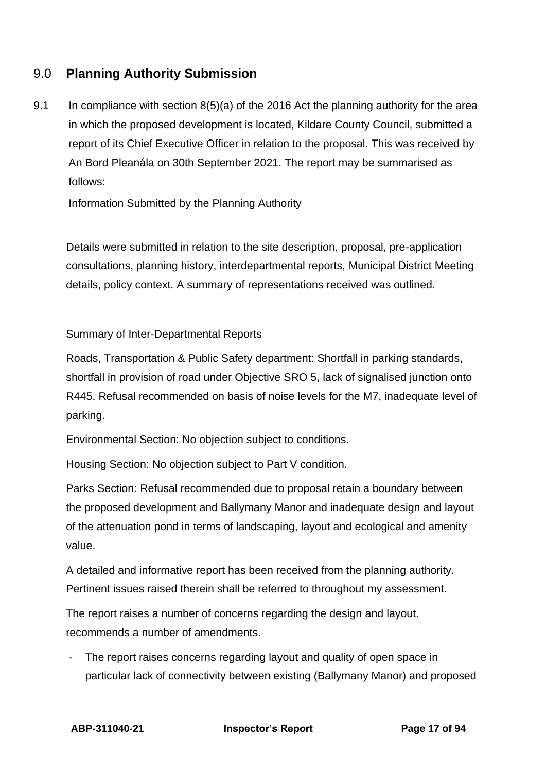## <span id="page-16-0"></span>9.0 **Planning Authority Submission**

9.1 In compliance with section 8(5)(a) of the 2016 Act the planning authority for the area in which the proposed development is located, Kildare County Council, submitted a report of its Chief Executive Officer in relation to the proposal. This was received by An Bord Pleanála on 30th September 2021. The report may be summarised as follows:

Information Submitted by the Planning Authority

Details were submitted in relation to the site description, proposal, pre-application consultations, planning history, interdepartmental reports, Municipal District Meeting details, policy context. A summary of representations received was outlined.

#### Summary of Inter-Departmental Reports

Roads, Transportation & Public Safety department: Shortfall in parking standards, shortfall in provision of road under Objective SRO 5, lack of signalised junction onto R445. Refusal recommended on basis of noise levels for the M7, inadequate level of parking.

Environmental Section: No objection subject to conditions.

Housing Section: No objection subject to Part V condition.

Parks Section: Refusal recommended due to proposal retain a boundary between the proposed development and Ballymany Manor and inadequate design and layout of the attenuation pond in terms of landscaping, layout and ecological and amenity value.

A detailed and informative report has been received from the planning authority. Pertinent issues raised therein shall be referred to throughout my assessment.

The report raises a number of concerns regarding the design and layout. recommends a number of amendments.

The report raises concerns regarding layout and quality of open space in particular lack of connectivity between existing (Ballymany Manor) and proposed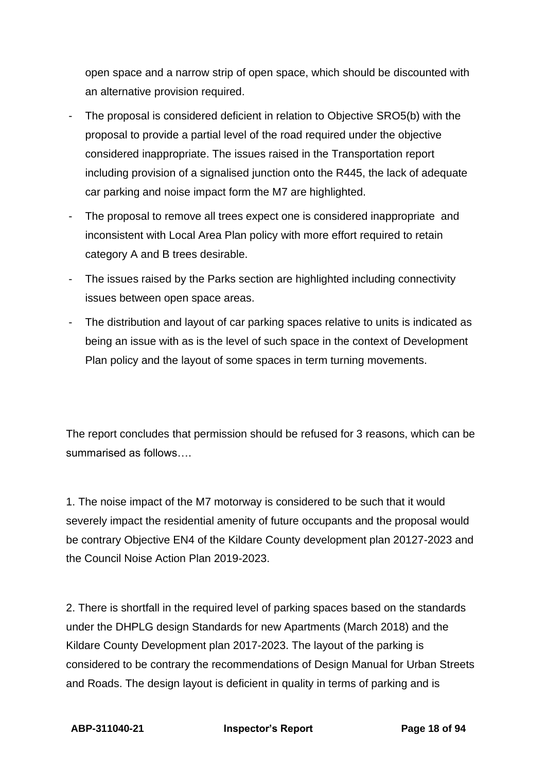open space and a narrow strip of open space, which should be discounted with an alternative provision required.

- The proposal is considered deficient in relation to Objective SRO5(b) with the proposal to provide a partial level of the road required under the objective considered inappropriate. The issues raised in the Transportation report including provision of a signalised junction onto the R445, the lack of adequate car parking and noise impact form the M7 are highlighted.
- The proposal to remove all trees expect one is considered inappropriate and inconsistent with Local Area Plan policy with more effort required to retain category A and B trees desirable.
- The issues raised by the Parks section are highlighted including connectivity issues between open space areas.
- The distribution and layout of car parking spaces relative to units is indicated as being an issue with as is the level of such space in the context of Development Plan policy and the layout of some spaces in term turning movements.

The report concludes that permission should be refused for 3 reasons, which can be summarised as follows….

1. The noise impact of the M7 motorway is considered to be such that it would severely impact the residential amenity of future occupants and the proposal would be contrary Objective EN4 of the Kildare County development plan 20127-2023 and the Council Noise Action Plan 2019-2023.

2. There is shortfall in the required level of parking spaces based on the standards under the DHPLG design Standards for new Apartments (March 2018) and the Kildare County Development plan 2017-2023. The layout of the parking is considered to be contrary the recommendations of Design Manual for Urban Streets and Roads. The design layout is deficient in quality in terms of parking and is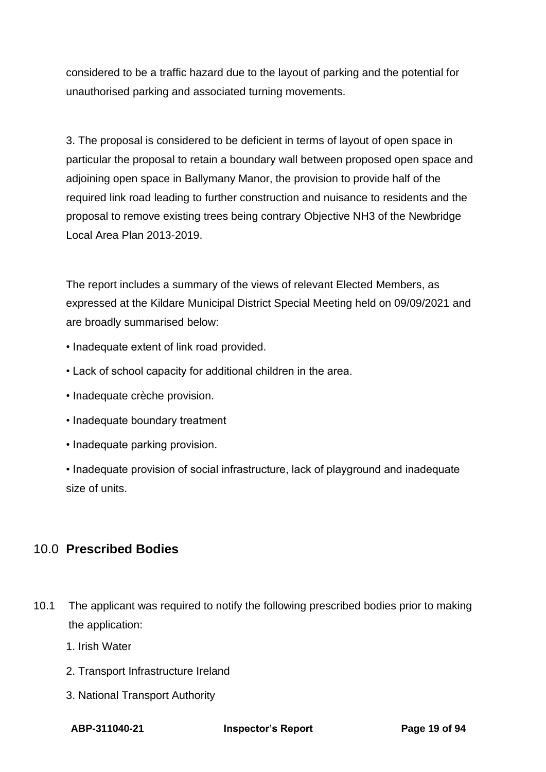considered to be a traffic hazard due to the layout of parking and the potential for unauthorised parking and associated turning movements.

3. The proposal is considered to be deficient in terms of layout of open space in particular the proposal to retain a boundary wall between proposed open space and adjoining open space in Ballymany Manor, the provision to provide half of the required link road leading to further construction and nuisance to residents and the proposal to remove existing trees being contrary Objective NH3 of the Newbridge Local Area Plan 2013-2019.

The report includes a summary of the views of relevant Elected Members, as expressed at the Kildare Municipal District Special Meeting held on 09/09/2021 and are broadly summarised below:

- Inadequate extent of link road provided.
- Lack of school capacity for additional children in the area.
- Inadequate crèche provision.
- Inadequate boundary treatment
- Inadequate parking provision.
- Inadequate provision of social infrastructure, lack of playground and inadequate size of units.

## <span id="page-18-0"></span>10.0 **Prescribed Bodies**

- 10.1 The applicant was required to notify the following prescribed bodies prior to making the application:
	- 1. Irish Water
	- 2. Transport Infrastructure Ireland
	- 3. National Transport Authority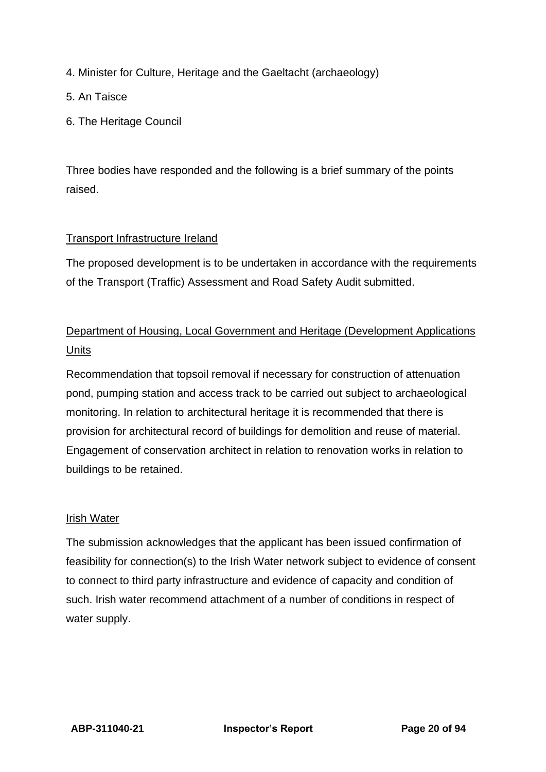4. Minister for Culture, Heritage and the Gaeltacht (archaeology)

5. An Taisce

6. The Heritage Council

Three bodies have responded and the following is a brief summary of the points raised.

#### Transport Infrastructure Ireland

The proposed development is to be undertaken in accordance with the requirements of the Transport (Traffic) Assessment and Road Safety Audit submitted.

## Department of Housing, Local Government and Heritage (Development Applications **Units**

Recommendation that topsoil removal if necessary for construction of attenuation pond, pumping station and access track to be carried out subject to archaeological monitoring. In relation to architectural heritage it is recommended that there is provision for architectural record of buildings for demolition and reuse of material. Engagement of conservation architect in relation to renovation works in relation to buildings to be retained.

#### Irish Water

The submission acknowledges that the applicant has been issued confirmation of feasibility for connection(s) to the Irish Water network subject to evidence of consent to connect to third party infrastructure and evidence of capacity and condition of such. Irish water recommend attachment of a number of conditions in respect of water supply.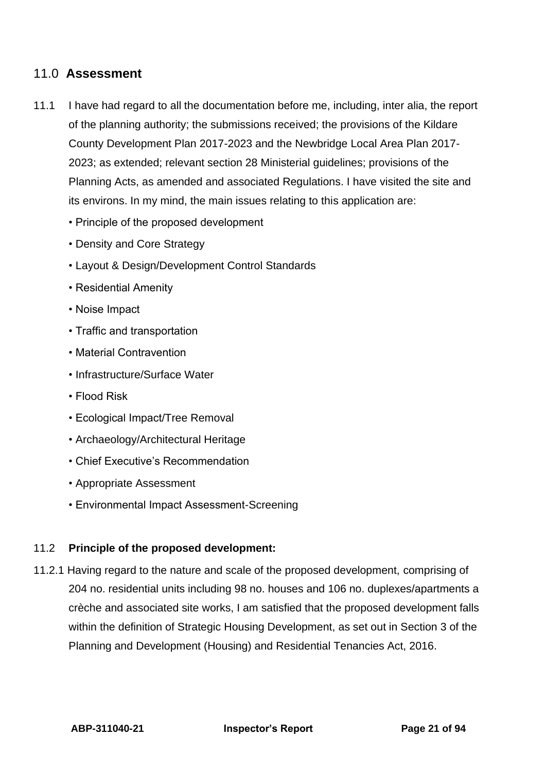## <span id="page-20-0"></span>11.0 **Assessment**

- 11.1 I have had regard to all the documentation before me, including, inter alia, the report of the planning authority; the submissions received; the provisions of the Kildare County Development Plan 2017-2023 and the Newbridge Local Area Plan 2017- 2023; as extended; relevant section 28 Ministerial guidelines; provisions of the Planning Acts, as amended and associated Regulations. I have visited the site and its environs. In my mind, the main issues relating to this application are:
	- Principle of the proposed development
	- Density and Core Strategy
	- Layout & Design/Development Control Standards
	- Residential Amenity
	- Noise Impact
	- Traffic and transportation
	- Material Contravention
	- Infrastructure/Surface Water
	- Flood Risk
	- Ecological Impact/Tree Removal
	- Archaeology/Architectural Heritage
	- Chief Executive's Recommendation
	- Appropriate Assessment
	- Environmental Impact Assessment-Screening

#### 11.2 **Principle of the proposed development:**

11.2.1 Having regard to the nature and scale of the proposed development, comprising of 204 no. residential units including 98 no. houses and 106 no. duplexes/apartments a crèche and associated site works, I am satisfied that the proposed development falls within the definition of Strategic Housing Development, as set out in Section 3 of the Planning and Development (Housing) and Residential Tenancies Act, 2016.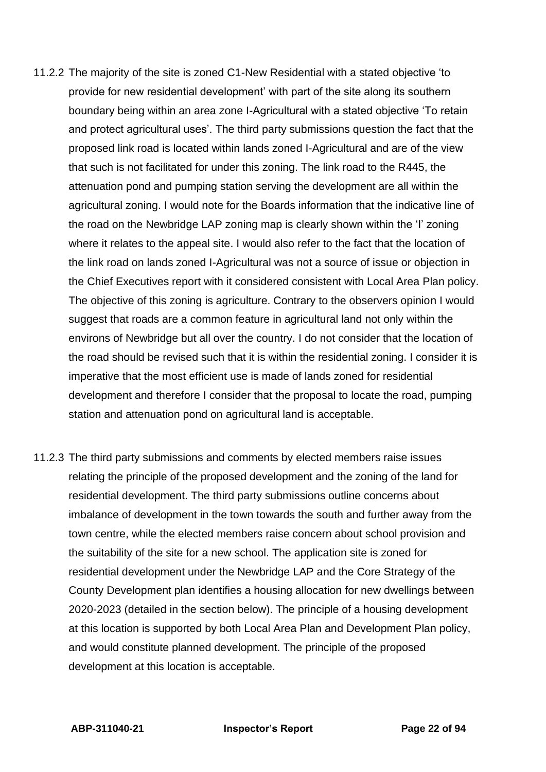- 11.2.2 The majority of the site is zoned C1-New Residential with a stated objective 'to provide for new residential development' with part of the site along its southern boundary being within an area zone I-Agricultural with a stated objective 'To retain and protect agricultural uses'. The third party submissions question the fact that the proposed link road is located within lands zoned I-Agricultural and are of the view that such is not facilitated for under this zoning. The link road to the R445, the attenuation pond and pumping station serving the development are all within the agricultural zoning. I would note for the Boards information that the indicative line of the road on the Newbridge LAP zoning map is clearly shown within the 'I' zoning where it relates to the appeal site. I would also refer to the fact that the location of the link road on lands zoned I-Agricultural was not a source of issue or objection in the Chief Executives report with it considered consistent with Local Area Plan policy. The objective of this zoning is agriculture. Contrary to the observers opinion I would suggest that roads are a common feature in agricultural land not only within the environs of Newbridge but all over the country. I do not consider that the location of the road should be revised such that it is within the residential zoning. I consider it is imperative that the most efficient use is made of lands zoned for residential development and therefore I consider that the proposal to locate the road, pumping station and attenuation pond on agricultural land is acceptable.
- 11.2.3 The third party submissions and comments by elected members raise issues relating the principle of the proposed development and the zoning of the land for residential development. The third party submissions outline concerns about imbalance of development in the town towards the south and further away from the town centre, while the elected members raise concern about school provision and the suitability of the site for a new school. The application site is zoned for residential development under the Newbridge LAP and the Core Strategy of the County Development plan identifies a housing allocation for new dwellings between 2020-2023 (detailed in the section below). The principle of a housing development at this location is supported by both Local Area Plan and Development Plan policy, and would constitute planned development. The principle of the proposed development at this location is acceptable.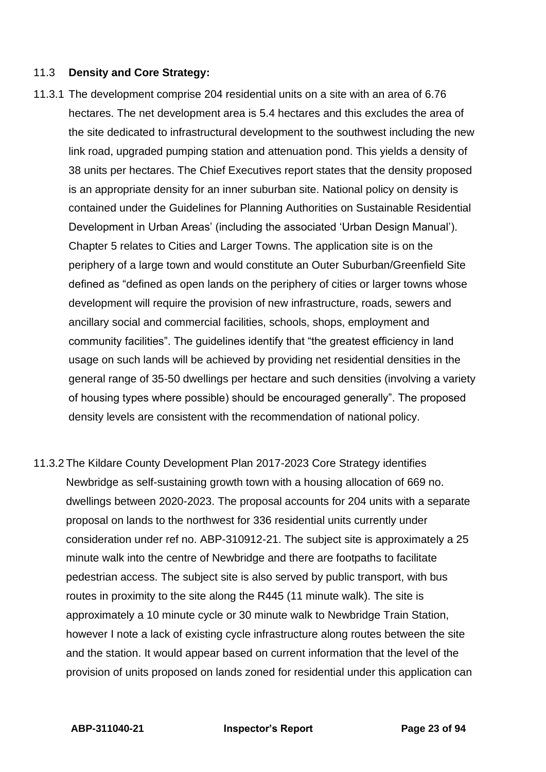#### 11.3 **Density and Core Strategy:**

- 11.3.1 The development comprise 204 residential units on a site with an area of 6.76 hectares. The net development area is 5.4 hectares and this excludes the area of the site dedicated to infrastructural development to the southwest including the new link road, upgraded pumping station and attenuation pond. This yields a density of 38 units per hectares. The Chief Executives report states that the density proposed is an appropriate density for an inner suburban site. National policy on density is contained under the Guidelines for Planning Authorities on Sustainable Residential Development in Urban Areas' (including the associated 'Urban Design Manual'). Chapter 5 relates to Cities and Larger Towns. The application site is on the periphery of a large town and would constitute an Outer Suburban/Greenfield Site defined as "defined as open lands on the periphery of cities or larger towns whose development will require the provision of new infrastructure, roads, sewers and ancillary social and commercial facilities, schools, shops, employment and community facilities". The guidelines identify that "the greatest efficiency in land usage on such lands will be achieved by providing net residential densities in the general range of 35-50 dwellings per hectare and such densities (involving a variety of housing types where possible) should be encouraged generally". The proposed density levels are consistent with the recommendation of national policy.
- 11.3.2 The Kildare County Development Plan 2017-2023 Core Strategy identifies Newbridge as self-sustaining growth town with a housing allocation of 669 no. dwellings between 2020-2023. The proposal accounts for 204 units with a separate proposal on lands to the northwest for 336 residential units currently under consideration under ref no. ABP-310912-21. The subject site is approximately a 25 minute walk into the centre of Newbridge and there are footpaths to facilitate pedestrian access. The subject site is also served by public transport, with bus routes in proximity to the site along the R445 (11 minute walk). The site is approximately a 10 minute cycle or 30 minute walk to Newbridge Train Station, however I note a lack of existing cycle infrastructure along routes between the site and the station. It would appear based on current information that the level of the provision of units proposed on lands zoned for residential under this application can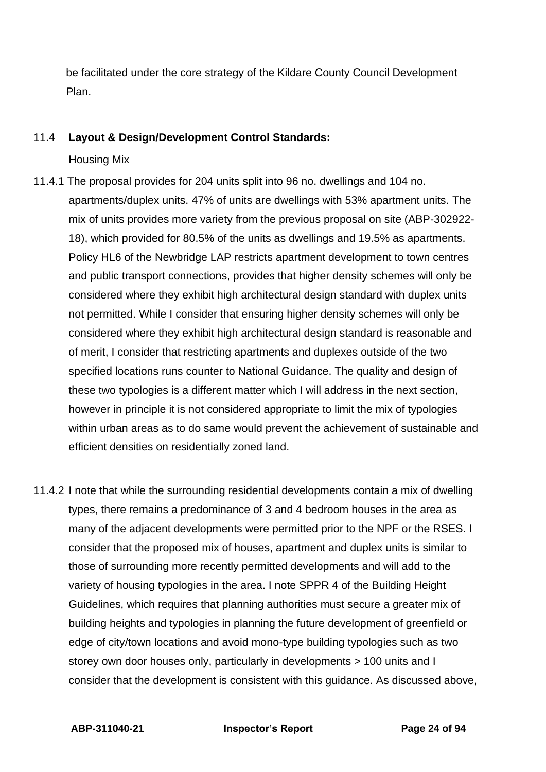be facilitated under the core strategy of the Kildare County Council Development Plan.

#### 11.4 **Layout & Design/Development Control Standards:**

Housing Mix

- 11.4.1 The proposal provides for 204 units split into 96 no. dwellings and 104 no. apartments/duplex units. 47% of units are dwellings with 53% apartment units. The mix of units provides more variety from the previous proposal on site (ABP-302922- 18), which provided for 80.5% of the units as dwellings and 19.5% as apartments. Policy HL6 of the Newbridge LAP restricts apartment development to town centres and public transport connections, provides that higher density schemes will only be considered where they exhibit high architectural design standard with duplex units not permitted. While I consider that ensuring higher density schemes will only be considered where they exhibit high architectural design standard is reasonable and of merit, I consider that restricting apartments and duplexes outside of the two specified locations runs counter to National Guidance. The quality and design of these two typologies is a different matter which I will address in the next section, however in principle it is not considered appropriate to limit the mix of typologies within urban areas as to do same would prevent the achievement of sustainable and efficient densities on residentially zoned land.
- 11.4.2 I note that while the surrounding residential developments contain a mix of dwelling types, there remains a predominance of 3 and 4 bedroom houses in the area as many of the adjacent developments were permitted prior to the NPF or the RSES. I consider that the proposed mix of houses, apartment and duplex units is similar to those of surrounding more recently permitted developments and will add to the variety of housing typologies in the area. I note SPPR 4 of the Building Height Guidelines, which requires that planning authorities must secure a greater mix of building heights and typologies in planning the future development of greenfield or edge of city/town locations and avoid mono-type building typologies such as two storey own door houses only, particularly in developments > 100 units and I consider that the development is consistent with this guidance. As discussed above,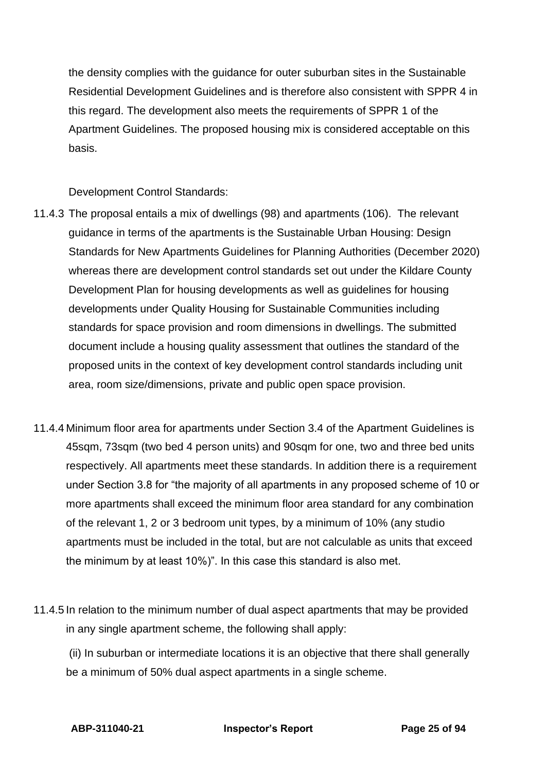the density complies with the guidance for outer suburban sites in the Sustainable Residential Development Guidelines and is therefore also consistent with SPPR 4 in this regard. The development also meets the requirements of SPPR 1 of the Apartment Guidelines. The proposed housing mix is considered acceptable on this basis.

Development Control Standards:

- 11.4.3 The proposal entails a mix of dwellings (98) and apartments (106). The relevant guidance in terms of the apartments is the Sustainable Urban Housing: Design Standards for New Apartments Guidelines for Planning Authorities (December 2020) whereas there are development control standards set out under the Kildare County Development Plan for housing developments as well as guidelines for housing developments under Quality Housing for Sustainable Communities including standards for space provision and room dimensions in dwellings. The submitted document include a housing quality assessment that outlines the standard of the proposed units in the context of key development control standards including unit area, room size/dimensions, private and public open space provision.
- 11.4.4 Minimum floor area for apartments under Section 3.4 of the Apartment Guidelines is 45sqm, 73sqm (two bed 4 person units) and 90sqm for one, two and three bed units respectively. All apartments meet these standards. In addition there is a requirement under Section 3.8 for "the majority of all apartments in any proposed scheme of 10 or more apartments shall exceed the minimum floor area standard for any combination of the relevant 1, 2 or 3 bedroom unit types, by a minimum of 10% (any studio apartments must be included in the total, but are not calculable as units that exceed the minimum by at least 10%)". In this case this standard is also met.
- 11.4.5 In relation to the minimum number of dual aspect apartments that may be provided in any single apartment scheme, the following shall apply:

(ii) In suburban or intermediate locations it is an objective that there shall generally be a minimum of 50% dual aspect apartments in a single scheme.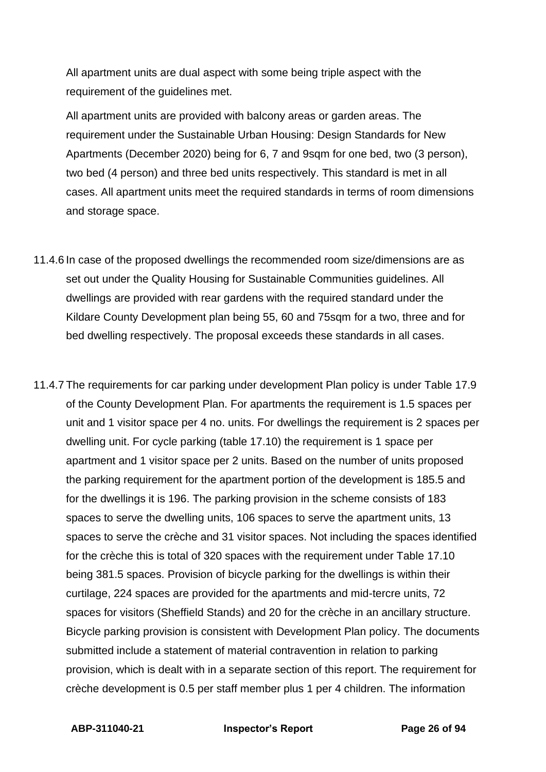All apartment units are dual aspect with some being triple aspect with the requirement of the guidelines met.

All apartment units are provided with balcony areas or garden areas. The requirement under the Sustainable Urban Housing: Design Standards for New Apartments (December 2020) being for 6, 7 and 9sqm for one bed, two (3 person), two bed (4 person) and three bed units respectively. This standard is met in all cases. All apartment units meet the required standards in terms of room dimensions and storage space.

- 11.4.6 In case of the proposed dwellings the recommended room size/dimensions are as set out under the Quality Housing for Sustainable Communities guidelines. All dwellings are provided with rear gardens with the required standard under the Kildare County Development plan being 55, 60 and 75sqm for a two, three and for bed dwelling respectively. The proposal exceeds these standards in all cases.
- 11.4.7 The requirements for car parking under development Plan policy is under Table 17.9 of the County Development Plan. For apartments the requirement is 1.5 spaces per unit and 1 visitor space per 4 no. units. For dwellings the requirement is 2 spaces per dwelling unit. For cycle parking (table 17.10) the requirement is 1 space per apartment and 1 visitor space per 2 units. Based on the number of units proposed the parking requirement for the apartment portion of the development is 185.5 and for the dwellings it is 196. The parking provision in the scheme consists of 183 spaces to serve the dwelling units, 106 spaces to serve the apartment units, 13 spaces to serve the crèche and 31 visitor spaces. Not including the spaces identified for the crèche this is total of 320 spaces with the requirement under Table 17.10 being 381.5 spaces. Provision of bicycle parking for the dwellings is within their curtilage, 224 spaces are provided for the apartments and mid-tercre units, 72 spaces for visitors (Sheffield Stands) and 20 for the crèche in an ancillary structure. Bicycle parking provision is consistent with Development Plan policy. The documents submitted include a statement of material contravention in relation to parking provision, which is dealt with in a separate section of this report. The requirement for crèche development is 0.5 per staff member plus 1 per 4 children. The information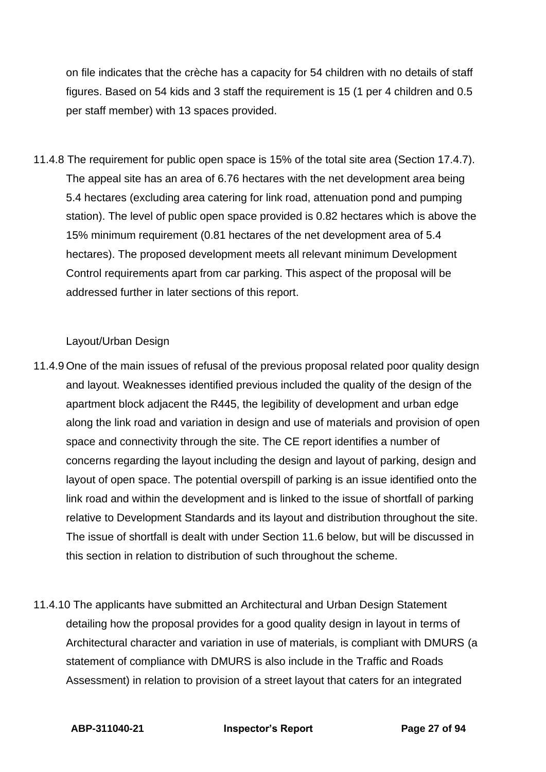on file indicates that the crèche has a capacity for 54 children with no details of staff figures. Based on 54 kids and 3 staff the requirement is 15 (1 per 4 children and 0.5 per staff member) with 13 spaces provided.

11.4.8 The requirement for public open space is 15% of the total site area (Section 17.4.7). The appeal site has an area of 6.76 hectares with the net development area being 5.4 hectares (excluding area catering for link road, attenuation pond and pumping station). The level of public open space provided is 0.82 hectares which is above the 15% minimum requirement (0.81 hectares of the net development area of 5.4 hectares). The proposed development meets all relevant minimum Development Control requirements apart from car parking. This aspect of the proposal will be addressed further in later sections of this report.

#### Layout/Urban Design

- 11.4.9 One of the main issues of refusal of the previous proposal related poor quality design and layout. Weaknesses identified previous included the quality of the design of the apartment block adjacent the R445, the legibility of development and urban edge along the link road and variation in design and use of materials and provision of open space and connectivity through the site. The CE report identifies a number of concerns regarding the layout including the design and layout of parking, design and layout of open space. The potential overspill of parking is an issue identified onto the link road and within the development and is linked to the issue of shortfall of parking relative to Development Standards and its layout and distribution throughout the site. The issue of shortfall is dealt with under Section 11.6 below, but will be discussed in this section in relation to distribution of such throughout the scheme.
- 11.4.10 The applicants have submitted an Architectural and Urban Design Statement detailing how the proposal provides for a good quality design in layout in terms of Architectural character and variation in use of materials, is compliant with DMURS (a statement of compliance with DMURS is also include in the Traffic and Roads Assessment) in relation to provision of a street layout that caters for an integrated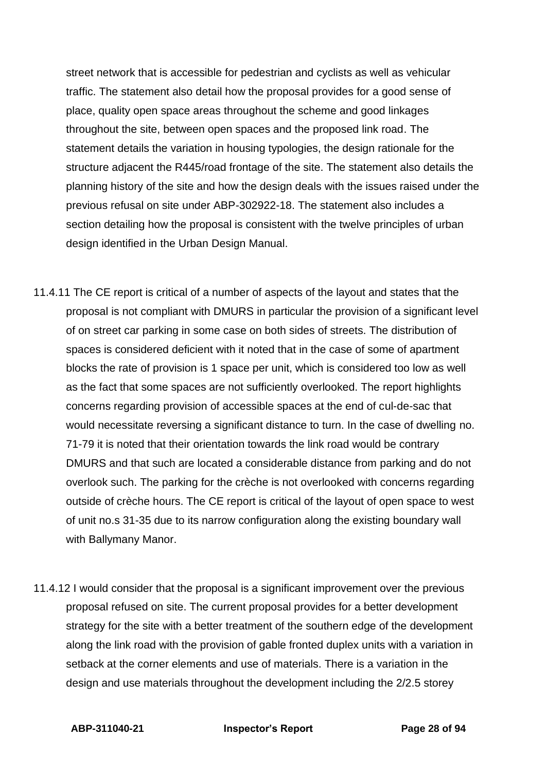street network that is accessible for pedestrian and cyclists as well as vehicular traffic. The statement also detail how the proposal provides for a good sense of place, quality open space areas throughout the scheme and good linkages throughout the site, between open spaces and the proposed link road. The statement details the variation in housing typologies, the design rationale for the structure adjacent the R445/road frontage of the site. The statement also details the planning history of the site and how the design deals with the issues raised under the previous refusal on site under ABP-302922-18. The statement also includes a section detailing how the proposal is consistent with the twelve principles of urban design identified in the Urban Design Manual.

- 11.4.11 The CE report is critical of a number of aspects of the layout and states that the proposal is not compliant with DMURS in particular the provision of a significant level of on street car parking in some case on both sides of streets. The distribution of spaces is considered deficient with it noted that in the case of some of apartment blocks the rate of provision is 1 space per unit, which is considered too low as well as the fact that some spaces are not sufficiently overlooked. The report highlights concerns regarding provision of accessible spaces at the end of cul-de-sac that would necessitate reversing a significant distance to turn. In the case of dwelling no. 71-79 it is noted that their orientation towards the link road would be contrary DMURS and that such are located a considerable distance from parking and do not overlook such. The parking for the crèche is not overlooked with concerns regarding outside of crèche hours. The CE report is critical of the layout of open space to west of unit no.s 31-35 due to its narrow configuration along the existing boundary wall with Ballymany Manor.
- 11.4.12 I would consider that the proposal is a significant improvement over the previous proposal refused on site. The current proposal provides for a better development strategy for the site with a better treatment of the southern edge of the development along the link road with the provision of gable fronted duplex units with a variation in setback at the corner elements and use of materials. There is a variation in the design and use materials throughout the development including the 2/2.5 storey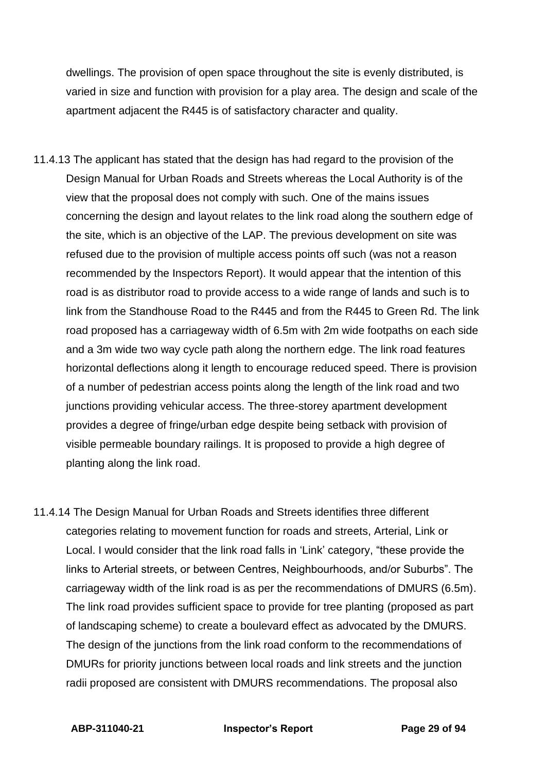dwellings. The provision of open space throughout the site is evenly distributed, is varied in size and function with provision for a play area. The design and scale of the apartment adjacent the R445 is of satisfactory character and quality.

- 11.4.13 The applicant has stated that the design has had regard to the provision of the Design Manual for Urban Roads and Streets whereas the Local Authority is of the view that the proposal does not comply with such. One of the mains issues concerning the design and layout relates to the link road along the southern edge of the site, which is an objective of the LAP. The previous development on site was refused due to the provision of multiple access points off such (was not a reason recommended by the Inspectors Report). It would appear that the intention of this road is as distributor road to provide access to a wide range of lands and such is to link from the Standhouse Road to the R445 and from the R445 to Green Rd. The link road proposed has a carriageway width of 6.5m with 2m wide footpaths on each side and a 3m wide two way cycle path along the northern edge. The link road features horizontal deflections along it length to encourage reduced speed. There is provision of a number of pedestrian access points along the length of the link road and two junctions providing vehicular access. The three-storey apartment development provides a degree of fringe/urban edge despite being setback with provision of visible permeable boundary railings. It is proposed to provide a high degree of planting along the link road.
- 11.4.14 The Design Manual for Urban Roads and Streets identifies three different categories relating to movement function for roads and streets, Arterial, Link or Local. I would consider that the link road falls in 'Link' category, "these provide the links to Arterial streets, or between Centres, Neighbourhoods, and/or Suburbs". The carriageway width of the link road is as per the recommendations of DMURS (6.5m). The link road provides sufficient space to provide for tree planting (proposed as part of landscaping scheme) to create a boulevard effect as advocated by the DMURS. The design of the junctions from the link road conform to the recommendations of DMURs for priority junctions between local roads and link streets and the junction radii proposed are consistent with DMURS recommendations. The proposal also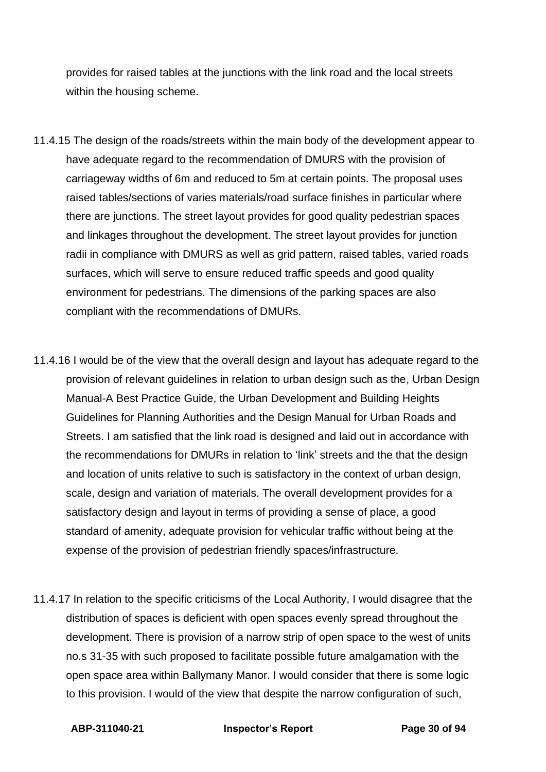provides for raised tables at the junctions with the link road and the local streets within the housing scheme.

- 11.4.15 The design of the roads/streets within the main body of the development appear to have adequate regard to the recommendation of DMURS with the provision of carriageway widths of 6m and reduced to 5m at certain points. The proposal uses raised tables/sections of varies materials/road surface finishes in particular where there are junctions. The street layout provides for good quality pedestrian spaces and linkages throughout the development. The street layout provides for junction radii in compliance with DMURS as well as grid pattern, raised tables, varied roads surfaces, which will serve to ensure reduced traffic speeds and good quality environment for pedestrians. The dimensions of the parking spaces are also compliant with the recommendations of DMURs.
- 11.4.16 I would be of the view that the overall design and layout has adequate regard to the provision of relevant guidelines in relation to urban design such as the, Urban Design Manual-A Best Practice Guide, the Urban Development and Building Heights Guidelines for Planning Authorities and the Design Manual for Urban Roads and Streets. I am satisfied that the link road is designed and laid out in accordance with the recommendations for DMURs in relation to 'link' streets and the that the design and location of units relative to such is satisfactory in the context of urban design, scale, design and variation of materials. The overall development provides for a satisfactory design and layout in terms of providing a sense of place, a good standard of amenity, adequate provision for vehicular traffic without being at the expense of the provision of pedestrian friendly spaces/infrastructure.
- 11.4.17 In relation to the specific criticisms of the Local Authority, I would disagree that the distribution of spaces is deficient with open spaces evenly spread throughout the development. There is provision of a narrow strip of open space to the west of units no.s 31-35 with such proposed to facilitate possible future amalgamation with the open space area within Ballymany Manor. I would consider that there is some logic to this provision. I would of the view that despite the narrow configuration of such,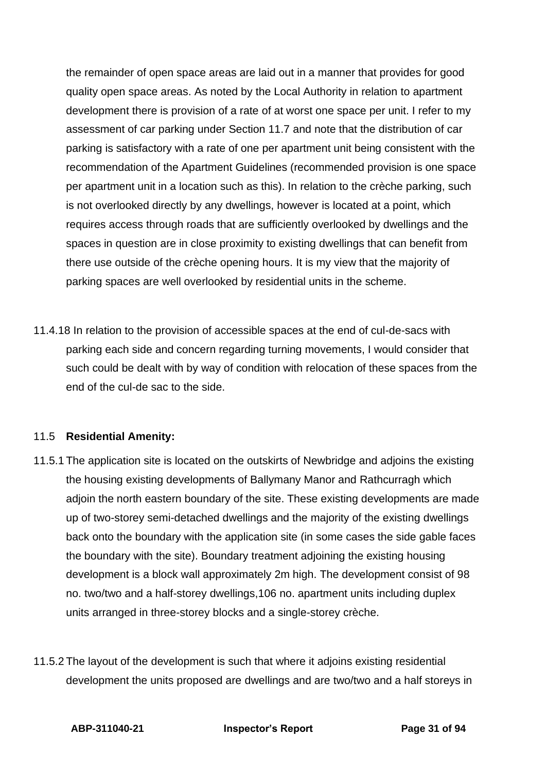the remainder of open space areas are laid out in a manner that provides for good quality open space areas. As noted by the Local Authority in relation to apartment development there is provision of a rate of at worst one space per unit. I refer to my assessment of car parking under Section 11.7 and note that the distribution of car parking is satisfactory with a rate of one per apartment unit being consistent with the recommendation of the Apartment Guidelines (recommended provision is one space per apartment unit in a location such as this). In relation to the crèche parking, such is not overlooked directly by any dwellings, however is located at a point, which requires access through roads that are sufficiently overlooked by dwellings and the spaces in question are in close proximity to existing dwellings that can benefit from there use outside of the crèche opening hours. It is my view that the majority of parking spaces are well overlooked by residential units in the scheme.

11.4.18 In relation to the provision of accessible spaces at the end of cul-de-sacs with parking each side and concern regarding turning movements, I would consider that such could be dealt with by way of condition with relocation of these spaces from the end of the cul-de sac to the side.

### 11.5 **Residential Amenity:**

- 11.5.1 The application site is located on the outskirts of Newbridge and adjoins the existing the housing existing developments of Ballymany Manor and Rathcurragh which adjoin the north eastern boundary of the site. These existing developments are made up of two-storey semi-detached dwellings and the majority of the existing dwellings back onto the boundary with the application site (in some cases the side gable faces the boundary with the site). Boundary treatment adjoining the existing housing development is a block wall approximately 2m high. The development consist of 98 no. two/two and a half-storey dwellings,106 no. apartment units including duplex units arranged in three-storey blocks and a single-storey crèche.
- 11.5.2 The layout of the development is such that where it adjoins existing residential development the units proposed are dwellings and are two/two and a half storeys in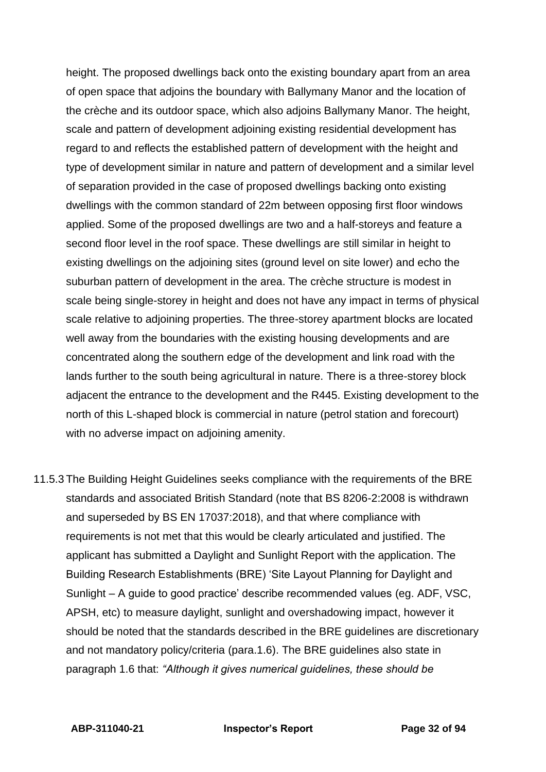height. The proposed dwellings back onto the existing boundary apart from an area of open space that adjoins the boundary with Ballymany Manor and the location of the crèche and its outdoor space, which also adjoins Ballymany Manor. The height, scale and pattern of development adjoining existing residential development has regard to and reflects the established pattern of development with the height and type of development similar in nature and pattern of development and a similar level of separation provided in the case of proposed dwellings backing onto existing dwellings with the common standard of 22m between opposing first floor windows applied. Some of the proposed dwellings are two and a half-storeys and feature a second floor level in the roof space. These dwellings are still similar in height to existing dwellings on the adjoining sites (ground level on site lower) and echo the suburban pattern of development in the area. The crèche structure is modest in scale being single-storey in height and does not have any impact in terms of physical scale relative to adjoining properties. The three-storey apartment blocks are located well away from the boundaries with the existing housing developments and are concentrated along the southern edge of the development and link road with the lands further to the south being agricultural in nature. There is a three-storey block adjacent the entrance to the development and the R445. Existing development to the north of this L-shaped block is commercial in nature (petrol station and forecourt) with no adverse impact on adjoining amenity.

11.5.3 The Building Height Guidelines seeks compliance with the requirements of the BRE standards and associated British Standard (note that BS 8206-2:2008 is withdrawn and superseded by BS EN 17037:2018), and that where compliance with requirements is not met that this would be clearly articulated and justified. The applicant has submitted a Daylight and Sunlight Report with the application. The Building Research Establishments (BRE) 'Site Layout Planning for Daylight and Sunlight – A guide to good practice' describe recommended values (eg. ADF, VSC, APSH, etc) to measure daylight, sunlight and overshadowing impact, however it should be noted that the standards described in the BRE guidelines are discretionary and not mandatory policy/criteria (para.1.6). The BRE guidelines also state in paragraph 1.6 that: *"Although it gives numerical guidelines, these should be*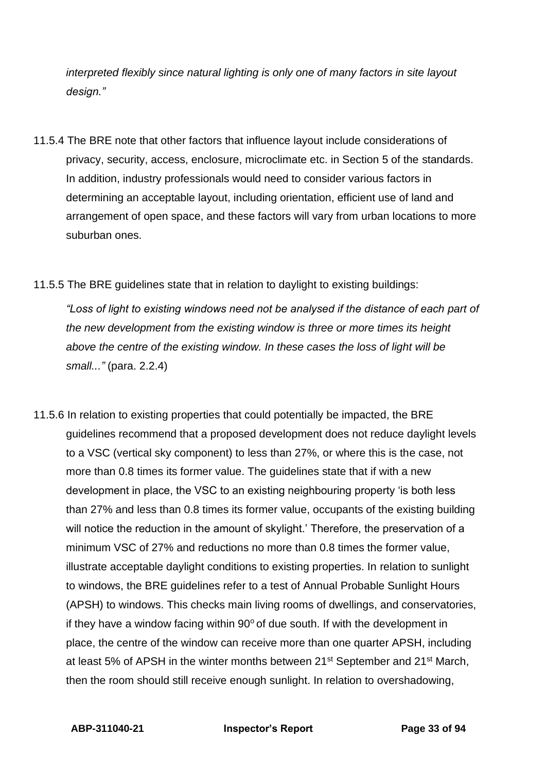*interpreted flexibly since natural lighting is only one of many factors in site layout design."*

- 11.5.4 The BRE note that other factors that influence layout include considerations of privacy, security, access, enclosure, microclimate etc. in Section 5 of the standards. In addition, industry professionals would need to consider various factors in determining an acceptable layout, including orientation, efficient use of land and arrangement of open space, and these factors will vary from urban locations to more suburban ones.
- 11.5.5 The BRE guidelines state that in relation to daylight to existing buildings:

*"Loss of light to existing windows need not be analysed if the distance of each part of the new development from the existing window is three or more times its height above the centre of the existing window. In these cases the loss of light will be small..."* (para. 2.2.4)

11.5.6 In relation to existing properties that could potentially be impacted, the BRE guidelines recommend that a proposed development does not reduce daylight levels to a VSC (vertical sky component) to less than 27%, or where this is the case, not more than 0.8 times its former value. The guidelines state that if with a new development in place, the VSC to an existing neighbouring property 'is both less than 27% and less than 0.8 times its former value, occupants of the existing building will notice the reduction in the amount of skylight.' Therefore, the preservation of a minimum VSC of 27% and reductions no more than 0.8 times the former value, illustrate acceptable daylight conditions to existing properties. In relation to sunlight to windows, the BRE guidelines refer to a test of Annual Probable Sunlight Hours (APSH) to windows. This checks main living rooms of dwellings, and conservatories, if they have a window facing within  $90^{\circ}$  of due south. If with the development in place, the centre of the window can receive more than one quarter APSH, including at least 5% of APSH in the winter months between 21<sup>st</sup> September and 21<sup>st</sup> March, then the room should still receive enough sunlight. In relation to overshadowing,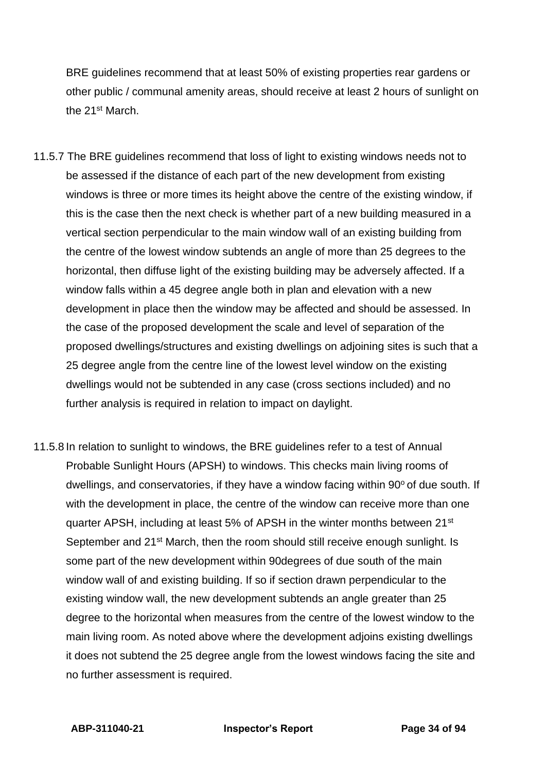BRE guidelines recommend that at least 50% of existing properties rear gardens or other public / communal amenity areas, should receive at least 2 hours of sunlight on the 21st March.

- 11.5.7 The BRE guidelines recommend that loss of light to existing windows needs not to be assessed if the distance of each part of the new development from existing windows is three or more times its height above the centre of the existing window, if this is the case then the next check is whether part of a new building measured in a vertical section perpendicular to the main window wall of an existing building from the centre of the lowest window subtends an angle of more than 25 degrees to the horizontal, then diffuse light of the existing building may be adversely affected. If a window falls within a 45 degree angle both in plan and elevation with a new development in place then the window may be affected and should be assessed. In the case of the proposed development the scale and level of separation of the proposed dwellings/structures and existing dwellings on adjoining sites is such that a 25 degree angle from the centre line of the lowest level window on the existing dwellings would not be subtended in any case (cross sections included) and no further analysis is required in relation to impact on daylight.
- 11.5.8 In relation to sunlight to windows, the BRE guidelines refer to a test of Annual Probable Sunlight Hours (APSH) to windows. This checks main living rooms of dwellings, and conservatories, if they have a window facing within  $90^\circ$  of due south. If with the development in place, the centre of the window can receive more than one quarter APSH, including at least 5% of APSH in the winter months between 21st September and 21<sup>st</sup> March, then the room should still receive enough sunlight. Is some part of the new development within 90degrees of due south of the main window wall of and existing building. If so if section drawn perpendicular to the existing window wall, the new development subtends an angle greater than 25 degree to the horizontal when measures from the centre of the lowest window to the main living room. As noted above where the development adjoins existing dwellings it does not subtend the 25 degree angle from the lowest windows facing the site and no further assessment is required.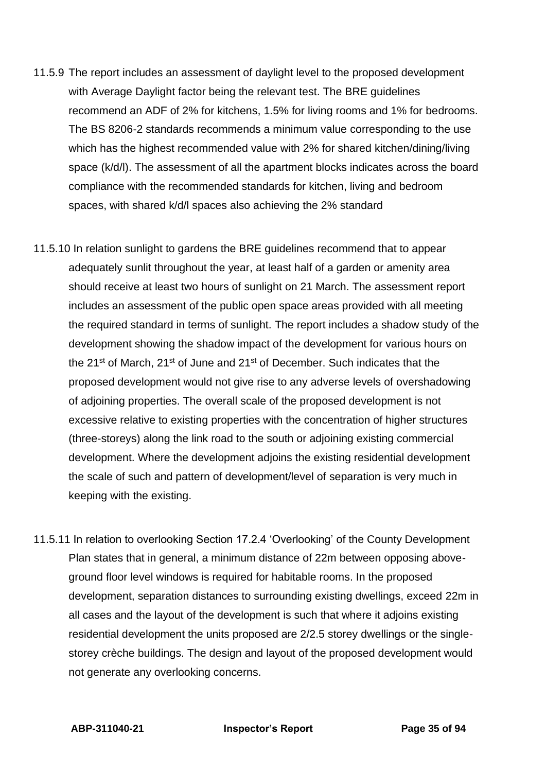- 11.5.9 The report includes an assessment of daylight level to the proposed development with Average Daylight factor being the relevant test. The BRE guidelines recommend an ADF of 2% for kitchens, 1.5% for living rooms and 1% for bedrooms. The BS 8206-2 standards recommends a minimum value corresponding to the use which has the highest recommended value with 2% for shared kitchen/dining/living space (k/d/l). The assessment of all the apartment blocks indicates across the board compliance with the recommended standards for kitchen, living and bedroom spaces, with shared k/d/l spaces also achieving the 2% standard
- 11.5.10 In relation sunlight to gardens the BRE guidelines recommend that to appear adequately sunlit throughout the year, at least half of a garden or amenity area should receive at least two hours of sunlight on 21 March. The assessment report includes an assessment of the public open space areas provided with all meeting the required standard in terms of sunlight. The report includes a shadow study of the development showing the shadow impact of the development for various hours on the 21st of March, 21st of June and 21st of December. Such indicates that the proposed development would not give rise to any adverse levels of overshadowing of adjoining properties. The overall scale of the proposed development is not excessive relative to existing properties with the concentration of higher structures (three-storeys) along the link road to the south or adjoining existing commercial development. Where the development adjoins the existing residential development the scale of such and pattern of development/level of separation is very much in keeping with the existing.
- 11.5.11 In relation to overlooking Section 17.2.4 'Overlooking' of the County Development Plan states that in general, a minimum distance of 22m between opposing aboveground floor level windows is required for habitable rooms. In the proposed development, separation distances to surrounding existing dwellings, exceed 22m in all cases and the layout of the development is such that where it adjoins existing residential development the units proposed are 2/2.5 storey dwellings or the singlestorey crèche buildings. The design and layout of the proposed development would not generate any overlooking concerns.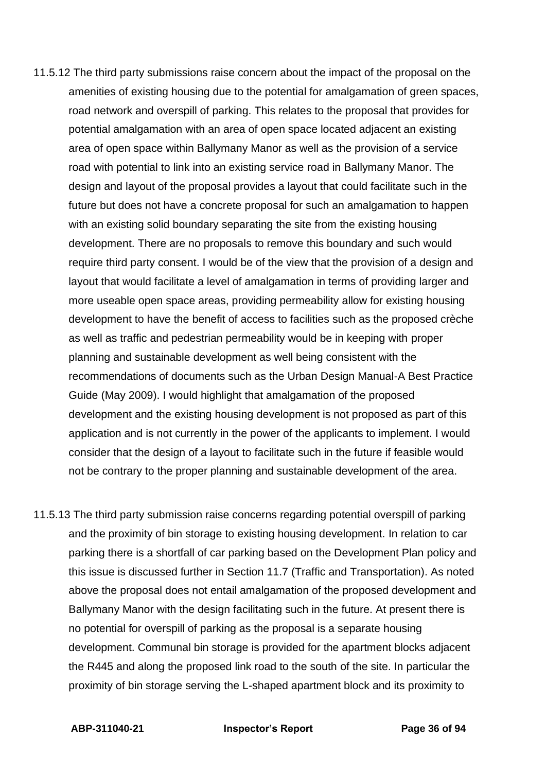- 11.5.12 The third party submissions raise concern about the impact of the proposal on the amenities of existing housing due to the potential for amalgamation of green spaces, road network and overspill of parking. This relates to the proposal that provides for potential amalgamation with an area of open space located adjacent an existing area of open space within Ballymany Manor as well as the provision of a service road with potential to link into an existing service road in Ballymany Manor. The design and layout of the proposal provides a layout that could facilitate such in the future but does not have a concrete proposal for such an amalgamation to happen with an existing solid boundary separating the site from the existing housing development. There are no proposals to remove this boundary and such would require third party consent. I would be of the view that the provision of a design and layout that would facilitate a level of amalgamation in terms of providing larger and more useable open space areas, providing permeability allow for existing housing development to have the benefit of access to facilities such as the proposed crèche as well as traffic and pedestrian permeability would be in keeping with proper planning and sustainable development as well being consistent with the recommendations of documents such as the Urban Design Manual-A Best Practice Guide (May 2009). I would highlight that amalgamation of the proposed development and the existing housing development is not proposed as part of this application and is not currently in the power of the applicants to implement. I would consider that the design of a layout to facilitate such in the future if feasible would not be contrary to the proper planning and sustainable development of the area.
- 11.5.13 The third party submission raise concerns regarding potential overspill of parking and the proximity of bin storage to existing housing development. In relation to car parking there is a shortfall of car parking based on the Development Plan policy and this issue is discussed further in Section 11.7 (Traffic and Transportation). As noted above the proposal does not entail amalgamation of the proposed development and Ballymany Manor with the design facilitating such in the future. At present there is no potential for overspill of parking as the proposal is a separate housing development. Communal bin storage is provided for the apartment blocks adjacent the R445 and along the proposed link road to the south of the site. In particular the proximity of bin storage serving the L-shaped apartment block and its proximity to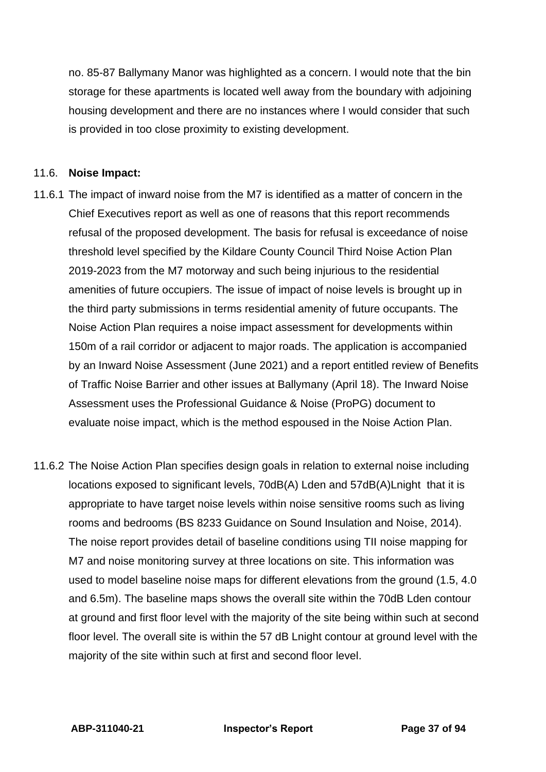no. 85-87 Ballymany Manor was highlighted as a concern. I would note that the bin storage for these apartments is located well away from the boundary with adjoining housing development and there are no instances where I would consider that such is provided in too close proximity to existing development.

### 11.6. **Noise Impact:**

- 11.6.1 The impact of inward noise from the M7 is identified as a matter of concern in the Chief Executives report as well as one of reasons that this report recommends refusal of the proposed development. The basis for refusal is exceedance of noise threshold level specified by the Kildare County Council Third Noise Action Plan 2019-2023 from the M7 motorway and such being injurious to the residential amenities of future occupiers. The issue of impact of noise levels is brought up in the third party submissions in terms residential amenity of future occupants. The Noise Action Plan requires a noise impact assessment for developments within 150m of a rail corridor or adjacent to major roads. The application is accompanied by an Inward Noise Assessment (June 2021) and a report entitled review of Benefits of Traffic Noise Barrier and other issues at Ballymany (April 18). The Inward Noise Assessment uses the Professional Guidance & Noise (ProPG) document to evaluate noise impact, which is the method espoused in the Noise Action Plan.
- 11.6.2 The Noise Action Plan specifies design goals in relation to external noise including locations exposed to significant levels, 70dB(A) Lden and 57dB(A)Lnight that it is appropriate to have target noise levels within noise sensitive rooms such as living rooms and bedrooms (BS 8233 Guidance on Sound Insulation and Noise, 2014). The noise report provides detail of baseline conditions using TII noise mapping for M7 and noise monitoring survey at three locations on site. This information was used to model baseline noise maps for different elevations from the ground (1.5, 4.0 and 6.5m). The baseline maps shows the overall site within the 70dB Lden contour at ground and first floor level with the majority of the site being within such at second floor level. The overall site is within the 57 dB Lnight contour at ground level with the majority of the site within such at first and second floor level.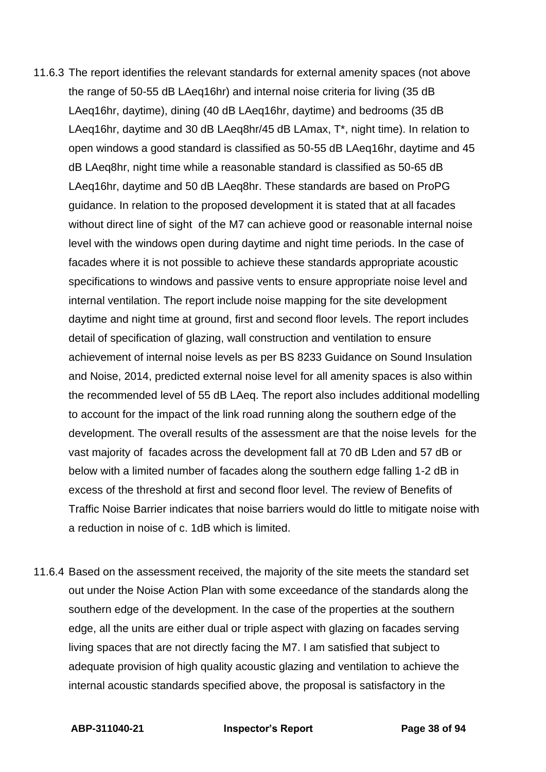- 11.6.3 The report identifies the relevant standards for external amenity spaces (not above the range of 50-55 dB LAeq16hr) and internal noise criteria for living (35 dB LAeq16hr, daytime), dining (40 dB LAeq16hr, daytime) and bedrooms (35 dB LAeq16hr, daytime and 30 dB LAeq8hr/45 dB LAmax, T\*, night time). In relation to open windows a good standard is classified as 50-55 dB LAeq16hr, daytime and 45 dB LAeq8hr, night time while a reasonable standard is classified as 50-65 dB LAeq16hr, daytime and 50 dB LAeq8hr. These standards are based on ProPG guidance. In relation to the proposed development it is stated that at all facades without direct line of sight of the M7 can achieve good or reasonable internal noise level with the windows open during daytime and night time periods. In the case of facades where it is not possible to achieve these standards appropriate acoustic specifications to windows and passive vents to ensure appropriate noise level and internal ventilation. The report include noise mapping for the site development daytime and night time at ground, first and second floor levels. The report includes detail of specification of glazing, wall construction and ventilation to ensure achievement of internal noise levels as per BS 8233 Guidance on Sound Insulation and Noise, 2014, predicted external noise level for all amenity spaces is also within the recommended level of 55 dB LAeq. The report also includes additional modelling to account for the impact of the link road running along the southern edge of the development. The overall results of the assessment are that the noise levels for the vast majority of facades across the development fall at 70 dB Lden and 57 dB or below with a limited number of facades along the southern edge falling 1-2 dB in excess of the threshold at first and second floor level. The review of Benefits of Traffic Noise Barrier indicates that noise barriers would do little to mitigate noise with a reduction in noise of c. 1dB which is limited.
- 11.6.4 Based on the assessment received, the majority of the site meets the standard set out under the Noise Action Plan with some exceedance of the standards along the southern edge of the development. In the case of the properties at the southern edge, all the units are either dual or triple aspect with glazing on facades serving living spaces that are not directly facing the M7. I am satisfied that subject to adequate provision of high quality acoustic glazing and ventilation to achieve the internal acoustic standards specified above, the proposal is satisfactory in the

**ABP-311040-21 Inspector's Report Page 38 of 94**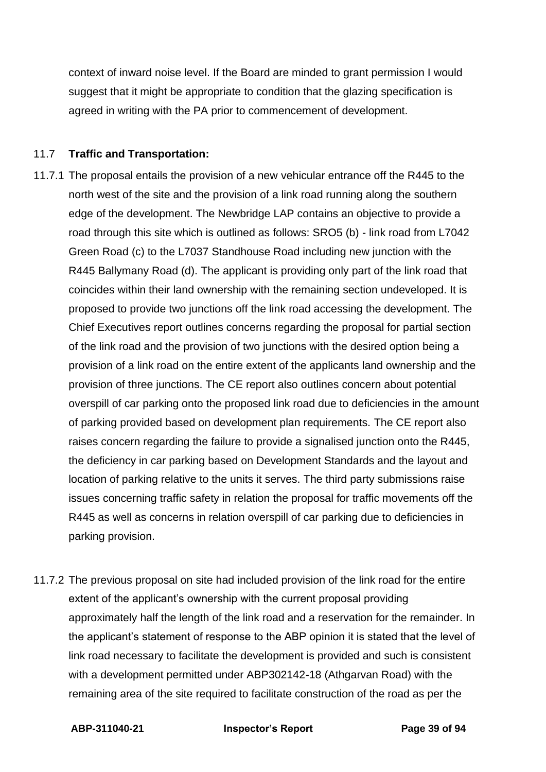context of inward noise level. If the Board are minded to grant permission I would suggest that it might be appropriate to condition that the glazing specification is agreed in writing with the PA prior to commencement of development.

### 11.7 **Traffic and Transportation:**

- 11.7.1 The proposal entails the provision of a new vehicular entrance off the R445 to the north west of the site and the provision of a link road running along the southern edge of the development. The Newbridge LAP contains an objective to provide a road through this site which is outlined as follows: SRO5 (b) - link road from L7042 Green Road (c) to the L7037 Standhouse Road including new junction with the R445 Ballymany Road (d). The applicant is providing only part of the link road that coincides within their land ownership with the remaining section undeveloped. It is proposed to provide two junctions off the link road accessing the development. The Chief Executives report outlines concerns regarding the proposal for partial section of the link road and the provision of two junctions with the desired option being a provision of a link road on the entire extent of the applicants land ownership and the provision of three junctions. The CE report also outlines concern about potential overspill of car parking onto the proposed link road due to deficiencies in the amount of parking provided based on development plan requirements. The CE report also raises concern regarding the failure to provide a signalised junction onto the R445, the deficiency in car parking based on Development Standards and the layout and location of parking relative to the units it serves. The third party submissions raise issues concerning traffic safety in relation the proposal for traffic movements off the R445 as well as concerns in relation overspill of car parking due to deficiencies in parking provision.
- 11.7.2 The previous proposal on site had included provision of the link road for the entire extent of the applicant's ownership with the current proposal providing approximately half the length of the link road and a reservation for the remainder. In the applicant's statement of response to the ABP opinion it is stated that the level of link road necessary to facilitate the development is provided and such is consistent with a development permitted under ABP302142-18 (Athgarvan Road) with the remaining area of the site required to facilitate construction of the road as per the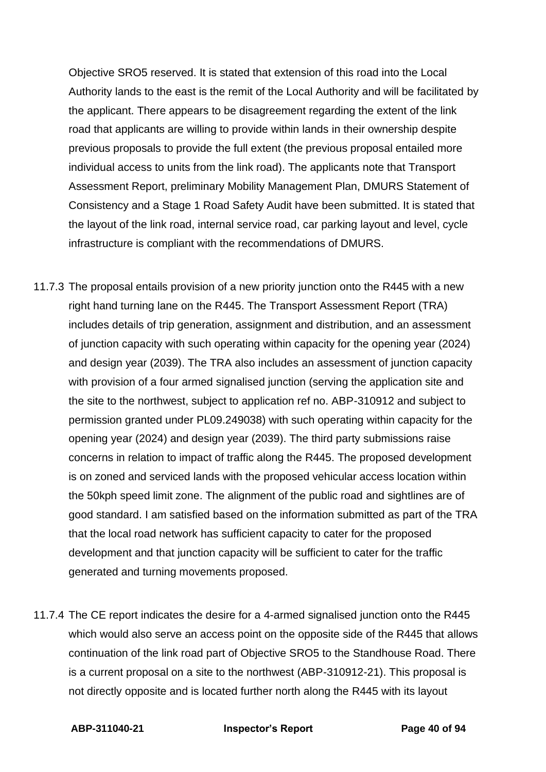Objective SRO5 reserved. It is stated that extension of this road into the Local Authority lands to the east is the remit of the Local Authority and will be facilitated by the applicant. There appears to be disagreement regarding the extent of the link road that applicants are willing to provide within lands in their ownership despite previous proposals to provide the full extent (the previous proposal entailed more individual access to units from the link road). The applicants note that Transport Assessment Report, preliminary Mobility Management Plan, DMURS Statement of Consistency and a Stage 1 Road Safety Audit have been submitted. It is stated that the layout of the link road, internal service road, car parking layout and level, cycle infrastructure is compliant with the recommendations of DMURS.

- 11.7.3 The proposal entails provision of a new priority junction onto the R445 with a new right hand turning lane on the R445. The Transport Assessment Report (TRA) includes details of trip generation, assignment and distribution, and an assessment of junction capacity with such operating within capacity for the opening year (2024) and design year (2039). The TRA also includes an assessment of junction capacity with provision of a four armed signalised junction (serving the application site and the site to the northwest, subject to application ref no. ABP-310912 and subject to permission granted under PL09.249038) with such operating within capacity for the opening year (2024) and design year (2039). The third party submissions raise concerns in relation to impact of traffic along the R445. The proposed development is on zoned and serviced lands with the proposed vehicular access location within the 50kph speed limit zone. The alignment of the public road and sightlines are of good standard. I am satisfied based on the information submitted as part of the TRA that the local road network has sufficient capacity to cater for the proposed development and that junction capacity will be sufficient to cater for the traffic generated and turning movements proposed.
- 11.7.4 The CE report indicates the desire for a 4-armed signalised junction onto the R445 which would also serve an access point on the opposite side of the R445 that allows continuation of the link road part of Objective SRO5 to the Standhouse Road. There is a current proposal on a site to the northwest (ABP-310912-21). This proposal is not directly opposite and is located further north along the R445 with its layout

**ABP-311040-21 Inspector's Report Page 40 of 94**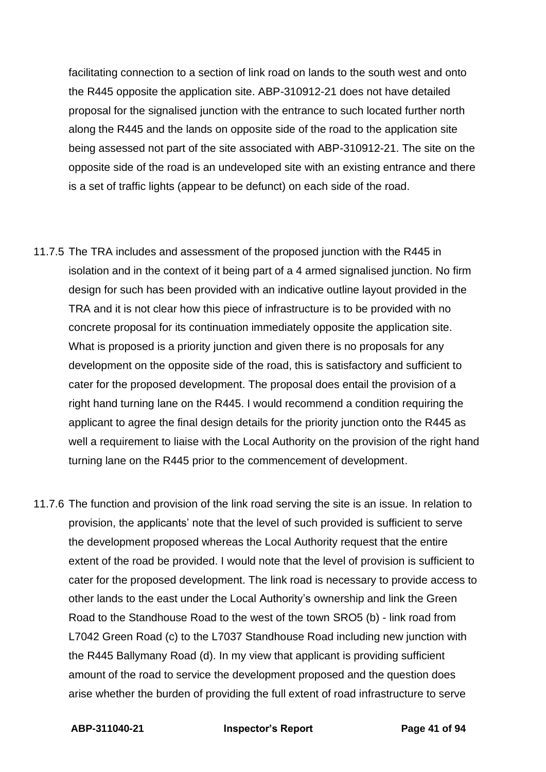facilitating connection to a section of link road on lands to the south west and onto the R445 opposite the application site. ABP-310912-21 does not have detailed proposal for the signalised junction with the entrance to such located further north along the R445 and the lands on opposite side of the road to the application site being assessed not part of the site associated with ABP-310912-21. The site on the opposite side of the road is an undeveloped site with an existing entrance and there is a set of traffic lights (appear to be defunct) on each side of the road.

- 11.7.5 The TRA includes and assessment of the proposed junction with the R445 in isolation and in the context of it being part of a 4 armed signalised junction. No firm design for such has been provided with an indicative outline layout provided in the TRA and it is not clear how this piece of infrastructure is to be provided with no concrete proposal for its continuation immediately opposite the application site. What is proposed is a priority junction and given there is no proposals for any development on the opposite side of the road, this is satisfactory and sufficient to cater for the proposed development. The proposal does entail the provision of a right hand turning lane on the R445. I would recommend a condition requiring the applicant to agree the final design details for the priority junction onto the R445 as well a requirement to liaise with the Local Authority on the provision of the right hand turning lane on the R445 prior to the commencement of development.
- 11.7.6 The function and provision of the link road serving the site is an issue. In relation to provision, the applicants' note that the level of such provided is sufficient to serve the development proposed whereas the Local Authority request that the entire extent of the road be provided. I would note that the level of provision is sufficient to cater for the proposed development. The link road is necessary to provide access to other lands to the east under the Local Authority's ownership and link the Green Road to the Standhouse Road to the west of the town SRO5 (b) - link road from L7042 Green Road (c) to the L7037 Standhouse Road including new junction with the R445 Ballymany Road (d). In my view that applicant is providing sufficient amount of the road to service the development proposed and the question does arise whether the burden of providing the full extent of road infrastructure to serve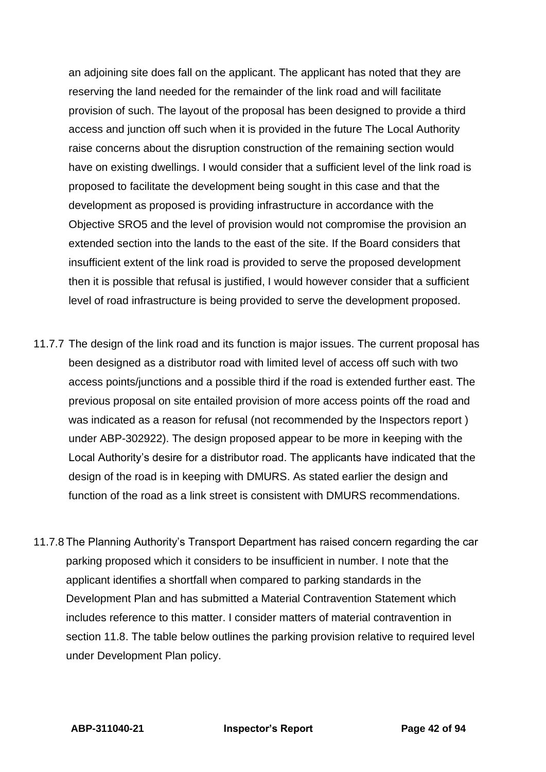an adjoining site does fall on the applicant. The applicant has noted that they are reserving the land needed for the remainder of the link road and will facilitate provision of such. The layout of the proposal has been designed to provide a third access and junction off such when it is provided in the future The Local Authority raise concerns about the disruption construction of the remaining section would have on existing dwellings. I would consider that a sufficient level of the link road is proposed to facilitate the development being sought in this case and that the development as proposed is providing infrastructure in accordance with the Objective SRO5 and the level of provision would not compromise the provision an extended section into the lands to the east of the site. If the Board considers that insufficient extent of the link road is provided to serve the proposed development then it is possible that refusal is justified, I would however consider that a sufficient level of road infrastructure is being provided to serve the development proposed.

- 11.7.7 The design of the link road and its function is major issues. The current proposal has been designed as a distributor road with limited level of access off such with two access points/junctions and a possible third if the road is extended further east. The previous proposal on site entailed provision of more access points off the road and was indicated as a reason for refusal (not recommended by the Inspectors report ) under ABP-302922). The design proposed appear to be more in keeping with the Local Authority's desire for a distributor road. The applicants have indicated that the design of the road is in keeping with DMURS. As stated earlier the design and function of the road as a link street is consistent with DMURS recommendations.
- 11.7.8 The Planning Authority's Transport Department has raised concern regarding the car parking proposed which it considers to be insufficient in number. I note that the applicant identifies a shortfall when compared to parking standards in the Development Plan and has submitted a Material Contravention Statement which includes reference to this matter. I consider matters of material contravention in section 11.8. The table below outlines the parking provision relative to required level under Development Plan policy.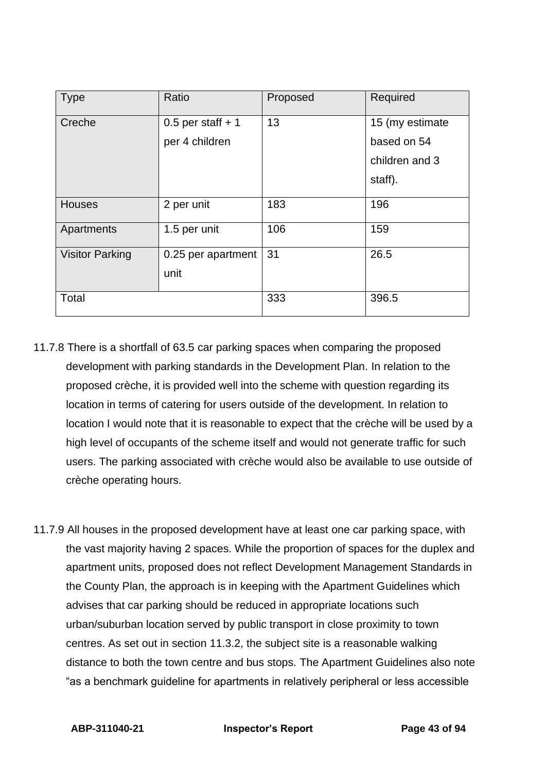| <b>Type</b>            | Ratio                      | Proposed | Required        |
|------------------------|----------------------------|----------|-----------------|
| Creche                 | $0.5$ per staff + 1        | 13       | 15 (my estimate |
|                        | per 4 children             |          | based on 54     |
|                        |                            |          | children and 3  |
|                        |                            |          | staff).         |
| <b>Houses</b>          | 2 per unit                 | 183      | 196             |
| Apartments             | 1.5 per unit               | 106      | 159             |
| <b>Visitor Parking</b> | 0.25 per apartment<br>unit | 31       | 26.5            |
| Total                  |                            | 333      | 396.5           |

- 11.7.8 There is a shortfall of 63.5 car parking spaces when comparing the proposed development with parking standards in the Development Plan. In relation to the proposed crèche, it is provided well into the scheme with question regarding its location in terms of catering for users outside of the development. In relation to location I would note that it is reasonable to expect that the crèche will be used by a high level of occupants of the scheme itself and would not generate traffic for such users. The parking associated with crèche would also be available to use outside of crèche operating hours.
- 11.7.9 All houses in the proposed development have at least one car parking space, with the vast majority having 2 spaces. While the proportion of spaces for the duplex and apartment units, proposed does not reflect Development Management Standards in the County Plan, the approach is in keeping with the Apartment Guidelines which advises that car parking should be reduced in appropriate locations such urban/suburban location served by public transport in close proximity to town centres. As set out in section 11.3.2, the subject site is a reasonable walking distance to both the town centre and bus stops. The Apartment Guidelines also note "as a benchmark guideline for apartments in relatively peripheral or less accessible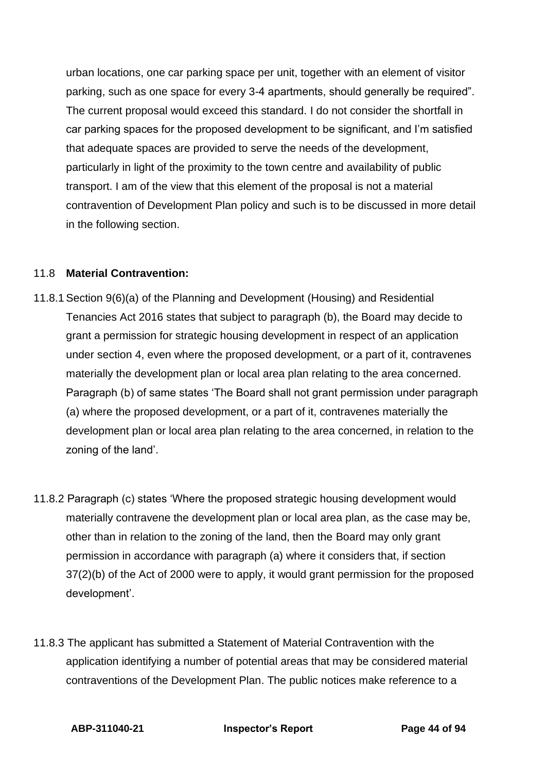urban locations, one car parking space per unit, together with an element of visitor parking, such as one space for every 3-4 apartments, should generally be required". The current proposal would exceed this standard. I do not consider the shortfall in car parking spaces for the proposed development to be significant, and I'm satisfied that adequate spaces are provided to serve the needs of the development, particularly in light of the proximity to the town centre and availability of public transport. I am of the view that this element of the proposal is not a material contravention of Development Plan policy and such is to be discussed in more detail in the following section.

### 11.8 **Material Contravention:**

- 11.8.1Section 9(6)(a) of the Planning and Development (Housing) and Residential Tenancies Act 2016 states that subject to paragraph (b), the Board may decide to grant a permission for strategic housing development in respect of an application under section 4, even where the proposed development, or a part of it, contravenes materially the development plan or local area plan relating to the area concerned. Paragraph (b) of same states 'The Board shall not grant permission under paragraph (a) where the proposed development, or a part of it, contravenes materially the development plan or local area plan relating to the area concerned, in relation to the zoning of the land'.
- 11.8.2 Paragraph (c) states 'Where the proposed strategic housing development would materially contravene the development plan or local area plan, as the case may be, other than in relation to the zoning of the land, then the Board may only grant permission in accordance with paragraph (a) where it considers that, if section 37(2)(b) of the Act of 2000 were to apply, it would grant permission for the proposed development'.
- 11.8.3 The applicant has submitted a Statement of Material Contravention with the application identifying a number of potential areas that may be considered material contraventions of the Development Plan. The public notices make reference to a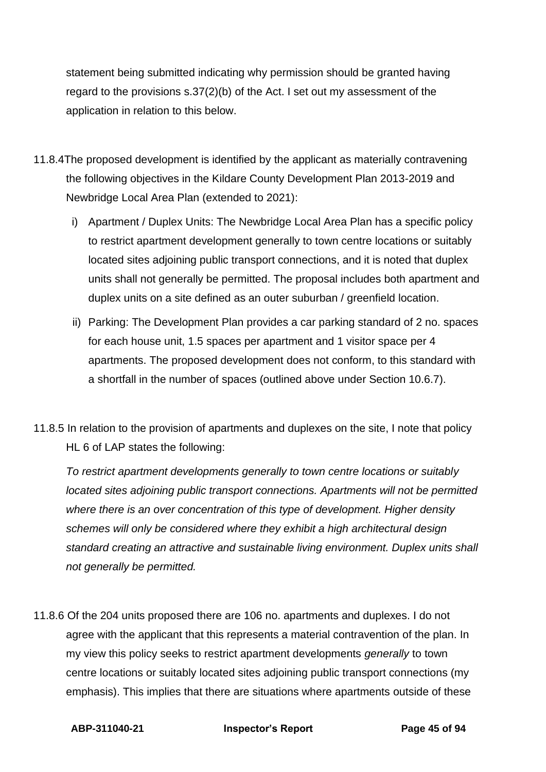statement being submitted indicating why permission should be granted having regard to the provisions s.37(2)(b) of the Act. I set out my assessment of the application in relation to this below.

- 11.8.4The proposed development is identified by the applicant as materially contravening the following objectives in the Kildare County Development Plan 2013-2019 and Newbridge Local Area Plan (extended to 2021):
	- i) Apartment / Duplex Units: The Newbridge Local Area Plan has a specific policy to restrict apartment development generally to town centre locations or suitably located sites adjoining public transport connections, and it is noted that duplex units shall not generally be permitted. The proposal includes both apartment and duplex units on a site defined as an outer suburban / greenfield location.
	- ii) Parking: The Development Plan provides a car parking standard of 2 no. spaces for each house unit, 1.5 spaces per apartment and 1 visitor space per 4 apartments. The proposed development does not conform, to this standard with a shortfall in the number of spaces (outlined above under Section 10.6.7).
- 11.8.5 In relation to the provision of apartments and duplexes on the site, I note that policy HL 6 of LAP states the following:

*To restrict apartment developments generally to town centre locations or suitably located sites adjoining public transport connections. Apartments will not be permitted where there is an over concentration of this type of development. Higher density schemes will only be considered where they exhibit a high architectural design standard creating an attractive and sustainable living environment. Duplex units shall not generally be permitted.*

11.8.6 Of the 204 units proposed there are 106 no. apartments and duplexes. I do not agree with the applicant that this represents a material contravention of the plan. In my view this policy seeks to restrict apartment developments *generally* to town centre locations or suitably located sites adjoining public transport connections (my emphasis). This implies that there are situations where apartments outside of these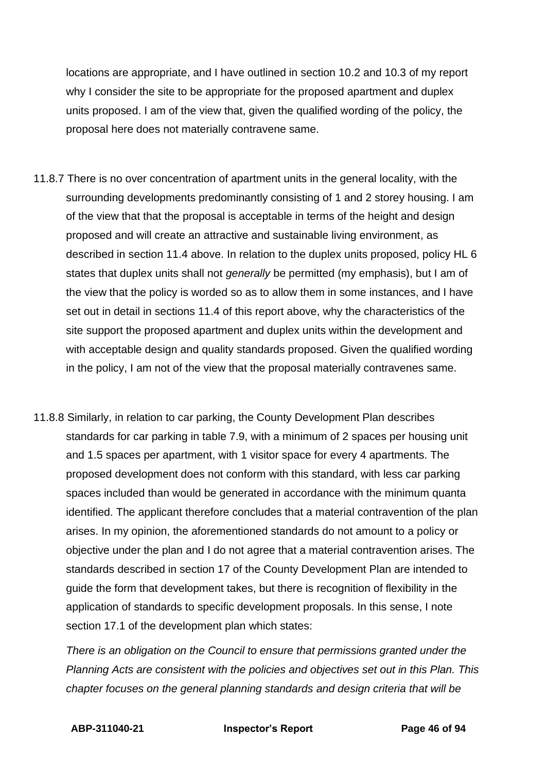locations are appropriate, and I have outlined in section 10.2 and 10.3 of my report why I consider the site to be appropriate for the proposed apartment and duplex units proposed. I am of the view that, given the qualified wording of the policy, the proposal here does not materially contravene same.

- 11.8.7 There is no over concentration of apartment units in the general locality, with the surrounding developments predominantly consisting of 1 and 2 storey housing. I am of the view that that the proposal is acceptable in terms of the height and design proposed and will create an attractive and sustainable living environment, as described in section 11.4 above. In relation to the duplex units proposed, policy HL 6 states that duplex units shall not *generally* be permitted (my emphasis), but I am of the view that the policy is worded so as to allow them in some instances, and I have set out in detail in sections 11.4 of this report above, why the characteristics of the site support the proposed apartment and duplex units within the development and with acceptable design and quality standards proposed. Given the qualified wording in the policy, I am not of the view that the proposal materially contravenes same.
- 11.8.8 Similarly, in relation to car parking, the County Development Plan describes standards for car parking in table 7.9, with a minimum of 2 spaces per housing unit and 1.5 spaces per apartment, with 1 visitor space for every 4 apartments. The proposed development does not conform with this standard, with less car parking spaces included than would be generated in accordance with the minimum quanta identified. The applicant therefore concludes that a material contravention of the plan arises. In my opinion, the aforementioned standards do not amount to a policy or objective under the plan and I do not agree that a material contravention arises. The standards described in section 17 of the County Development Plan are intended to guide the form that development takes, but there is recognition of flexibility in the application of standards to specific development proposals. In this sense, I note section 17.1 of the development plan which states:

*There is an obligation on the Council to ensure that permissions granted under the Planning Acts are consistent with the policies and objectives set out in this Plan. This chapter focuses on the general planning standards and design criteria that will be*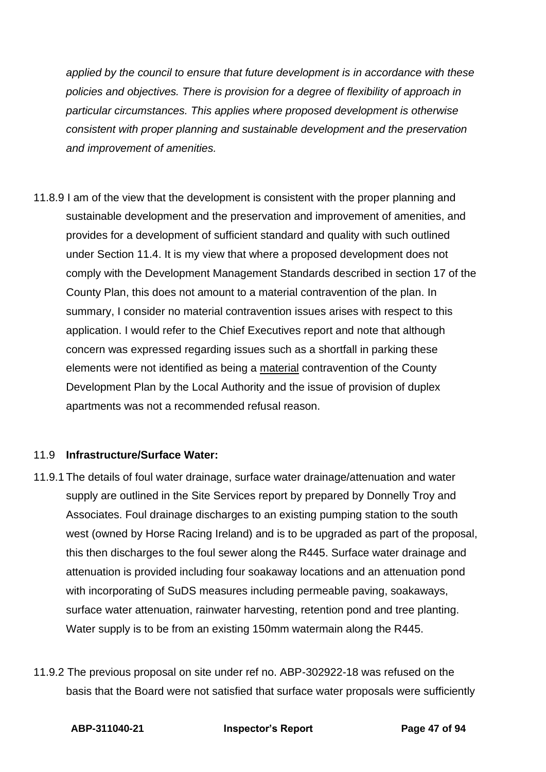*applied by the council to ensure that future development is in accordance with these policies and objectives. There is provision for a degree of flexibility of approach in particular circumstances. This applies where proposed development is otherwise consistent with proper planning and sustainable development and the preservation and improvement of amenities.*

11.8.9 I am of the view that the development is consistent with the proper planning and sustainable development and the preservation and improvement of amenities, and provides for a development of sufficient standard and quality with such outlined under Section 11.4. It is my view that where a proposed development does not comply with the Development Management Standards described in section 17 of the County Plan, this does not amount to a material contravention of the plan. In summary, I consider no material contravention issues arises with respect to this application. I would refer to the Chief Executives report and note that although concern was expressed regarding issues such as a shortfall in parking these elements were not identified as being a material contravention of the County Development Plan by the Local Authority and the issue of provision of duplex apartments was not a recommended refusal reason.

# 11.9 **Infrastructure/Surface Water:**

- 11.9.1 The details of foul water drainage, surface water drainage/attenuation and water supply are outlined in the Site Services report by prepared by Donnelly Troy and Associates. Foul drainage discharges to an existing pumping station to the south west (owned by Horse Racing Ireland) and is to be upgraded as part of the proposal, this then discharges to the foul sewer along the R445. Surface water drainage and attenuation is provided including four soakaway locations and an attenuation pond with incorporating of SuDS measures including permeable paving, soakaways, surface water attenuation, rainwater harvesting, retention pond and tree planting. Water supply is to be from an existing 150mm watermain along the R445.
- 11.9.2 The previous proposal on site under ref no. ABP-302922-18 was refused on the basis that the Board were not satisfied that surface water proposals were sufficiently

**ABP-311040-21 Inspector's Report Page 47 of 94**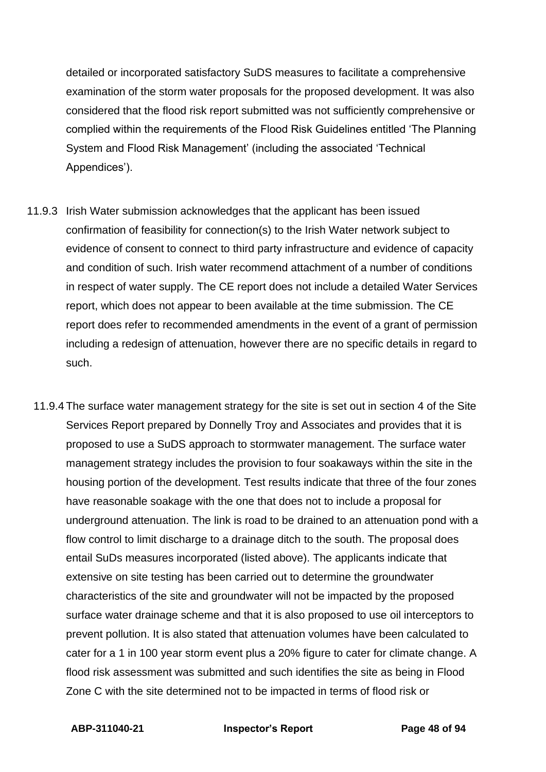detailed or incorporated satisfactory SuDS measures to facilitate a comprehensive examination of the storm water proposals for the proposed development. It was also considered that the flood risk report submitted was not sufficiently comprehensive or complied within the requirements of the Flood Risk Guidelines entitled 'The Planning System and Flood Risk Management' (including the associated 'Technical Appendices').

- 11.9.3 Irish Water submission acknowledges that the applicant has been issued confirmation of feasibility for connection(s) to the Irish Water network subject to evidence of consent to connect to third party infrastructure and evidence of capacity and condition of such. Irish water recommend attachment of a number of conditions in respect of water supply. The CE report does not include a detailed Water Services report, which does not appear to been available at the time submission. The CE report does refer to recommended amendments in the event of a grant of permission including a redesign of attenuation, however there are no specific details in regard to such.
	- 11.9.4 The surface water management strategy for the site is set out in section 4 of the Site Services Report prepared by Donnelly Troy and Associates and provides that it is proposed to use a SuDS approach to stormwater management. The surface water management strategy includes the provision to four soakaways within the site in the housing portion of the development. Test results indicate that three of the four zones have reasonable soakage with the one that does not to include a proposal for underground attenuation. The link is road to be drained to an attenuation pond with a flow control to limit discharge to a drainage ditch to the south. The proposal does entail SuDs measures incorporated (listed above). The applicants indicate that extensive on site testing has been carried out to determine the groundwater characteristics of the site and groundwater will not be impacted by the proposed surface water drainage scheme and that it is also proposed to use oil interceptors to prevent pollution. It is also stated that attenuation volumes have been calculated to cater for a 1 in 100 year storm event plus a 20% figure to cater for climate change. A flood risk assessment was submitted and such identifies the site as being in Flood Zone C with the site determined not to be impacted in terms of flood risk or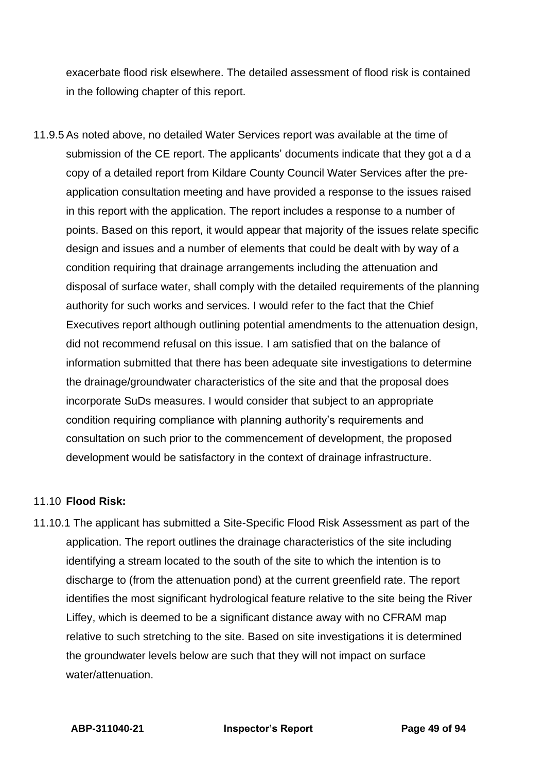exacerbate flood risk elsewhere. The detailed assessment of flood risk is contained in the following chapter of this report.

11.9.5 As noted above, no detailed Water Services report was available at the time of submission of the CE report. The applicants' documents indicate that they got a d a copy of a detailed report from Kildare County Council Water Services after the preapplication consultation meeting and have provided a response to the issues raised in this report with the application. The report includes a response to a number of points. Based on this report, it would appear that majority of the issues relate specific design and issues and a number of elements that could be dealt with by way of a condition requiring that drainage arrangements including the attenuation and disposal of surface water, shall comply with the detailed requirements of the planning authority for such works and services. I would refer to the fact that the Chief Executives report although outlining potential amendments to the attenuation design, did not recommend refusal on this issue. I am satisfied that on the balance of information submitted that there has been adequate site investigations to determine the drainage/groundwater characteristics of the site and that the proposal does incorporate SuDs measures. I would consider that subject to an appropriate condition requiring compliance with planning authority's requirements and consultation on such prior to the commencement of development, the proposed development would be satisfactory in the context of drainage infrastructure.

### 11.10 **Flood Risk:**

11.10.1 The applicant has submitted a Site-Specific Flood Risk Assessment as part of the application. The report outlines the drainage characteristics of the site including identifying a stream located to the south of the site to which the intention is to discharge to (from the attenuation pond) at the current greenfield rate. The report identifies the most significant hydrological feature relative to the site being the River Liffey, which is deemed to be a significant distance away with no CFRAM map relative to such stretching to the site. Based on site investigations it is determined the groundwater levels below are such that they will not impact on surface water/attenuation.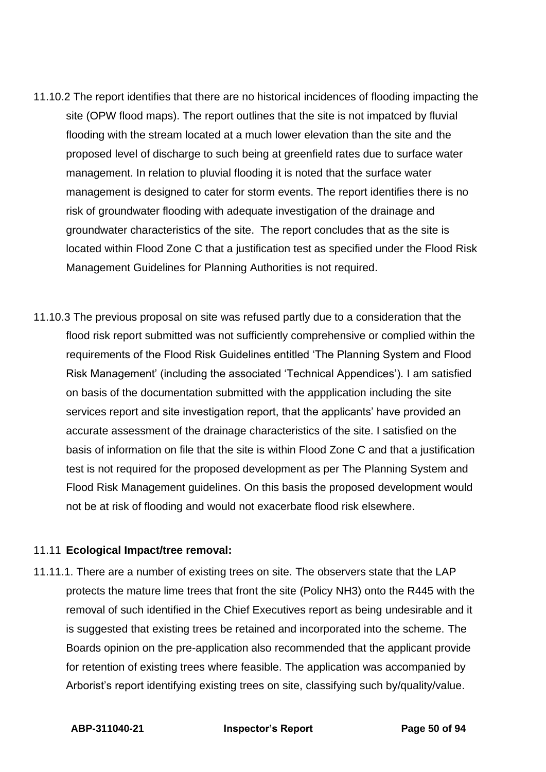- 11.10.2 The report identifies that there are no historical incidences of flooding impacting the site (OPW flood maps). The report outlines that the site is not impatced by fluvial flooding with the stream located at a much lower elevation than the site and the proposed level of discharge to such being at greenfield rates due to surface water management. In relation to pluvial flooding it is noted that the surface water management is designed to cater for storm events. The report identifies there is no risk of groundwater flooding with adequate investigation of the drainage and groundwater characteristics of the site. The report concludes that as the site is located within Flood Zone C that a justification test as specified under the Flood Risk Management Guidelines for Planning Authorities is not required.
- 11.10.3 The previous proposal on site was refused partly due to a consideration that the flood risk report submitted was not sufficiently comprehensive or complied within the requirements of the Flood Risk Guidelines entitled 'The Planning System and Flood Risk Management' (including the associated 'Technical Appendices'). I am satisfied on basis of the documentation submitted with the appplication including the site services report and site investigation report, that the applicants' have provided an accurate assessment of the drainage characteristics of the site. I satisfied on the basis of information on file that the site is within Flood Zone C and that a justification test is not required for the proposed development as per The Planning System and Flood Risk Management guidelines. On this basis the proposed development would not be at risk of flooding and would not exacerbate flood risk elsewhere.

### 11.11 **Ecological Impact/tree removal:**

11.11.1. There are a number of existing trees on site. The observers state that the LAP protects the mature lime trees that front the site (Policy NH3) onto the R445 with the removal of such identified in the Chief Executives report as being undesirable and it is suggested that existing trees be retained and incorporated into the scheme. The Boards opinion on the pre-application also recommended that the applicant provide for retention of existing trees where feasible. The application was accompanied by Arborist's report identifying existing trees on site, classifying such by/quality/value.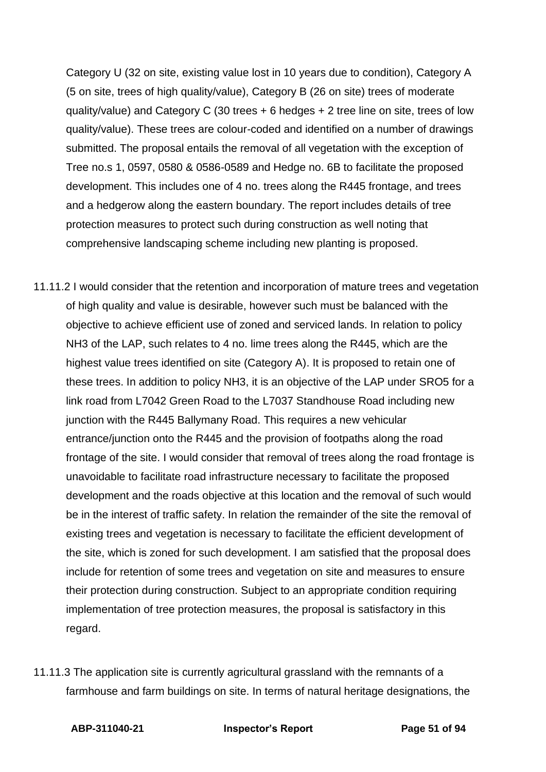Category U (32 on site, existing value lost in 10 years due to condition), Category A (5 on site, trees of high quality/value), Category B (26 on site) trees of moderate quality/value) and Category C (30 trees + 6 hedges + 2 tree line on site, trees of low quality/value). These trees are colour-coded and identified on a number of drawings submitted. The proposal entails the removal of all vegetation with the exception of Tree no.s 1, 0597, 0580 & 0586-0589 and Hedge no. 6B to facilitate the proposed development. This includes one of 4 no. trees along the R445 frontage, and trees and a hedgerow along the eastern boundary. The report includes details of tree protection measures to protect such during construction as well noting that comprehensive landscaping scheme including new planting is proposed.

- 11.11.2 I would consider that the retention and incorporation of mature trees and vegetation of high quality and value is desirable, however such must be balanced with the objective to achieve efficient use of zoned and serviced lands. In relation to policy NH3 of the LAP, such relates to 4 no. lime trees along the R445, which are the highest value trees identified on site (Category A). It is proposed to retain one of these trees. In addition to policy NH3, it is an objective of the LAP under SRO5 for a link road from L7042 Green Road to the L7037 Standhouse Road including new junction with the R445 Ballymany Road. This requires a new vehicular entrance/junction onto the R445 and the provision of footpaths along the road frontage of the site. I would consider that removal of trees along the road frontage is unavoidable to facilitate road infrastructure necessary to facilitate the proposed development and the roads objective at this location and the removal of such would be in the interest of traffic safety. In relation the remainder of the site the removal of existing trees and vegetation is necessary to facilitate the efficient development of the site, which is zoned for such development. I am satisfied that the proposal does include for retention of some trees and vegetation on site and measures to ensure their protection during construction. Subject to an appropriate condition requiring implementation of tree protection measures, the proposal is satisfactory in this regard.
- 11.11.3 The application site is currently agricultural grassland with the remnants of a farmhouse and farm buildings on site. In terms of natural heritage designations, the

**ABP-311040-21 Inspector's Report Page 51 of 94**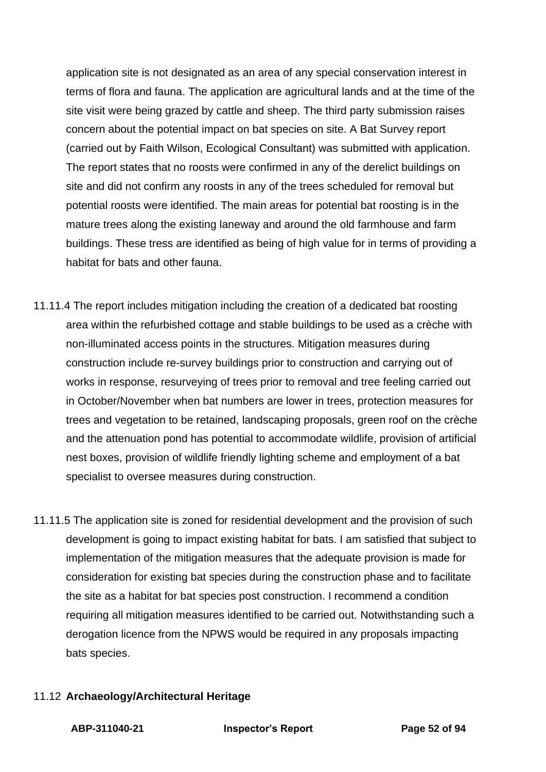application site is not designated as an area of any special conservation interest in terms of flora and fauna. The application are agricultural lands and at the time of the site visit were being grazed by cattle and sheep. The third party submission raises concern about the potential impact on bat species on site. A Bat Survey report (carried out by Faith Wilson, Ecological Consultant) was submitted with application. The report states that no roosts were confirmed in any of the derelict buildings on site and did not confirm any roosts in any of the trees scheduled for removal but potential roosts were identified. The main areas for potential bat roosting is in the mature trees along the existing laneway and around the old farmhouse and farm buildings. These tress are identified as being of high value for in terms of providing a habitat for bats and other fauna.

- 11.11.4 The report includes mitigation including the creation of a dedicated bat roosting area within the refurbished cottage and stable buildings to be used as a crèche with non-illuminated access points in the structures. Mitigation measures during construction include re-survey buildings prior to construction and carrying out of works in response, resurveying of trees prior to removal and tree feeling carried out in October/November when bat numbers are lower in trees, protection measures for trees and vegetation to be retained, landscaping proposals, green roof on the crèche and the attenuation pond has potential to accommodate wildlife, provision of artificial nest boxes, provision of wildlife friendly lighting scheme and employment of a bat specialist to oversee measures during construction.
- 11.11.5 The application site is zoned for residential development and the provision of such development is going to impact existing habitat for bats. I am satisfied that subject to implementation of the mitigation measures that the adequate provision is made for consideration for existing bat species during the construction phase and to facilitate the site as a habitat for bat species post construction. I recommend a condition requiring all mitigation measures identified to be carried out. Notwithstanding such a derogation licence from the NPWS would be required in any proposals impacting bats species.

### 11.12 **Archaeology/Architectural Heritage**

**ABP-311040-21 Inspector's Report Page 52 of 94**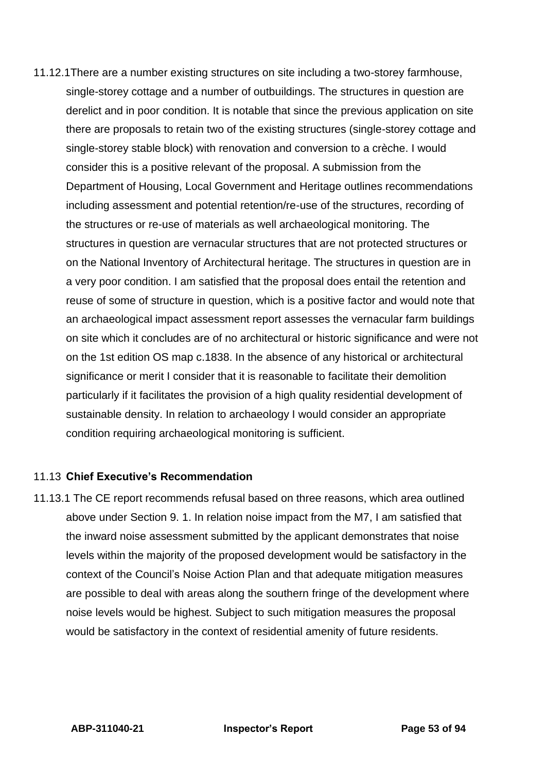11.12.1There are a number existing structures on site including a two-storey farmhouse, single-storey cottage and a number of outbuildings. The structures in question are derelict and in poor condition. It is notable that since the previous application on site there are proposals to retain two of the existing structures (single-storey cottage and single-storey stable block) with renovation and conversion to a crèche. I would consider this is a positive relevant of the proposal. A submission from the Department of Housing, Local Government and Heritage outlines recommendations including assessment and potential retention/re-use of the structures, recording of the structures or re-use of materials as well archaeological monitoring. The structures in question are vernacular structures that are not protected structures or on the National Inventory of Architectural heritage. The structures in question are in a very poor condition. I am satisfied that the proposal does entail the retention and reuse of some of structure in question, which is a positive factor and would note that an archaeological impact assessment report assesses the vernacular farm buildings on site which it concludes are of no architectural or historic significance and were not on the 1st edition OS map c.1838. In the absence of any historical or architectural significance or merit I consider that it is reasonable to facilitate their demolition particularly if it facilitates the provision of a high quality residential development of sustainable density. In relation to archaeology I would consider an appropriate condition requiring archaeological monitoring is sufficient.

### 11.13 **Chief Executive's Recommendation**

11.13.1 The CE report recommends refusal based on three reasons, which area outlined above under Section 9. 1. In relation noise impact from the M7, I am satisfied that the inward noise assessment submitted by the applicant demonstrates that noise levels within the majority of the proposed development would be satisfactory in the context of the Council's Noise Action Plan and that adequate mitigation measures are possible to deal with areas along the southern fringe of the development where noise levels would be highest. Subject to such mitigation measures the proposal would be satisfactory in the context of residential amenity of future residents.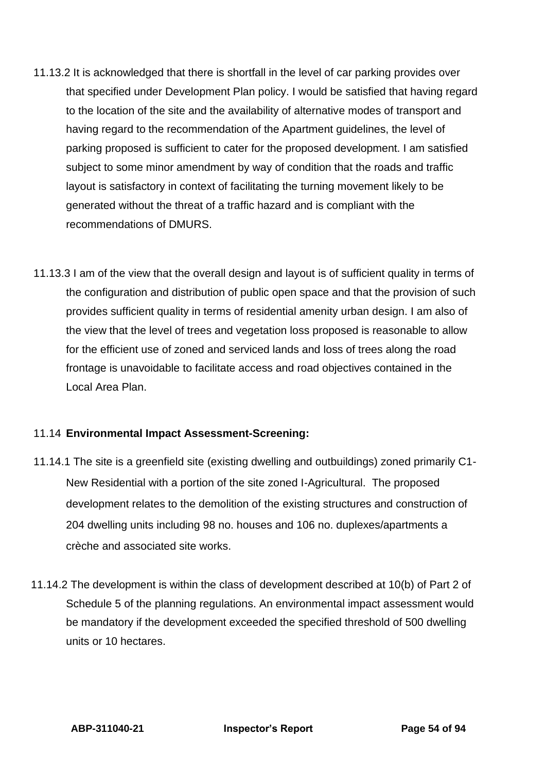- 11.13.2 It is acknowledged that there is shortfall in the level of car parking provides over that specified under Development Plan policy. I would be satisfied that having regard to the location of the site and the availability of alternative modes of transport and having regard to the recommendation of the Apartment guidelines, the level of parking proposed is sufficient to cater for the proposed development. I am satisfied subject to some minor amendment by way of condition that the roads and traffic layout is satisfactory in context of facilitating the turning movement likely to be generated without the threat of a traffic hazard and is compliant with the recommendations of DMURS.
- 11.13.3 I am of the view that the overall design and layout is of sufficient quality in terms of the configuration and distribution of public open space and that the provision of such provides sufficient quality in terms of residential amenity urban design. I am also of the view that the level of trees and vegetation loss proposed is reasonable to allow for the efficient use of zoned and serviced lands and loss of trees along the road frontage is unavoidable to facilitate access and road objectives contained in the Local Area Plan.

### 11.14 **Environmental Impact Assessment-Screening:**

- 11.14.1 The site is a greenfield site (existing dwelling and outbuildings) zoned primarily C1- New Residential with a portion of the site zoned I-Agricultural. The proposed development relates to the demolition of the existing structures and construction of 204 dwelling units including 98 no. houses and 106 no. duplexes/apartments a crèche and associated site works.
- 11.14.2 The development is within the class of development described at 10(b) of Part 2 of Schedule 5 of the planning regulations. An environmental impact assessment would be mandatory if the development exceeded the specified threshold of 500 dwelling units or 10 hectares.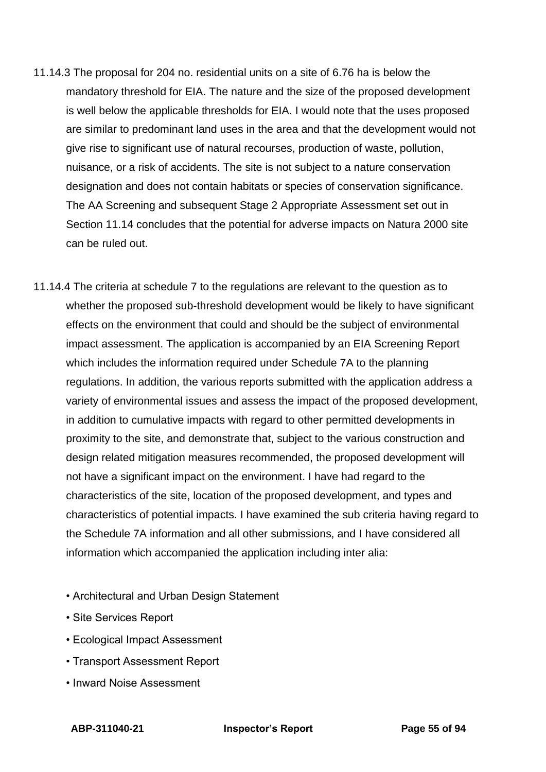- 11.14.3 The proposal for 204 no. residential units on a site of 6.76 ha is below the mandatory threshold for EIA. The nature and the size of the proposed development is well below the applicable thresholds for EIA. I would note that the uses proposed are similar to predominant land uses in the area and that the development would not give rise to significant use of natural recourses, production of waste, pollution, nuisance, or a risk of accidents. The site is not subject to a nature conservation designation and does not contain habitats or species of conservation significance. The AA Screening and subsequent Stage 2 Appropriate Assessment set out in Section 11.14 concludes that the potential for adverse impacts on Natura 2000 site can be ruled out.
- 11.14.4 The criteria at schedule 7 to the regulations are relevant to the question as to whether the proposed sub-threshold development would be likely to have significant effects on the environment that could and should be the subject of environmental impact assessment. The application is accompanied by an EIA Screening Report which includes the information required under Schedule 7A to the planning regulations. In addition, the various reports submitted with the application address a variety of environmental issues and assess the impact of the proposed development, in addition to cumulative impacts with regard to other permitted developments in proximity to the site, and demonstrate that, subject to the various construction and design related mitigation measures recommended, the proposed development will not have a significant impact on the environment. I have had regard to the characteristics of the site, location of the proposed development, and types and characteristics of potential impacts. I have examined the sub criteria having regard to the Schedule 7A information and all other submissions, and I have considered all information which accompanied the application including inter alia:
	- Architectural and Urban Design Statement
	- Site Services Report
	- Ecological Impact Assessment
	- Transport Assessment Report
	- Inward Noise Assessment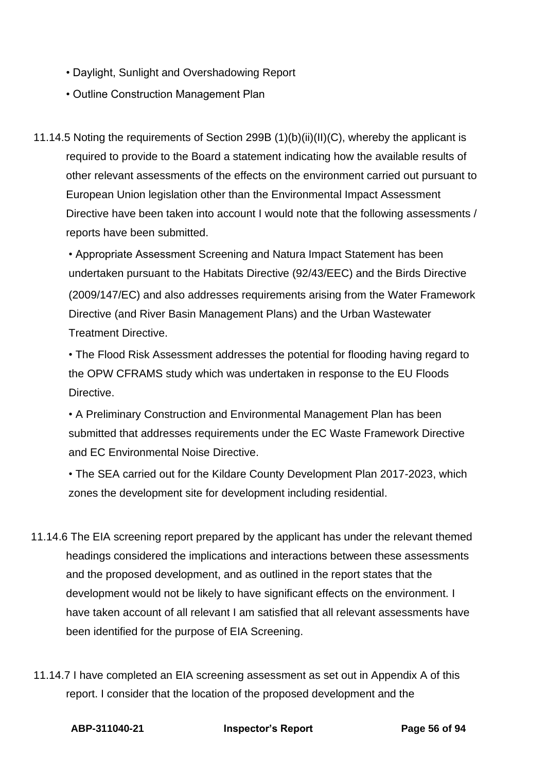- Daylight, Sunlight and Overshadowing Report
- Outline Construction Management Plan
- 11.14.5 Noting the requirements of Section 299B (1)(b)(ii)(II)(C), whereby the applicant is required to provide to the Board a statement indicating how the available results of other relevant assessments of the effects on the environment carried out pursuant to European Union legislation other than the Environmental Impact Assessment Directive have been taken into account I would note that the following assessments / reports have been submitted.

• Appropriate Assessment Screening and Natura Impact Statement has been undertaken pursuant to the Habitats Directive (92/43/EEC) and the Birds Directive (2009/147/EC) and also addresses requirements arising from the Water Framework Directive (and River Basin Management Plans) and the Urban Wastewater Treatment Directive.

• The Flood Risk Assessment addresses the potential for flooding having regard to the OPW CFRAMS study which was undertaken in response to the EU Floods Directive.

• A Preliminary Construction and Environmental Management Plan has been submitted that addresses requirements under the EC Waste Framework Directive and EC Environmental Noise Directive.

• The SEA carried out for the Kildare County Development Plan 2017-2023, which zones the development site for development including residential.

- 11.14.6 The EIA screening report prepared by the applicant has under the relevant themed headings considered the implications and interactions between these assessments and the proposed development, and as outlined in the report states that the development would not be likely to have significant effects on the environment. I have taken account of all relevant I am satisfied that all relevant assessments have been identified for the purpose of EIA Screening.
- 11.14.7 I have completed an EIA screening assessment as set out in Appendix A of this report. I consider that the location of the proposed development and the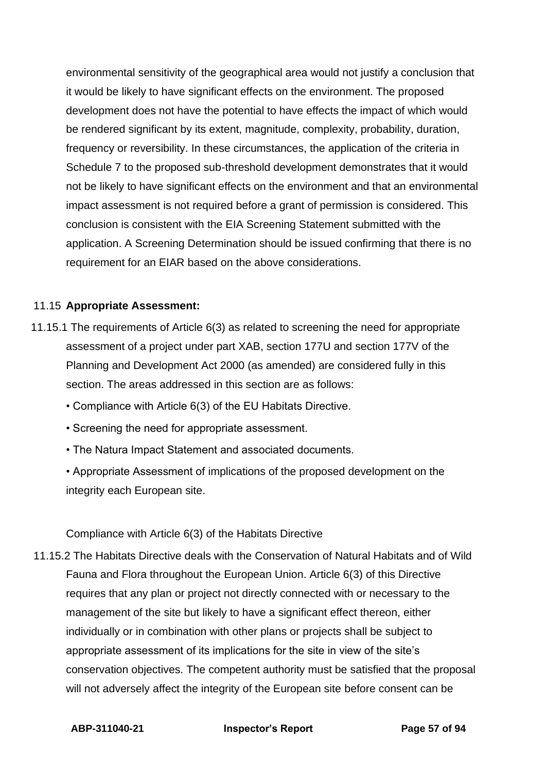environmental sensitivity of the geographical area would not justify a conclusion that it would be likely to have significant effects on the environment. The proposed development does not have the potential to have effects the impact of which would be rendered significant by its extent, magnitude, complexity, probability, duration, frequency or reversibility. In these circumstances, the application of the criteria in Schedule 7 to the proposed sub-threshold development demonstrates that it would not be likely to have significant effects on the environment and that an environmental impact assessment is not required before a grant of permission is considered. This conclusion is consistent with the EIA Screening Statement submitted with the application. A Screening Determination should be issued confirming that there is no requirement for an EIAR based on the above considerations.

## 11.15 **Appropriate Assessment:**

- 11.15.1 The requirements of Article 6(3) as related to screening the need for appropriate assessment of a project under part XAB, section 177U and section 177V of the Planning and Development Act 2000 (as amended) are considered fully in this section. The areas addressed in this section are as follows:
	- Compliance with Article 6(3) of the EU Habitats Directive.
	- Screening the need for appropriate assessment.
	- The Natura Impact Statement and associated documents.
	- Appropriate Assessment of implications of the proposed development on the integrity each European site.

### Compliance with Article 6(3) of the Habitats Directive

11.15.2 The Habitats Directive deals with the Conservation of Natural Habitats and of Wild Fauna and Flora throughout the European Union. Article 6(3) of this Directive requires that any plan or project not directly connected with or necessary to the management of the site but likely to have a significant effect thereon, either individually or in combination with other plans or projects shall be subject to appropriate assessment of its implications for the site in view of the site's conservation objectives. The competent authority must be satisfied that the proposal will not adversely affect the integrity of the European site before consent can be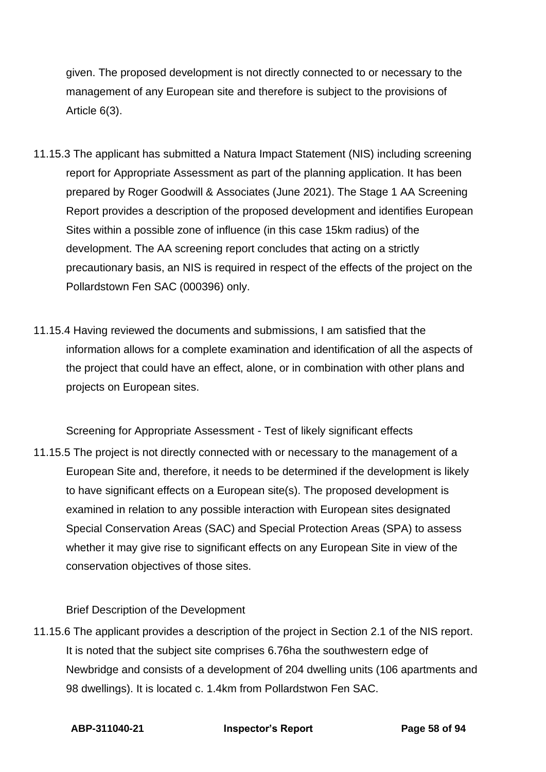given. The proposed development is not directly connected to or necessary to the management of any European site and therefore is subject to the provisions of Article 6(3).

- 11.15.3 The applicant has submitted a Natura Impact Statement (NIS) including screening report for Appropriate Assessment as part of the planning application. It has been prepared by Roger Goodwill & Associates (June 2021). The Stage 1 AA Screening Report provides a description of the proposed development and identifies European Sites within a possible zone of influence (in this case 15km radius) of the development. The AA screening report concludes that acting on a strictly precautionary basis, an NIS is required in respect of the effects of the project on the Pollardstown Fen SAC (000396) only.
- 11.15.4 Having reviewed the documents and submissions, I am satisfied that the information allows for a complete examination and identification of all the aspects of the project that could have an effect, alone, or in combination with other plans and projects on European sites.

Screening for Appropriate Assessment - Test of likely significant effects

11.15.5 The project is not directly connected with or necessary to the management of a European Site and, therefore, it needs to be determined if the development is likely to have significant effects on a European site(s). The proposed development is examined in relation to any possible interaction with European sites designated Special Conservation Areas (SAC) and Special Protection Areas (SPA) to assess whether it may give rise to significant effects on any European Site in view of the conservation objectives of those sites.

### Brief Description of the Development

11.15.6 The applicant provides a description of the project in Section 2.1 of the NIS report. It is noted that the subject site comprises 6.76ha the southwestern edge of Newbridge and consists of a development of 204 dwelling units (106 apartments and 98 dwellings). It is located c. 1.4km from Pollardstwon Fen SAC.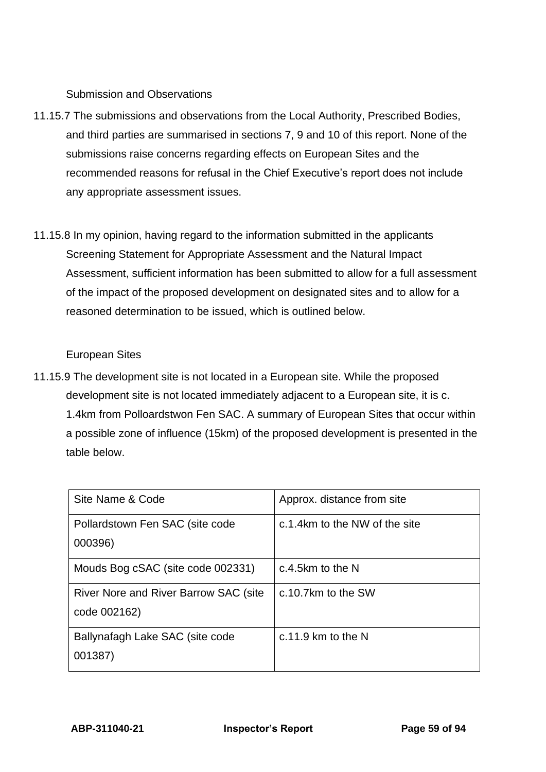Submission and Observations

- 11.15.7 The submissions and observations from the Local Authority, Prescribed Bodies, and third parties are summarised in sections 7, 9 and 10 of this report. None of the submissions raise concerns regarding effects on European Sites and the recommended reasons for refusal in the Chief Executive's report does not include any appropriate assessment issues.
- 11.15.8 In my opinion, having regard to the information submitted in the applicants Screening Statement for Appropriate Assessment and the Natural Impact Assessment, sufficient information has been submitted to allow for a full assessment of the impact of the proposed development on designated sites and to allow for a reasoned determination to be issued, which is outlined below.

# European Sites

11.15.9 The development site is not located in a European site. While the proposed development site is not located immediately adjacent to a European site, it is c. 1.4km from Polloardstwon Fen SAC. A summary of European Sites that occur within a possible zone of influence (15km) of the proposed development is presented in the table below.

| Site Name & Code                                              | Approx. distance from site    |
|---------------------------------------------------------------|-------------------------------|
| Pollardstown Fen SAC (site code<br>000396)                    | c.1.4km to the NW of the site |
| Mouds Bog cSAC (site code 002331)                             | c.4.5km to the N              |
| <b>River Nore and River Barrow SAC (site)</b><br>code 002162) | c.10.7km to the SW            |
| Ballynafagh Lake SAC (site code<br>001387)                    | $c.11.9$ km to the N          |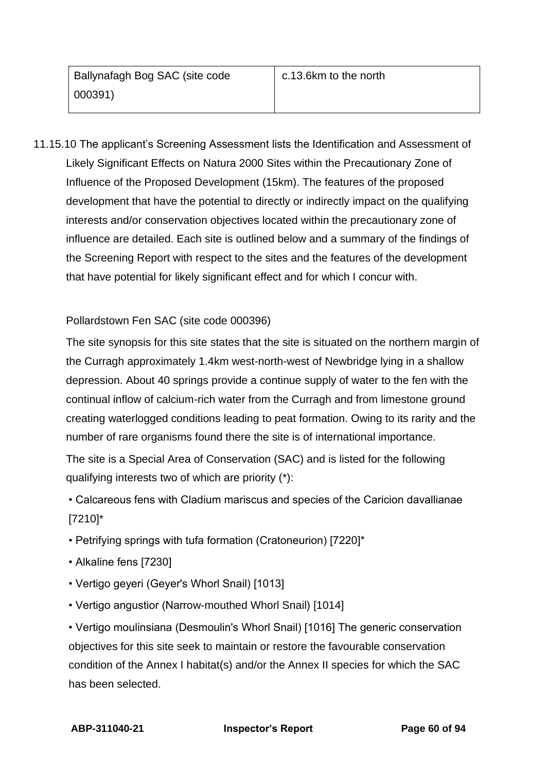11.15.10 The applicant's Screening Assessment lists the Identification and Assessment of Likely Significant Effects on Natura 2000 Sites within the Precautionary Zone of Influence of the Proposed Development (15km). The features of the proposed development that have the potential to directly or indirectly impact on the qualifying interests and/or conservation objectives located within the precautionary zone of influence are detailed. Each site is outlined below and a summary of the findings of the Screening Report with respect to the sites and the features of the development that have potential for likely significant effect and for which I concur with.

# Pollardstown Fen SAC (site code 000396)

The site synopsis for this site states that the site is situated on the northern margin of the Curragh approximately 1.4km west-north-west of Newbridge lying in a shallow depression. About 40 springs provide a continue supply of water to the fen with the continual inflow of calcium-rich water from the Curragh and from limestone ground creating waterlogged conditions leading to peat formation. Owing to its rarity and the number of rare organisms found there the site is of international importance.

The site is a Special Area of Conservation (SAC) and is listed for the following qualifying interests two of which are priority (\*):

- Calcareous fens with Cladium mariscus and species of the Caricion davallianae [7210]\*
- Petrifying springs with tufa formation (Cratoneurion) [7220]\*
- Alkaline fens [7230]
- Vertigo geyeri (Geyer's Whorl Snail) [1013]
- Vertigo angustior (Narrow-mouthed Whorl Snail) [1014]

• Vertigo moulinsiana (Desmoulin's Whorl Snail) [1016] The generic conservation objectives for this site seek to maintain or restore the favourable conservation condition of the Annex I habitat(s) and/or the Annex II species for which the SAC has been selected.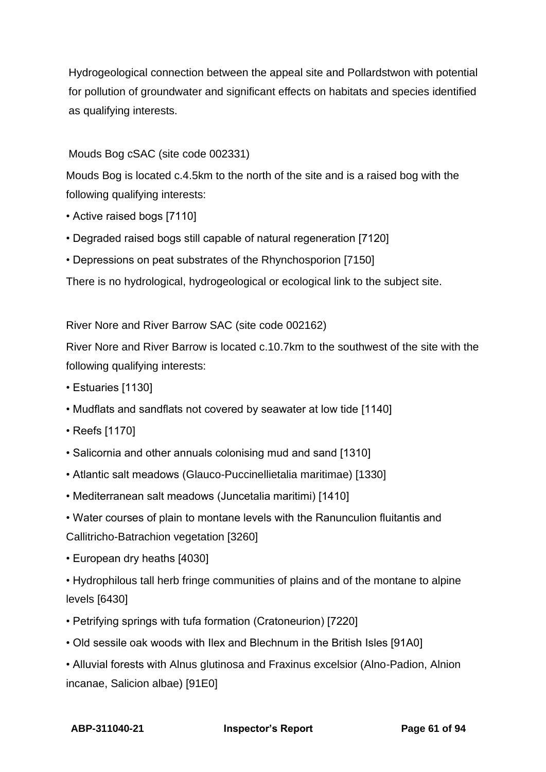Hydrogeological connection between the appeal site and Pollardstwon with potential for pollution of groundwater and significant effects on habitats and species identified as qualifying interests.

# Mouds Bog cSAC (site code 002331)

Mouds Bog is located c.4.5km to the north of the site and is a raised bog with the following qualifying interests:

- Active raised bogs [7110]
- Degraded raised bogs still capable of natural regeneration [7120]
- Depressions on peat substrates of the Rhynchosporion [7150]

There is no hydrological, hydrogeological or ecological link to the subject site.

River Nore and River Barrow SAC (site code 002162)

River Nore and River Barrow is located c.10.7km to the southwest of the site with the following qualifying interests:

- Estuaries [1130]
- Mudflats and sandflats not covered by seawater at low tide [1140]
- Reefs [1170]
- Salicornia and other annuals colonising mud and sand [1310]
- Atlantic salt meadows (Glauco-Puccinellietalia maritimae) [1330]
- Mediterranean salt meadows (Juncetalia maritimi) [1410]
- Water courses of plain to montane levels with the Ranunculion fluitantis and Callitricho-Batrachion vegetation [3260]
- European dry heaths [4030]
- Hydrophilous tall herb fringe communities of plains and of the montane to alpine levels [6430]
- Petrifying springs with tufa formation (Cratoneurion) [7220]
- Old sessile oak woods with Ilex and Blechnum in the British Isles [91A0]
- Alluvial forests with Alnus glutinosa and Fraxinus excelsior (Alno-Padion, Alnion incanae, Salicion albae) [91E0]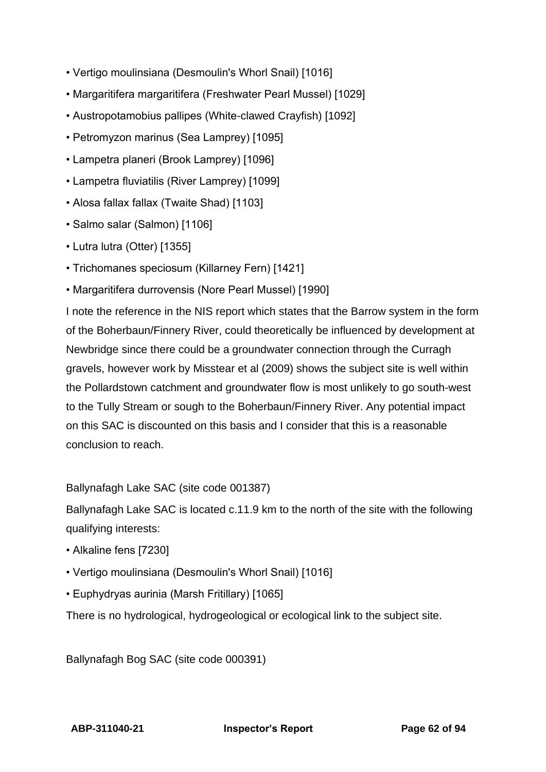- Vertigo moulinsiana (Desmoulin's Whorl Snail) [1016]
- Margaritifera margaritifera (Freshwater Pearl Mussel) [1029]
- Austropotamobius pallipes (White-clawed Crayfish) [1092]
- Petromyzon marinus (Sea Lamprey) [1095]
- Lampetra planeri (Brook Lamprey) [1096]
- Lampetra fluviatilis (River Lamprey) [1099]
- Alosa fallax fallax (Twaite Shad) [1103]
- Salmo salar (Salmon) [1106]
- Lutra lutra (Otter) [1355]
- Trichomanes speciosum (Killarney Fern) [1421]
- Margaritifera durrovensis (Nore Pearl Mussel) [1990]

I note the reference in the NIS report which states that the Barrow system in the form of the Boherbaun/Finnery River, could theoretically be influenced by development at Newbridge since there could be a groundwater connection through the Curragh gravels, however work by Misstear et al (2009) shows the subject site is well within the Pollardstown catchment and groundwater flow is most unlikely to go south-west to the Tully Stream or sough to the Boherbaun/Finnery River. Any potential impact on this SAC is discounted on this basis and I consider that this is a reasonable conclusion to reach.

Ballynafagh Lake SAC (site code 001387)

Ballynafagh Lake SAC is located c.11.9 km to the north of the site with the following qualifying interests:

- Alkaline fens [7230]
- Vertigo moulinsiana (Desmoulin's Whorl Snail) [1016]
- Euphydryas aurinia (Marsh Fritillary) [1065]

There is no hydrological, hydrogeological or ecological link to the subject site.

Ballynafagh Bog SAC (site code 000391)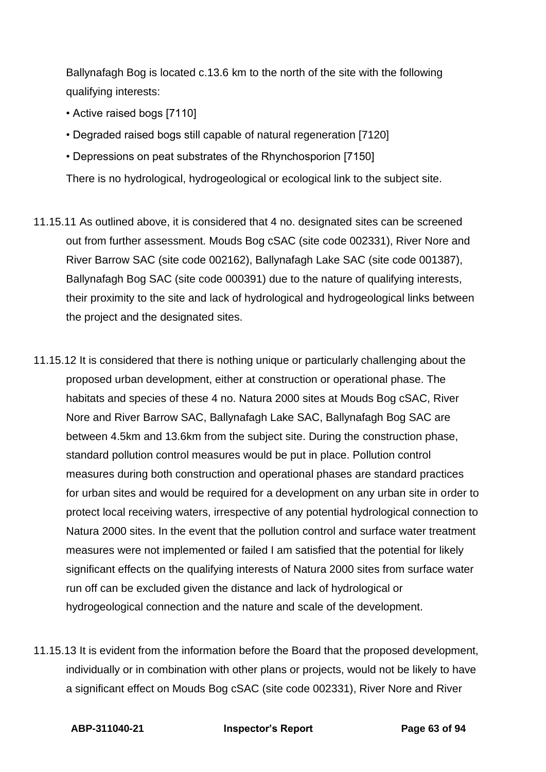Ballynafagh Bog is located c.13.6 km to the north of the site with the following qualifying interests:

- Active raised bogs [7110]
- Degraded raised bogs still capable of natural regeneration [7120]
- Depressions on peat substrates of the Rhynchosporion [7150]
- There is no hydrological, hydrogeological or ecological link to the subject site.
- 11.15.11 As outlined above, it is considered that 4 no. designated sites can be screened out from further assessment. Mouds Bog cSAC (site code 002331), River Nore and River Barrow SAC (site code 002162), Ballynafagh Lake SAC (site code 001387), Ballynafagh Bog SAC (site code 000391) due to the nature of qualifying interests, their proximity to the site and lack of hydrological and hydrogeological links between the project and the designated sites.
- 11.15.12 It is considered that there is nothing unique or particularly challenging about the proposed urban development, either at construction or operational phase. The habitats and species of these 4 no. Natura 2000 sites at Mouds Bog cSAC, River Nore and River Barrow SAC, Ballynafagh Lake SAC, Ballynafagh Bog SAC are between 4.5km and 13.6km from the subject site. During the construction phase, standard pollution control measures would be put in place. Pollution control measures during both construction and operational phases are standard practices for urban sites and would be required for a development on any urban site in order to protect local receiving waters, irrespective of any potential hydrological connection to Natura 2000 sites. In the event that the pollution control and surface water treatment measures were not implemented or failed I am satisfied that the potential for likely significant effects on the qualifying interests of Natura 2000 sites from surface water run off can be excluded given the distance and lack of hydrological or hydrogeological connection and the nature and scale of the development.
- 11.15.13 It is evident from the information before the Board that the proposed development, individually or in combination with other plans or projects, would not be likely to have a significant effect on Mouds Bog cSAC (site code 002331), River Nore and River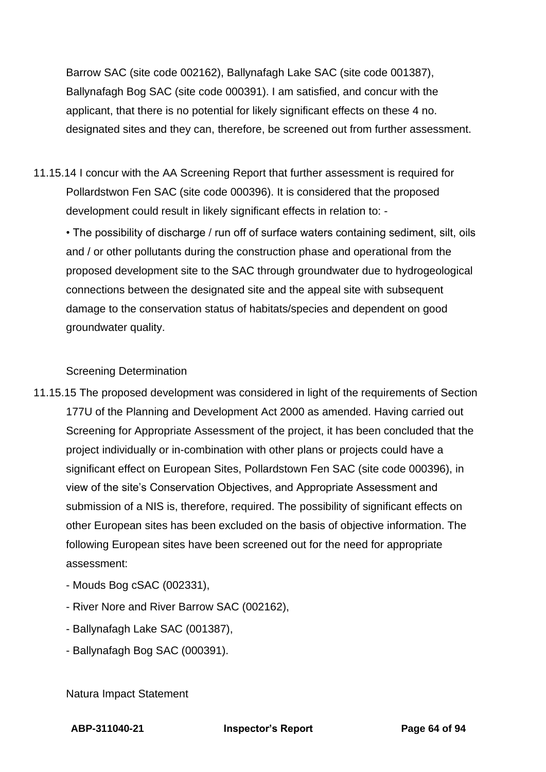Barrow SAC (site code 002162), Ballynafagh Lake SAC (site code 001387), Ballynafagh Bog SAC (site code 000391). I am satisfied, and concur with the applicant, that there is no potential for likely significant effects on these 4 no. designated sites and they can, therefore, be screened out from further assessment.

11.15.14 I concur with the AA Screening Report that further assessment is required for Pollardstwon Fen SAC (site code 000396). It is considered that the proposed development could result in likely significant effects in relation to: -

• The possibility of discharge / run off of surface waters containing sediment, silt, oils and / or other pollutants during the construction phase and operational from the proposed development site to the SAC through groundwater due to hydrogeological connections between the designated site and the appeal site with subsequent damage to the conservation status of habitats/species and dependent on good groundwater quality.

# Screening Determination

- 11.15.15 The proposed development was considered in light of the requirements of Section 177U of the Planning and Development Act 2000 as amended. Having carried out Screening for Appropriate Assessment of the project, it has been concluded that the project individually or in-combination with other plans or projects could have a significant effect on European Sites, Pollardstown Fen SAC (site code 000396), in view of the site's Conservation Objectives, and Appropriate Assessment and submission of a NIS is, therefore, required. The possibility of significant effects on other European sites has been excluded on the basis of objective information. The following European sites have been screened out for the need for appropriate assessment:
	- Mouds Bog cSAC (002331),
	- River Nore and River Barrow SAC (002162),
	- Ballynafagh Lake SAC (001387),
	- Ballynafagh Bog SAC (000391).

Natura Impact Statement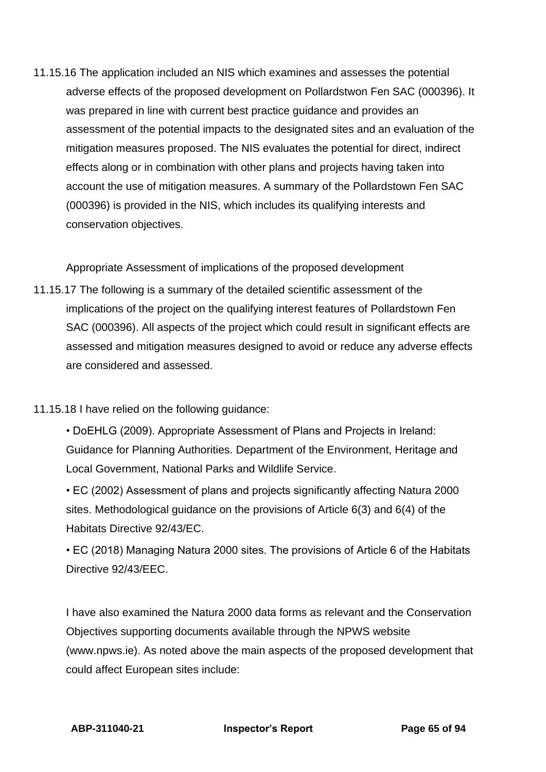11.15.16 The application included an NIS which examines and assesses the potential adverse effects of the proposed development on Pollardstwon Fen SAC (000396). It was prepared in line with current best practice guidance and provides an assessment of the potential impacts to the designated sites and an evaluation of the mitigation measures proposed. The NIS evaluates the potential for direct, indirect effects along or in combination with other plans and projects having taken into account the use of mitigation measures. A summary of the Pollardstown Fen SAC (000396) is provided in the NIS, which includes its qualifying interests and conservation objectives.

Appropriate Assessment of implications of the proposed development

- 11.15.17 The following is a summary of the detailed scientific assessment of the implications of the project on the qualifying interest features of Pollardstown Fen SAC (000396). All aspects of the project which could result in significant effects are assessed and mitigation measures designed to avoid or reduce any adverse effects are considered and assessed.
- 11.15.18 I have relied on the following guidance:
	- DoEHLG (2009). Appropriate Assessment of Plans and Projects in Ireland: Guidance for Planning Authorities. Department of the Environment, Heritage and Local Government, National Parks and Wildlife Service.
	- EC (2002) Assessment of plans and projects significantly affecting Natura 2000 sites. Methodological guidance on the provisions of Article 6(3) and 6(4) of the Habitats Directive 92/43/EC.
	- EC (2018) Managing Natura 2000 sites. The provisions of Article 6 of the Habitats Directive 92/43/EEC.

I have also examined the Natura 2000 data forms as relevant and the Conservation Objectives supporting documents available through the NPWS website (www.npws.ie). As noted above the main aspects of the proposed development that could affect European sites include: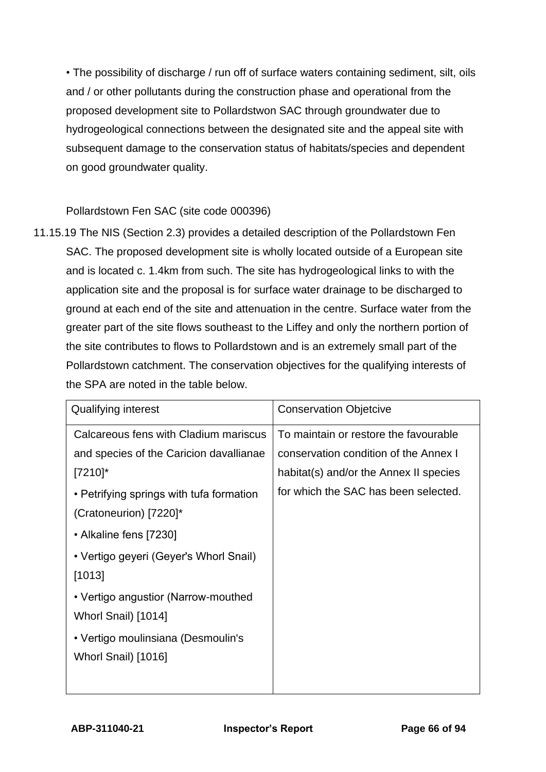• The possibility of discharge / run off of surface waters containing sediment, silt, oils and / or other pollutants during the construction phase and operational from the proposed development site to Pollardstwon SAC through groundwater due to hydrogeological connections between the designated site and the appeal site with subsequent damage to the conservation status of habitats/species and dependent on good groundwater quality.

## Pollardstown Fen SAC (site code 000396)

11.15.19 The NIS (Section 2.3) provides a detailed description of the Pollardstown Fen SAC. The proposed development site is wholly located outside of a European site and is located c. 1.4km from such. The site has hydrogeological links to with the application site and the proposal is for surface water drainage to be discharged to ground at each end of the site and attenuation in the centre. Surface water from the greater part of the site flows southeast to the Liffey and only the northern portion of the site contributes to flows to Pollardstown and is an extremely small part of the Pollardstown catchment. The conservation objectives for the qualifying interests of the SPA are noted in the table below.

| <b>Qualifying interest</b>               | <b>Conservation Objetcive</b>          |  |
|------------------------------------------|----------------------------------------|--|
| Calcareous fens with Cladium mariscus    | To maintain or restore the favourable  |  |
| and species of the Caricion davallianae  | conservation condition of the Annex I  |  |
| $[7210]$ *                               | habitat(s) and/or the Annex II species |  |
| • Petrifying springs with tufa formation | for which the SAC has been selected.   |  |
| (Cratoneurion) [7220]*                   |                                        |  |
| • Alkaline fens [7230]                   |                                        |  |
| • Vertigo geyeri (Geyer's Whorl Snail)   |                                        |  |
| [1013]                                   |                                        |  |
| • Vertigo angustior (Narrow-mouthed      |                                        |  |
| Whorl Snail) [1014]                      |                                        |  |
| • Vertigo moulinsiana (Desmoulin's       |                                        |  |
| Whorl Snail) [1016]                      |                                        |  |
|                                          |                                        |  |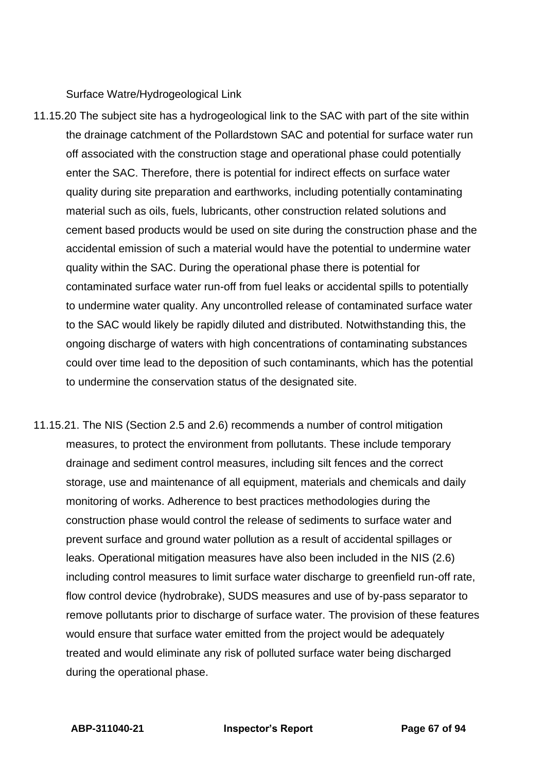Surface Watre/Hydrogeological Link

- 11.15.20 The subject site has a hydrogeological link to the SAC with part of the site within the drainage catchment of the Pollardstown SAC and potential for surface water run off associated with the construction stage and operational phase could potentially enter the SAC. Therefore, there is potential for indirect effects on surface water quality during site preparation and earthworks, including potentially contaminating material such as oils, fuels, lubricants, other construction related solutions and cement based products would be used on site during the construction phase and the accidental emission of such a material would have the potential to undermine water quality within the SAC. During the operational phase there is potential for contaminated surface water run-off from fuel leaks or accidental spills to potentially to undermine water quality. Any uncontrolled release of contaminated surface water to the SAC would likely be rapidly diluted and distributed. Notwithstanding this, the ongoing discharge of waters with high concentrations of contaminating substances could over time lead to the deposition of such contaminants, which has the potential to undermine the conservation status of the designated site.
- 11.15.21. The NIS (Section 2.5 and 2.6) recommends a number of control mitigation measures, to protect the environment from pollutants. These include temporary drainage and sediment control measures, including silt fences and the correct storage, use and maintenance of all equipment, materials and chemicals and daily monitoring of works. Adherence to best practices methodologies during the construction phase would control the release of sediments to surface water and prevent surface and ground water pollution as a result of accidental spillages or leaks. Operational mitigation measures have also been included in the NIS (2.6) including control measures to limit surface water discharge to greenfield run-off rate, flow control device (hydrobrake), SUDS measures and use of by-pass separator to remove pollutants prior to discharge of surface water. The provision of these features would ensure that surface water emitted from the project would be adequately treated and would eliminate any risk of polluted surface water being discharged during the operational phase.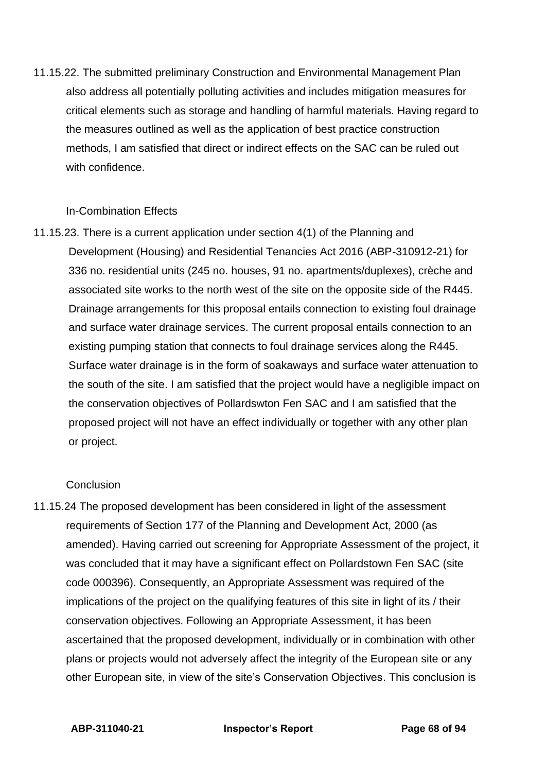11.15.22. The submitted preliminary Construction and Environmental Management Plan also address all potentially polluting activities and includes mitigation measures for critical elements such as storage and handling of harmful materials. Having regard to the measures outlined as well as the application of best practice construction methods, I am satisfied that direct or indirect effects on the SAC can be ruled out with confidence.

### In-Combination Effects

11.15.23. There is a current application under section 4(1) of the Planning and Development (Housing) and Residential Tenancies Act 2016 (ABP-310912-21) for 336 no. residential units (245 no. houses, 91 no. apartments/duplexes), crèche and associated site works to the north west of the site on the opposite side of the R445. Drainage arrangements for this proposal entails connection to existing foul drainage and surface water drainage services. The current proposal entails connection to an existing pumping station that connects to foul drainage services along the R445. Surface water drainage is in the form of soakaways and surface water attenuation to the south of the site. I am satisfied that the project would have a negligible impact on the conservation objectives of Pollardswton Fen SAC and I am satisfied that the proposed project will not have an effect individually or together with any other plan or project.

### **Conclusion**

11.15.24 The proposed development has been considered in light of the assessment requirements of Section 177 of the Planning and Development Act, 2000 (as amended). Having carried out screening for Appropriate Assessment of the project, it was concluded that it may have a significant effect on Pollardstown Fen SAC (site code 000396). Consequently, an Appropriate Assessment was required of the implications of the project on the qualifying features of this site in light of its / their conservation objectives. Following an Appropriate Assessment, it has been ascertained that the proposed development, individually or in combination with other plans or projects would not adversely affect the integrity of the European site or any other European site, in view of the site's Conservation Objectives. This conclusion is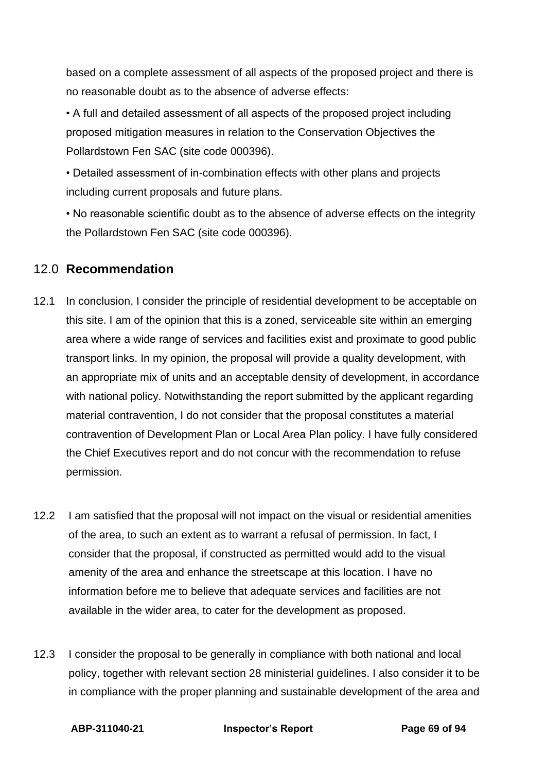based on a complete assessment of all aspects of the proposed project and there is no reasonable doubt as to the absence of adverse effects:

• A full and detailed assessment of all aspects of the proposed project including proposed mitigation measures in relation to the Conservation Objectives the Pollardstown Fen SAC (site code 000396).

• Detailed assessment of in-combination effects with other plans and projects including current proposals and future plans.

• No reasonable scientific doubt as to the absence of adverse effects on the integrity the Pollardstown Fen SAC (site code 000396).

# 12.0 **Recommendation**

- 12.1 In conclusion, I consider the principle of residential development to be acceptable on this site. I am of the opinion that this is a zoned, serviceable site within an emerging area where a wide range of services and facilities exist and proximate to good public transport links. In my opinion, the proposal will provide a quality development, with an appropriate mix of units and an acceptable density of development, in accordance with national policy. Notwithstanding the report submitted by the applicant regarding material contravention, I do not consider that the proposal constitutes a material contravention of Development Plan or Local Area Plan policy. I have fully considered the Chief Executives report and do not concur with the recommendation to refuse permission.
- 12.2 I am satisfied that the proposal will not impact on the visual or residential amenities of the area, to such an extent as to warrant a refusal of permission. In fact, I consider that the proposal, if constructed as permitted would add to the visual amenity of the area and enhance the streetscape at this location. I have no information before me to believe that adequate services and facilities are not available in the wider area, to cater for the development as proposed.
- 12.3 I consider the proposal to be generally in compliance with both national and local policy, together with relevant section 28 ministerial guidelines. I also consider it to be in compliance with the proper planning and sustainable development of the area and

**ABP-311040-21 Inspector's Report Page 69 of 94**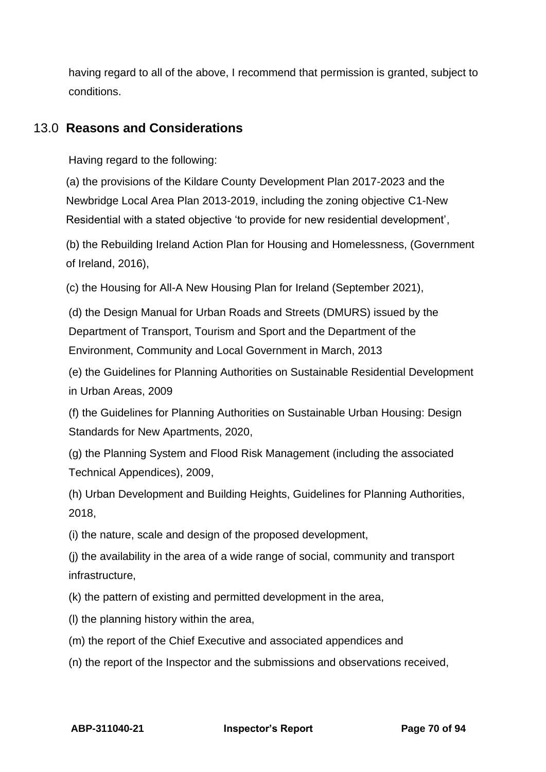having regard to all of the above, I recommend that permission is granted, subject to conditions.

# 13.0 **Reasons and Considerations**

Having regard to the following:

(a) the provisions of the Kildare County Development Plan 2017-2023 and the Newbridge Local Area Plan 2013-2019, including the zoning objective C1-New Residential with a stated objective 'to provide for new residential development',

(b) the Rebuilding Ireland Action Plan for Housing and Homelessness, (Government of Ireland, 2016),

(c) the Housing for All-A New Housing Plan for Ireland (September 2021),

(d) the Design Manual for Urban Roads and Streets (DMURS) issued by the Department of Transport, Tourism and Sport and the Department of the Environment, Community and Local Government in March, 2013

(e) the Guidelines for Planning Authorities on Sustainable Residential Development in Urban Areas, 2009

(f) the Guidelines for Planning Authorities on Sustainable Urban Housing: Design Standards for New Apartments, 2020,

(g) the Planning System and Flood Risk Management (including the associated Technical Appendices), 2009,

(h) Urban Development and Building Heights, Guidelines for Planning Authorities, 2018,

(i) the nature, scale and design of the proposed development,

(j) the availability in the area of a wide range of social, community and transport infrastructure,

(k) the pattern of existing and permitted development in the area,

(l) the planning history within the area,

(m) the report of the Chief Executive and associated appendices and

(n) the report of the Inspector and the submissions and observations received,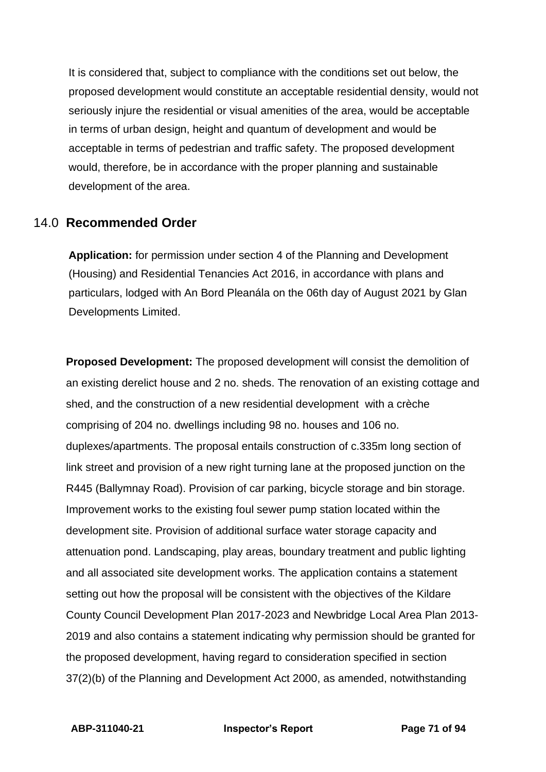It is considered that, subject to compliance with the conditions set out below, the proposed development would constitute an acceptable residential density, would not seriously injure the residential or visual amenities of the area, would be acceptable in terms of urban design, height and quantum of development and would be acceptable in terms of pedestrian and traffic safety. The proposed development would, therefore, be in accordance with the proper planning and sustainable development of the area.

# 14.0 **Recommended Order**

**Application:** for permission under section 4 of the Planning and Development (Housing) and Residential Tenancies Act 2016, in accordance with plans and particulars, lodged with An Bord Pleanála on the 06th day of August 2021 by Glan Developments Limited.

**Proposed Development:** The proposed development will consist the demolition of an existing derelict house and 2 no. sheds. The renovation of an existing cottage and shed, and the construction of a new residential development with a crèche comprising of 204 no. dwellings including 98 no. houses and 106 no. duplexes/apartments. The proposal entails construction of c.335m long section of link street and provision of a new right turning lane at the proposed junction on the R445 (Ballymnay Road). Provision of car parking, bicycle storage and bin storage. Improvement works to the existing foul sewer pump station located within the development site. Provision of additional surface water storage capacity and attenuation pond. Landscaping, play areas, boundary treatment and public lighting and all associated site development works. The application contains a statement setting out how the proposal will be consistent with the objectives of the Kildare County Council Development Plan 2017-2023 and Newbridge Local Area Plan 2013- 2019 and also contains a statement indicating why permission should be granted for the proposed development, having regard to consideration specified in section 37(2)(b) of the Planning and Development Act 2000, as amended, notwithstanding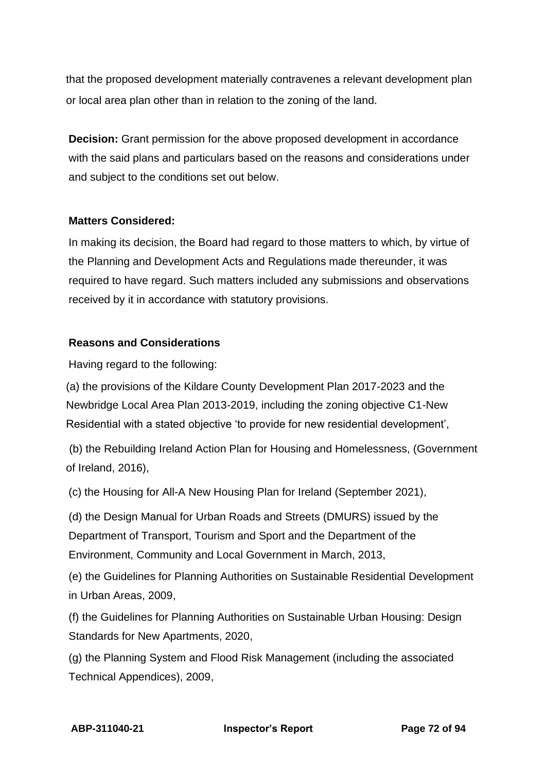that the proposed development materially contravenes a relevant development plan or local area plan other than in relation to the zoning of the land.

**Decision:** Grant permission for the above proposed development in accordance with the said plans and particulars based on the reasons and considerations under and subject to the conditions set out below.

### **Matters Considered:**

In making its decision, the Board had regard to those matters to which, by virtue of the Planning and Development Acts and Regulations made thereunder, it was required to have regard. Such matters included any submissions and observations received by it in accordance with statutory provisions.

# **Reasons and Considerations**

Having regard to the following:

(a) the provisions of the Kildare County Development Plan 2017-2023 and the Newbridge Local Area Plan 2013-2019, including the zoning objective C1-New Residential with a stated objective 'to provide for new residential development',

(b) the Rebuilding Ireland Action Plan for Housing and Homelessness, (Government of Ireland, 2016),

(c) the Housing for All-A New Housing Plan for Ireland (September 2021),

(d) the Design Manual for Urban Roads and Streets (DMURS) issued by the Department of Transport, Tourism and Sport and the Department of the Environment, Community and Local Government in March, 2013,

(e) the Guidelines for Planning Authorities on Sustainable Residential Development in Urban Areas, 2009,

(f) the Guidelines for Planning Authorities on Sustainable Urban Housing: Design Standards for New Apartments, 2020,

(g) the Planning System and Flood Risk Management (including the associated Technical Appendices), 2009,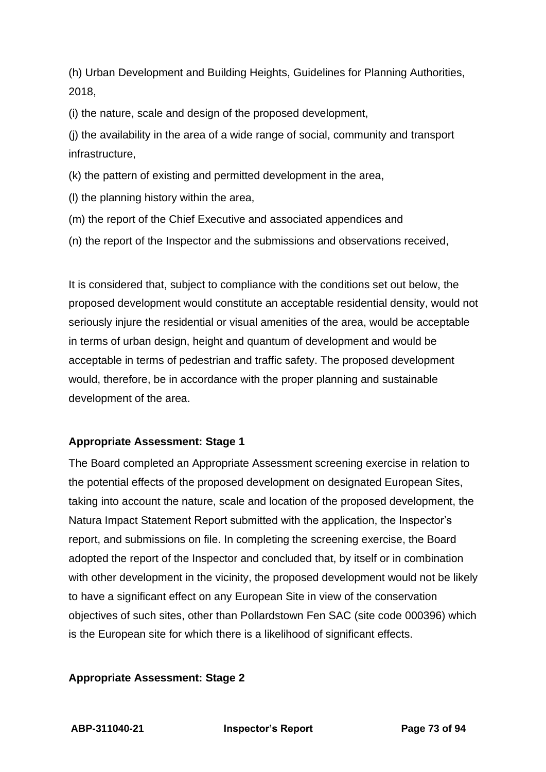(h) Urban Development and Building Heights, Guidelines for Planning Authorities, 2018,

(i) the nature, scale and design of the proposed development,

(j) the availability in the area of a wide range of social, community and transport infrastructure,

(k) the pattern of existing and permitted development in the area,

(l) the planning history within the area,

(m) the report of the Chief Executive and associated appendices and

(n) the report of the Inspector and the submissions and observations received,

It is considered that, subject to compliance with the conditions set out below, the proposed development would constitute an acceptable residential density, would not seriously injure the residential or visual amenities of the area, would be acceptable in terms of urban design, height and quantum of development and would be acceptable in terms of pedestrian and traffic safety. The proposed development would, therefore, be in accordance with the proper planning and sustainable development of the area.

## **Appropriate Assessment: Stage 1**

The Board completed an Appropriate Assessment screening exercise in relation to the potential effects of the proposed development on designated European Sites, taking into account the nature, scale and location of the proposed development, the Natura Impact Statement Report submitted with the application, the Inspector's report, and submissions on file. In completing the screening exercise, the Board adopted the report of the Inspector and concluded that, by itself or in combination with other development in the vicinity, the proposed development would not be likely to have a significant effect on any European Site in view of the conservation objectives of such sites, other than Pollardstown Fen SAC (site code 000396) which is the European site for which there is a likelihood of significant effects.

#### **Appropriate Assessment: Stage 2**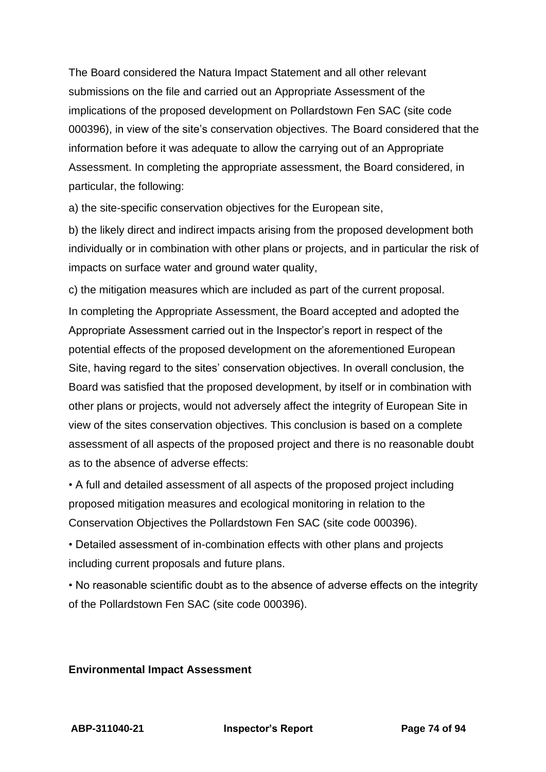The Board considered the Natura Impact Statement and all other relevant submissions on the file and carried out an Appropriate Assessment of the implications of the proposed development on Pollardstown Fen SAC (site code 000396), in view of the site's conservation objectives. The Board considered that the information before it was adequate to allow the carrying out of an Appropriate Assessment. In completing the appropriate assessment, the Board considered, in particular, the following:

a) the site-specific conservation objectives for the European site,

b) the likely direct and indirect impacts arising from the proposed development both individually or in combination with other plans or projects, and in particular the risk of impacts on surface water and ground water quality,

c) the mitigation measures which are included as part of the current proposal. In completing the Appropriate Assessment, the Board accepted and adopted the Appropriate Assessment carried out in the Inspector's report in respect of the potential effects of the proposed development on the aforementioned European Site, having regard to the sites' conservation objectives. In overall conclusion, the Board was satisfied that the proposed development, by itself or in combination with other plans or projects, would not adversely affect the integrity of European Site in view of the sites conservation objectives. This conclusion is based on a complete assessment of all aspects of the proposed project and there is no reasonable doubt as to the absence of adverse effects:

• A full and detailed assessment of all aspects of the proposed project including proposed mitigation measures and ecological monitoring in relation to the Conservation Objectives the Pollardstown Fen SAC (site code 000396).

• Detailed assessment of in-combination effects with other plans and projects including current proposals and future plans.

• No reasonable scientific doubt as to the absence of adverse effects on the integrity of the Pollardstown Fen SAC (site code 000396).

#### **Environmental Impact Assessment**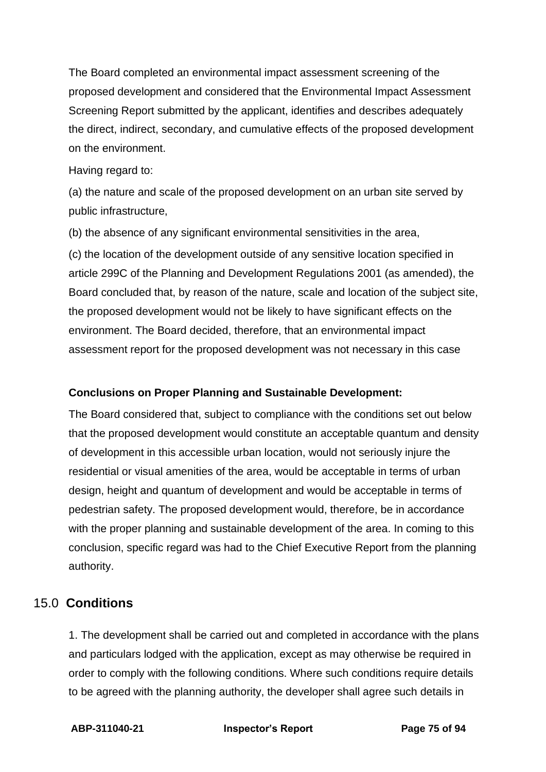The Board completed an environmental impact assessment screening of the proposed development and considered that the Environmental Impact Assessment Screening Report submitted by the applicant, identifies and describes adequately the direct, indirect, secondary, and cumulative effects of the proposed development on the environment.

#### Having regard to:

(a) the nature and scale of the proposed development on an urban site served by public infrastructure,

(b) the absence of any significant environmental sensitivities in the area,

(c) the location of the development outside of any sensitive location specified in article 299C of the Planning and Development Regulations 2001 (as amended), the Board concluded that, by reason of the nature, scale and location of the subject site, the proposed development would not be likely to have significant effects on the environment. The Board decided, therefore, that an environmental impact assessment report for the proposed development was not necessary in this case

## **Conclusions on Proper Planning and Sustainable Development:**

The Board considered that, subject to compliance with the conditions set out below that the proposed development would constitute an acceptable quantum and density of development in this accessible urban location, would not seriously injure the residential or visual amenities of the area, would be acceptable in terms of urban design, height and quantum of development and would be acceptable in terms of pedestrian safety. The proposed development would, therefore, be in accordance with the proper planning and sustainable development of the area. In coming to this conclusion, specific regard was had to the Chief Executive Report from the planning authority.

# 15.0 **Conditions**

1. The development shall be carried out and completed in accordance with the plans and particulars lodged with the application, except as may otherwise be required in order to comply with the following conditions. Where such conditions require details to be agreed with the planning authority, the developer shall agree such details in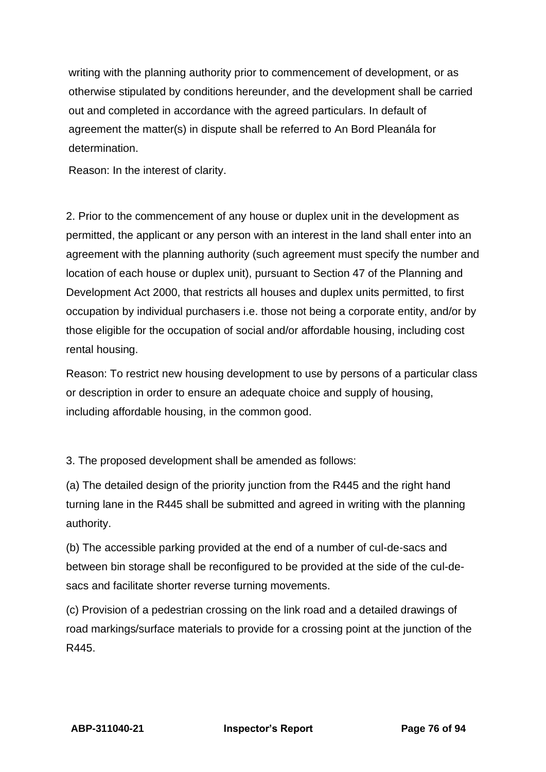writing with the planning authority prior to commencement of development, or as otherwise stipulated by conditions hereunder, and the development shall be carried out and completed in accordance with the agreed particulars. In default of agreement the matter(s) in dispute shall be referred to An Bord Pleanála for determination.

Reason: In the interest of clarity.

2. Prior to the commencement of any house or duplex unit in the development as permitted, the applicant or any person with an interest in the land shall enter into an agreement with the planning authority (such agreement must specify the number and location of each house or duplex unit), pursuant to Section 47 of the Planning and Development Act 2000, that restricts all houses and duplex units permitted, to first occupation by individual purchasers i.e. those not being a corporate entity, and/or by those eligible for the occupation of social and/or affordable housing, including cost rental housing.

Reason: To restrict new housing development to use by persons of a particular class or description in order to ensure an adequate choice and supply of housing, including affordable housing, in the common good.

3. The proposed development shall be amended as follows:

(a) The detailed design of the priority junction from the R445 and the right hand turning lane in the R445 shall be submitted and agreed in writing with the planning authority.

(b) The accessible parking provided at the end of a number of cul-de-sacs and between bin storage shall be reconfigured to be provided at the side of the cul-desacs and facilitate shorter reverse turning movements.

(c) Provision of a pedestrian crossing on the link road and a detailed drawings of road markings/surface materials to provide for a crossing point at the junction of the R445.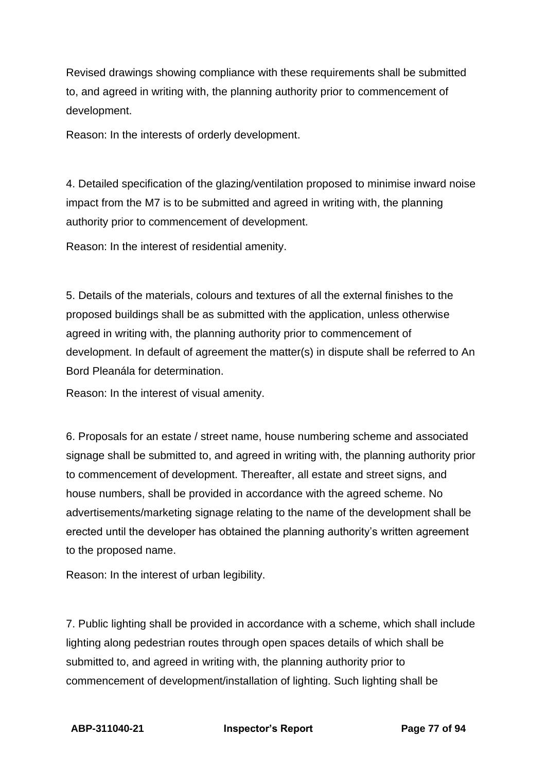Revised drawings showing compliance with these requirements shall be submitted to, and agreed in writing with, the planning authority prior to commencement of development.

Reason: In the interests of orderly development.

4. Detailed specification of the glazing/ventilation proposed to minimise inward noise impact from the M7 is to be submitted and agreed in writing with, the planning authority prior to commencement of development.

Reason: In the interest of residential amenity.

5. Details of the materials, colours and textures of all the external finishes to the proposed buildings shall be as submitted with the application, unless otherwise agreed in writing with, the planning authority prior to commencement of development. In default of agreement the matter(s) in dispute shall be referred to An Bord Pleanála for determination.

Reason: In the interest of visual amenity.

6. Proposals for an estate / street name, house numbering scheme and associated signage shall be submitted to, and agreed in writing with, the planning authority prior to commencement of development. Thereafter, all estate and street signs, and house numbers, shall be provided in accordance with the agreed scheme. No advertisements/marketing signage relating to the name of the development shall be erected until the developer has obtained the planning authority's written agreement to the proposed name.

Reason: In the interest of urban legibility.

7. Public lighting shall be provided in accordance with a scheme, which shall include lighting along pedestrian routes through open spaces details of which shall be submitted to, and agreed in writing with, the planning authority prior to commencement of development/installation of lighting. Such lighting shall be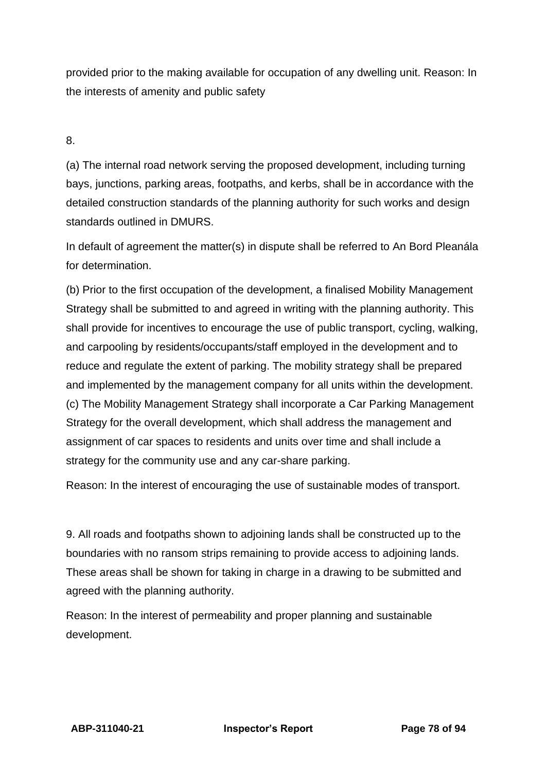provided prior to the making available for occupation of any dwelling unit. Reason: In the interests of amenity and public safety

8.

(a) The internal road network serving the proposed development, including turning bays, junctions, parking areas, footpaths, and kerbs, shall be in accordance with the detailed construction standards of the planning authority for such works and design standards outlined in DMURS.

In default of agreement the matter(s) in dispute shall be referred to An Bord Pleanála for determination.

(b) Prior to the first occupation of the development, a finalised Mobility Management Strategy shall be submitted to and agreed in writing with the planning authority. This shall provide for incentives to encourage the use of public transport, cycling, walking, and carpooling by residents/occupants/staff employed in the development and to reduce and regulate the extent of parking. The mobility strategy shall be prepared and implemented by the management company for all units within the development. (c) The Mobility Management Strategy shall incorporate a Car Parking Management Strategy for the overall development, which shall address the management and assignment of car spaces to residents and units over time and shall include a strategy for the community use and any car-share parking.

Reason: In the interest of encouraging the use of sustainable modes of transport.

9. All roads and footpaths shown to adjoining lands shall be constructed up to the boundaries with no ransom strips remaining to provide access to adjoining lands. These areas shall be shown for taking in charge in a drawing to be submitted and agreed with the planning authority.

Reason: In the interest of permeability and proper planning and sustainable development.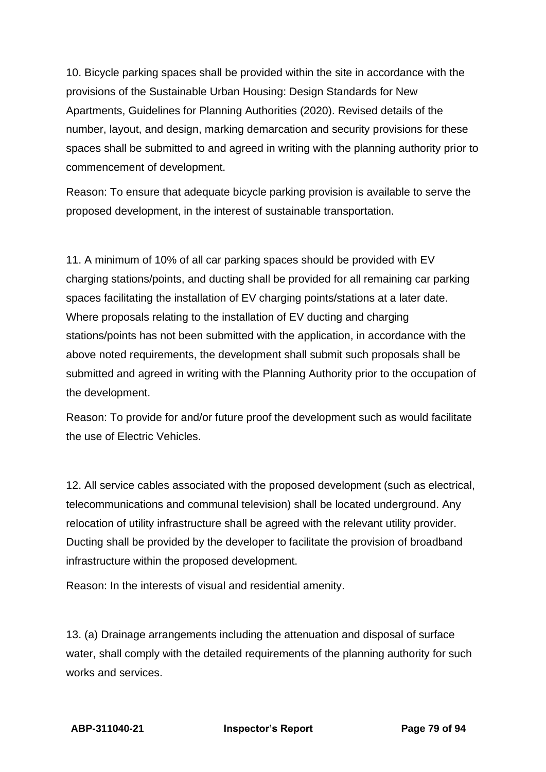10. Bicycle parking spaces shall be provided within the site in accordance with the provisions of the Sustainable Urban Housing: Design Standards for New Apartments, Guidelines for Planning Authorities (2020). Revised details of the number, layout, and design, marking demarcation and security provisions for these spaces shall be submitted to and agreed in writing with the planning authority prior to commencement of development.

Reason: To ensure that adequate bicycle parking provision is available to serve the proposed development, in the interest of sustainable transportation.

11. A minimum of 10% of all car parking spaces should be provided with EV charging stations/points, and ducting shall be provided for all remaining car parking spaces facilitating the installation of EV charging points/stations at a later date. Where proposals relating to the installation of EV ducting and charging stations/points has not been submitted with the application, in accordance with the above noted requirements, the development shall submit such proposals shall be submitted and agreed in writing with the Planning Authority prior to the occupation of the development.

Reason: To provide for and/or future proof the development such as would facilitate the use of Electric Vehicles.

12. All service cables associated with the proposed development (such as electrical, telecommunications and communal television) shall be located underground. Any relocation of utility infrastructure shall be agreed with the relevant utility provider. Ducting shall be provided by the developer to facilitate the provision of broadband infrastructure within the proposed development.

Reason: In the interests of visual and residential amenity.

13. (a) Drainage arrangements including the attenuation and disposal of surface water, shall comply with the detailed requirements of the planning authority for such works and services.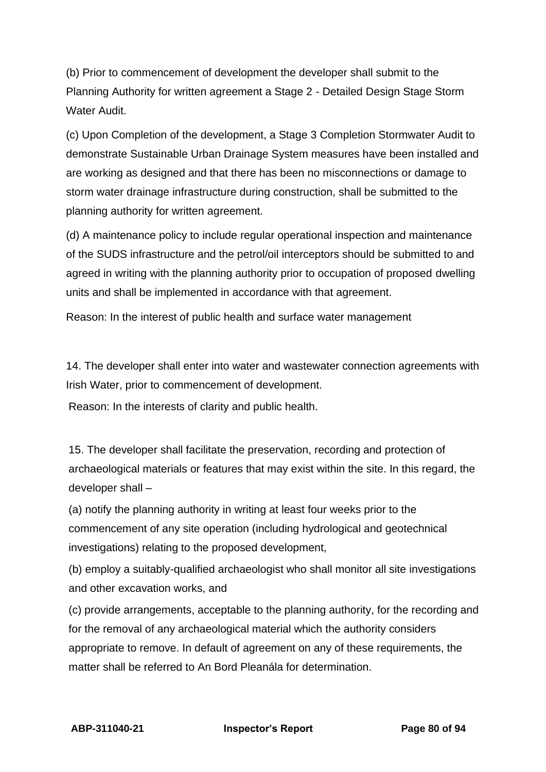(b) Prior to commencement of development the developer shall submit to the Planning Authority for written agreement a Stage 2 - Detailed Design Stage Storm Water Audit

(c) Upon Completion of the development, a Stage 3 Completion Stormwater Audit to demonstrate Sustainable Urban Drainage System measures have been installed and are working as designed and that there has been no misconnections or damage to storm water drainage infrastructure during construction, shall be submitted to the planning authority for written agreement.

(d) A maintenance policy to include regular operational inspection and maintenance of the SUDS infrastructure and the petrol/oil interceptors should be submitted to and agreed in writing with the planning authority prior to occupation of proposed dwelling units and shall be implemented in accordance with that agreement.

Reason: In the interest of public health and surface water management

14. The developer shall enter into water and wastewater connection agreements with Irish Water, prior to commencement of development.

Reason: In the interests of clarity and public health.

15. The developer shall facilitate the preservation, recording and protection of archaeological materials or features that may exist within the site. In this regard, the developer shall –

(a) notify the planning authority in writing at least four weeks prior to the commencement of any site operation (including hydrological and geotechnical investigations) relating to the proposed development,

(b) employ a suitably-qualified archaeologist who shall monitor all site investigations and other excavation works, and

(c) provide arrangements, acceptable to the planning authority, for the recording and for the removal of any archaeological material which the authority considers appropriate to remove. In default of agreement on any of these requirements, the matter shall be referred to An Bord Pleanála for determination.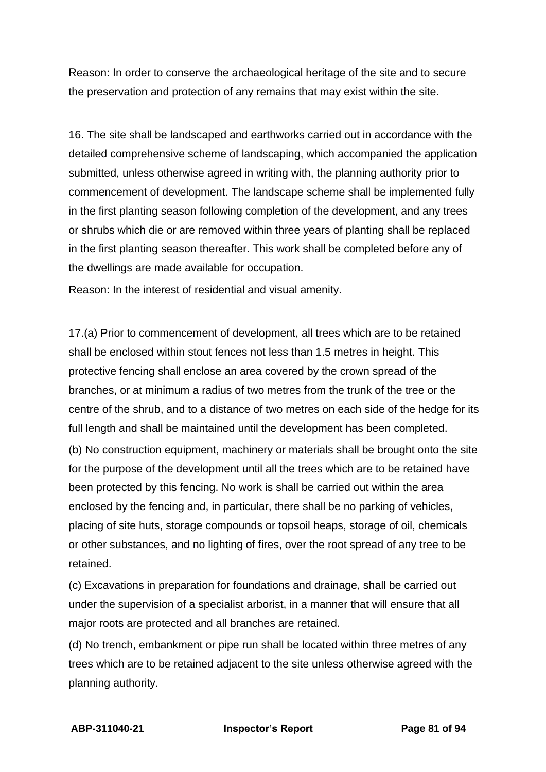Reason: In order to conserve the archaeological heritage of the site and to secure the preservation and protection of any remains that may exist within the site.

16. The site shall be landscaped and earthworks carried out in accordance with the detailed comprehensive scheme of landscaping, which accompanied the application submitted, unless otherwise agreed in writing with, the planning authority prior to commencement of development. The landscape scheme shall be implemented fully in the first planting season following completion of the development, and any trees or shrubs which die or are removed within three years of planting shall be replaced in the first planting season thereafter. This work shall be completed before any of the dwellings are made available for occupation.

Reason: In the interest of residential and visual amenity.

17.(a) Prior to commencement of development, all trees which are to be retained shall be enclosed within stout fences not less than 1.5 metres in height. This protective fencing shall enclose an area covered by the crown spread of the branches, or at minimum a radius of two metres from the trunk of the tree or the centre of the shrub, and to a distance of two metres on each side of the hedge for its full length and shall be maintained until the development has been completed.

(b) No construction equipment, machinery or materials shall be brought onto the site for the purpose of the development until all the trees which are to be retained have been protected by this fencing. No work is shall be carried out within the area enclosed by the fencing and, in particular, there shall be no parking of vehicles, placing of site huts, storage compounds or topsoil heaps, storage of oil, chemicals or other substances, and no lighting of fires, over the root spread of any tree to be retained.

(c) Excavations in preparation for foundations and drainage, shall be carried out under the supervision of a specialist arborist, in a manner that will ensure that all major roots are protected and all branches are retained.

(d) No trench, embankment or pipe run shall be located within three metres of any trees which are to be retained adjacent to the site unless otherwise agreed with the planning authority.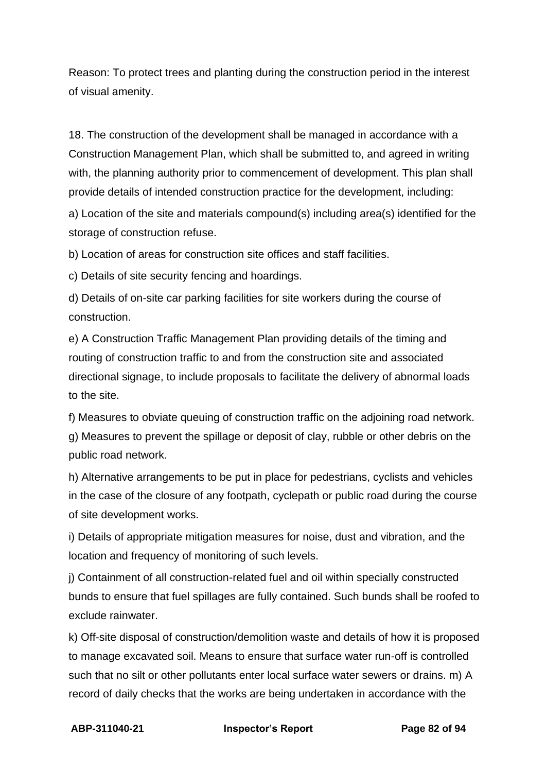Reason: To protect trees and planting during the construction period in the interest of visual amenity.

18. The construction of the development shall be managed in accordance with a Construction Management Plan, which shall be submitted to, and agreed in writing with, the planning authority prior to commencement of development. This plan shall provide details of intended construction practice for the development, including: a) Location of the site and materials compound(s) including area(s) identified for the storage of construction refuse.

b) Location of areas for construction site offices and staff facilities.

c) Details of site security fencing and hoardings.

d) Details of on-site car parking facilities for site workers during the course of construction.

e) A Construction Traffic Management Plan providing details of the timing and routing of construction traffic to and from the construction site and associated directional signage, to include proposals to facilitate the delivery of abnormal loads to the site.

f) Measures to obviate queuing of construction traffic on the adjoining road network. g) Measures to prevent the spillage or deposit of clay, rubble or other debris on the public road network.

h) Alternative arrangements to be put in place for pedestrians, cyclists and vehicles in the case of the closure of any footpath, cyclepath or public road during the course of site development works.

i) Details of appropriate mitigation measures for noise, dust and vibration, and the location and frequency of monitoring of such levels.

j) Containment of all construction-related fuel and oil within specially constructed bunds to ensure that fuel spillages are fully contained. Such bunds shall be roofed to exclude rainwater.

k) Off-site disposal of construction/demolition waste and details of how it is proposed to manage excavated soil. Means to ensure that surface water run-off is controlled such that no silt or other pollutants enter local surface water sewers or drains. m) A record of daily checks that the works are being undertaken in accordance with the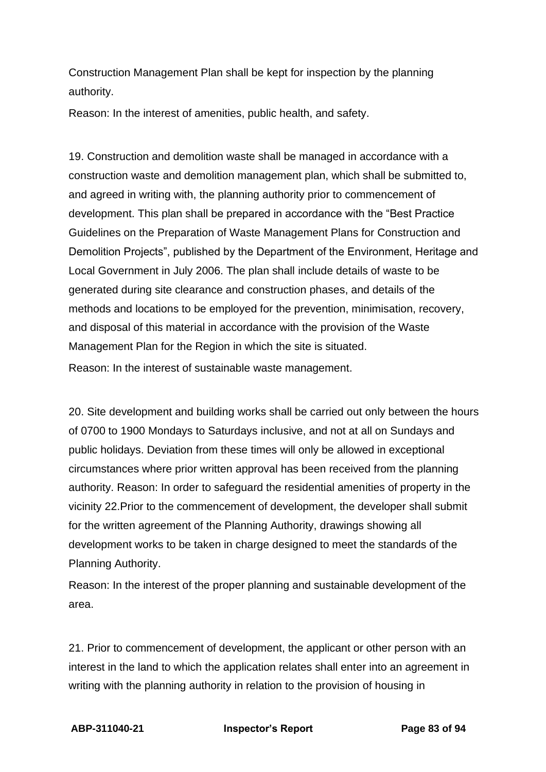Construction Management Plan shall be kept for inspection by the planning authority.

Reason: In the interest of amenities, public health, and safety.

19. Construction and demolition waste shall be managed in accordance with a construction waste and demolition management plan, which shall be submitted to, and agreed in writing with, the planning authority prior to commencement of development. This plan shall be prepared in accordance with the "Best Practice Guidelines on the Preparation of Waste Management Plans for Construction and Demolition Projects", published by the Department of the Environment, Heritage and Local Government in July 2006. The plan shall include details of waste to be generated during site clearance and construction phases, and details of the methods and locations to be employed for the prevention, minimisation, recovery, and disposal of this material in accordance with the provision of the Waste Management Plan for the Region in which the site is situated. Reason: In the interest of sustainable waste management.

20. Site development and building works shall be carried out only between the hours of 0700 to 1900 Mondays to Saturdays inclusive, and not at all on Sundays and public holidays. Deviation from these times will only be allowed in exceptional circumstances where prior written approval has been received from the planning authority. Reason: In order to safeguard the residential amenities of property in the vicinity 22.Prior to the commencement of development, the developer shall submit for the written agreement of the Planning Authority, drawings showing all development works to be taken in charge designed to meet the standards of the Planning Authority.

Reason: In the interest of the proper planning and sustainable development of the area.

21. Prior to commencement of development, the applicant or other person with an interest in the land to which the application relates shall enter into an agreement in writing with the planning authority in relation to the provision of housing in

**ABP-311040-21 Inspector's Report Page 83 of 94**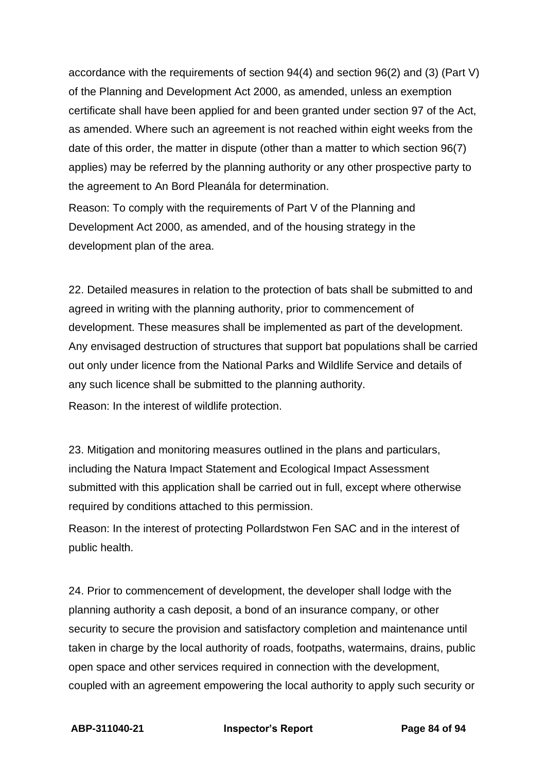accordance with the requirements of section 94(4) and section 96(2) and (3) (Part V) of the Planning and Development Act 2000, as amended, unless an exemption certificate shall have been applied for and been granted under section 97 of the Act, as amended. Where such an agreement is not reached within eight weeks from the date of this order, the matter in dispute (other than a matter to which section 96(7) applies) may be referred by the planning authority or any other prospective party to the agreement to An Bord Pleanála for determination.

Reason: To comply with the requirements of Part V of the Planning and Development Act 2000, as amended, and of the housing strategy in the development plan of the area.

22. Detailed measures in relation to the protection of bats shall be submitted to and agreed in writing with the planning authority, prior to commencement of development. These measures shall be implemented as part of the development. Any envisaged destruction of structures that support bat populations shall be carried out only under licence from the National Parks and Wildlife Service and details of any such licence shall be submitted to the planning authority. Reason: In the interest of wildlife protection.

23. Mitigation and monitoring measures outlined in the plans and particulars, including the Natura Impact Statement and Ecological Impact Assessment submitted with this application shall be carried out in full, except where otherwise required by conditions attached to this permission.

Reason: In the interest of protecting Pollardstwon Fen SAC and in the interest of public health.

24. Prior to commencement of development, the developer shall lodge with the planning authority a cash deposit, a bond of an insurance company, or other security to secure the provision and satisfactory completion and maintenance until taken in charge by the local authority of roads, footpaths, watermains, drains, public open space and other services required in connection with the development, coupled with an agreement empowering the local authority to apply such security or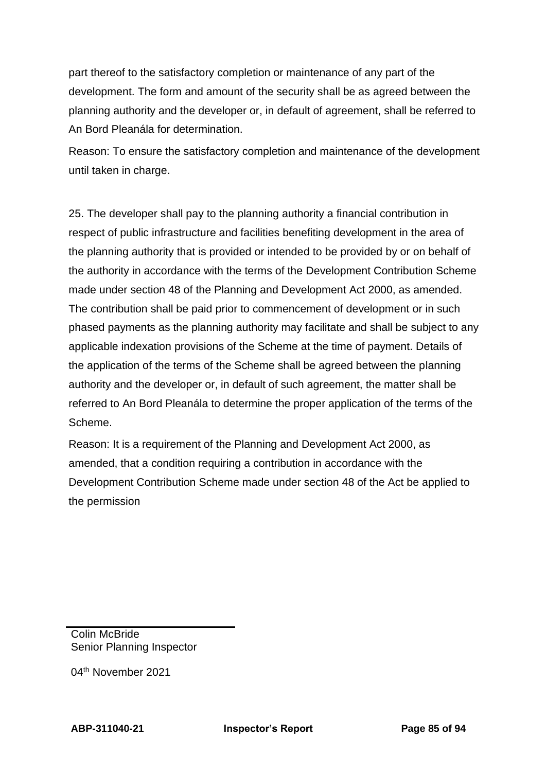part thereof to the satisfactory completion or maintenance of any part of the development. The form and amount of the security shall be as agreed between the planning authority and the developer or, in default of agreement, shall be referred to An Bord Pleanála for determination.

Reason: To ensure the satisfactory completion and maintenance of the development until taken in charge.

25. The developer shall pay to the planning authority a financial contribution in respect of public infrastructure and facilities benefiting development in the area of the planning authority that is provided or intended to be provided by or on behalf of the authority in accordance with the terms of the Development Contribution Scheme made under section 48 of the Planning and Development Act 2000, as amended. The contribution shall be paid prior to commencement of development or in such phased payments as the planning authority may facilitate and shall be subject to any applicable indexation provisions of the Scheme at the time of payment. Details of the application of the terms of the Scheme shall be agreed between the planning authority and the developer or, in default of such agreement, the matter shall be referred to An Bord Pleanála to determine the proper application of the terms of the Scheme.

Reason: It is a requirement of the Planning and Development Act 2000, as amended, that a condition requiring a contribution in accordance with the Development Contribution Scheme made under section 48 of the Act be applied to the permission

Colin McBride Senior Planning Inspector

04th November 2021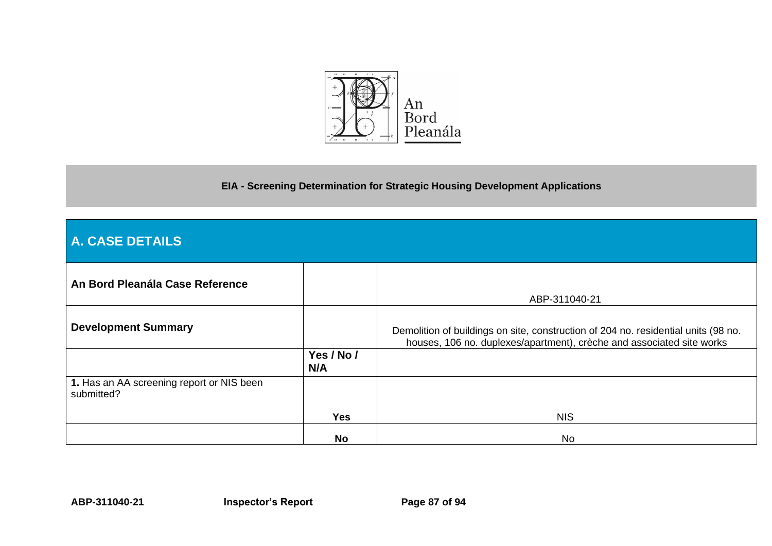

**EIA - Screening Determination for Strategic Housing Development Applications**

| A. CASE DETAILS                                         |                   |                                                                                                                                                             |
|---------------------------------------------------------|-------------------|-------------------------------------------------------------------------------------------------------------------------------------------------------------|
| An Bord Pleanála Case Reference                         |                   | ABP-311040-21                                                                                                                                               |
| <b>Development Summary</b>                              |                   | Demolition of buildings on site, construction of 204 no. residential units (98 no.<br>houses, 106 no. duplexes/apartment), crèche and associated site works |
|                                                         | Yes / No /<br>N/A |                                                                                                                                                             |
| 1. Has an AA screening report or NIS been<br>submitted? |                   |                                                                                                                                                             |
|                                                         | <b>Yes</b>        | <b>NIS</b>                                                                                                                                                  |
|                                                         | No                | No                                                                                                                                                          |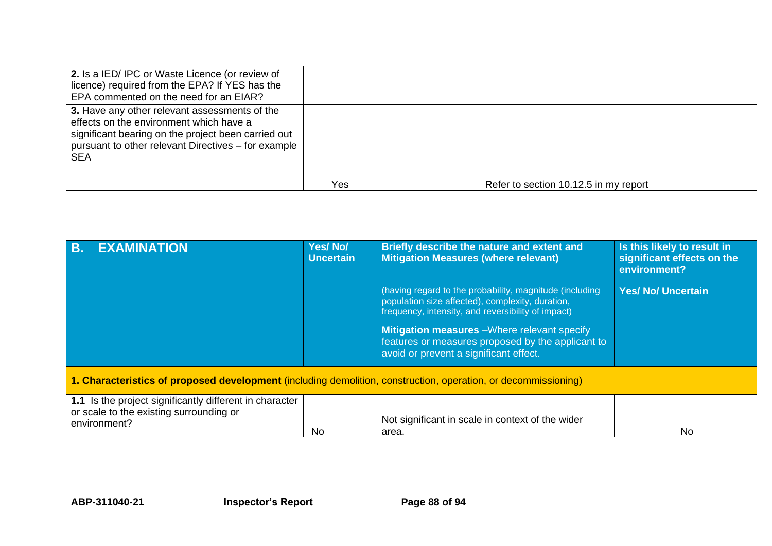| 2. Is a IED/ IPC or Waste Licence (or review of<br>licence) required from the EPA? If YES has the<br>EPA commented on the need for an EIAR?                                                                          |     |                                       |
|----------------------------------------------------------------------------------------------------------------------------------------------------------------------------------------------------------------------|-----|---------------------------------------|
| 3. Have any other relevant assessments of the<br>effects on the environment which have a<br>significant bearing on the project been carried out<br>pursuant to other relevant Directives – for example<br><b>SEA</b> |     |                                       |
|                                                                                                                                                                                                                      | Yes | Refer to section 10.12.5 in my report |

| <b>B.</b><br><b>EXAMINATION</b>                                                                                    | <b>Yes/No/</b><br><b>Uncertain</b> | Briefly describe the nature and extent and<br><b>Mitigation Measures (where relevant)</b>                                                                                                                                                                                                                               | Is this likely to result in<br>significant effects on the<br>environment? |  |
|--------------------------------------------------------------------------------------------------------------------|------------------------------------|-------------------------------------------------------------------------------------------------------------------------------------------------------------------------------------------------------------------------------------------------------------------------------------------------------------------------|---------------------------------------------------------------------------|--|
|                                                                                                                    |                                    | (having regard to the probability, magnitude (including<br>population size affected), complexity, duration,<br>frequency, intensity, and reversibility of impact)<br><b>Mitigation measures</b> - Where relevant specify<br>features or measures proposed by the applicant to<br>avoid or prevent a significant effect. | <b>Yes/ No/ Uncertain</b>                                                 |  |
| 1. Characteristics of proposed development (including demolition, construction, operation, or decommissioning)     |                                    |                                                                                                                                                                                                                                                                                                                         |                                                                           |  |
| 1.1 Is the project significantly different in character<br>or scale to the existing surrounding or<br>environment? | No                                 | Not significant in scale in context of the wider<br>area.                                                                                                                                                                                                                                                               | N <sub>0</sub>                                                            |  |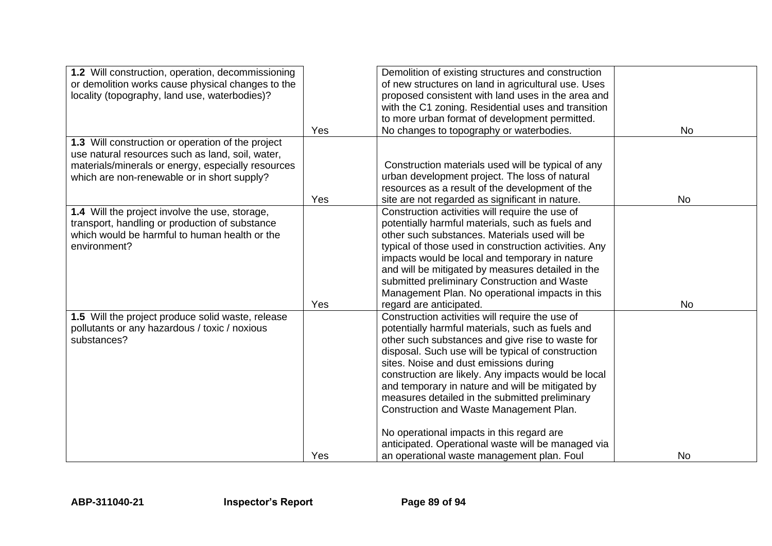| 1.2 Will construction, operation, decommissioning<br>or demolition works cause physical changes to the<br>locality (topography, land use, waterbodies)? |     | Demolition of existing structures and construction<br>of new structures on land in agricultural use. Uses<br>proposed consistent with land uses in the area and |           |
|---------------------------------------------------------------------------------------------------------------------------------------------------------|-----|-----------------------------------------------------------------------------------------------------------------------------------------------------------------|-----------|
|                                                                                                                                                         |     | with the C1 zoning. Residential uses and transition                                                                                                             |           |
|                                                                                                                                                         |     | to more urban format of development permitted.                                                                                                                  |           |
|                                                                                                                                                         | Yes | No changes to topography or waterbodies.                                                                                                                        | No        |
| 1.3 Will construction or operation of the project                                                                                                       |     |                                                                                                                                                                 |           |
| use natural resources such as land, soil, water,                                                                                                        |     |                                                                                                                                                                 |           |
| materials/minerals or energy, especially resources                                                                                                      |     | Construction materials used will be typical of any                                                                                                              |           |
| which are non-renewable or in short supply?                                                                                                             |     | urban development project. The loss of natural                                                                                                                  |           |
|                                                                                                                                                         |     | resources as a result of the development of the                                                                                                                 |           |
|                                                                                                                                                         | Yes | site are not regarded as significant in nature.                                                                                                                 | <b>No</b> |
| 1.4 Will the project involve the use, storage,                                                                                                          |     | Construction activities will require the use of                                                                                                                 |           |
| transport, handling or production of substance                                                                                                          |     | potentially harmful materials, such as fuels and                                                                                                                |           |
| which would be harmful to human health or the                                                                                                           |     | other such substances. Materials used will be                                                                                                                   |           |
| environment?                                                                                                                                            |     | typical of those used in construction activities. Any                                                                                                           |           |
|                                                                                                                                                         |     | impacts would be local and temporary in nature                                                                                                                  |           |
|                                                                                                                                                         |     | and will be mitigated by measures detailed in the                                                                                                               |           |
|                                                                                                                                                         |     | submitted preliminary Construction and Waste                                                                                                                    |           |
|                                                                                                                                                         | Yes | Management Plan. No operational impacts in this<br>regard are anticipated.                                                                                      | No        |
| 1.5 Will the project produce solid waste, release                                                                                                       |     | Construction activities will require the use of                                                                                                                 |           |
| pollutants or any hazardous / toxic / noxious                                                                                                           |     | potentially harmful materials, such as fuels and                                                                                                                |           |
| substances?                                                                                                                                             |     | other such substances and give rise to waste for                                                                                                                |           |
|                                                                                                                                                         |     | disposal. Such use will be typical of construction                                                                                                              |           |
|                                                                                                                                                         |     | sites. Noise and dust emissions during                                                                                                                          |           |
|                                                                                                                                                         |     | construction are likely. Any impacts would be local                                                                                                             |           |
|                                                                                                                                                         |     | and temporary in nature and will be mitigated by                                                                                                                |           |
|                                                                                                                                                         |     | measures detailed in the submitted preliminary                                                                                                                  |           |
|                                                                                                                                                         |     | Construction and Waste Management Plan.                                                                                                                         |           |
|                                                                                                                                                         |     | No operational impacts in this regard are                                                                                                                       |           |
|                                                                                                                                                         |     | anticipated. Operational waste will be managed via                                                                                                              |           |
|                                                                                                                                                         | Yes | an operational waste management plan. Foul                                                                                                                      | <b>No</b> |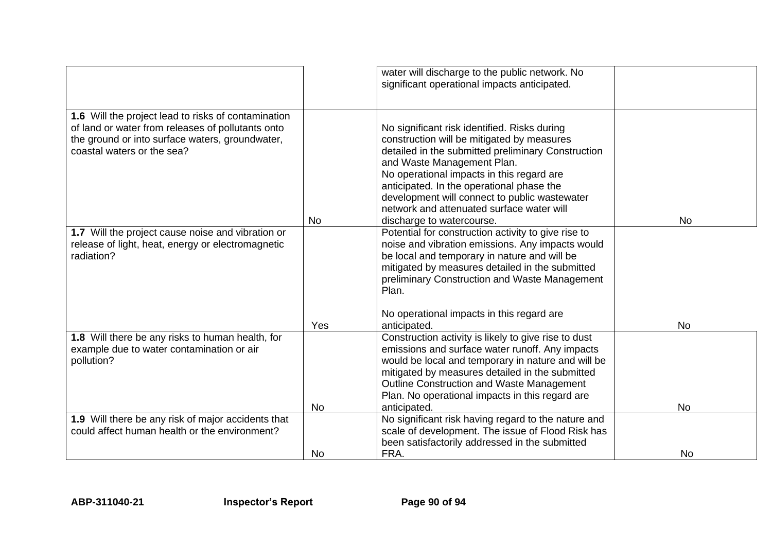|                                                                                                        |           | water will discharge to the public network. No                                                          |           |
|--------------------------------------------------------------------------------------------------------|-----------|---------------------------------------------------------------------------------------------------------|-----------|
|                                                                                                        |           | significant operational impacts anticipated.                                                            |           |
|                                                                                                        |           |                                                                                                         |           |
| 1.6 Will the project lead to risks of contamination                                                    |           |                                                                                                         |           |
| of land or water from releases of pollutants onto                                                      |           | No significant risk identified. Risks during                                                            |           |
| the ground or into surface waters, groundwater,                                                        |           | construction will be mitigated by measures                                                              |           |
| coastal waters or the sea?                                                                             |           | detailed in the submitted preliminary Construction                                                      |           |
|                                                                                                        |           | and Waste Management Plan.                                                                              |           |
|                                                                                                        |           | No operational impacts in this regard are                                                               |           |
|                                                                                                        |           | anticipated. In the operational phase the                                                               |           |
|                                                                                                        |           | development will connect to public wastewater                                                           |           |
|                                                                                                        |           | network and attenuated surface water will                                                               |           |
|                                                                                                        | No.       | discharge to watercourse.                                                                               | <b>No</b> |
| 1.7 Will the project cause noise and vibration or<br>release of light, heat, energy or electromagnetic |           | Potential for construction activity to give rise to<br>noise and vibration emissions. Any impacts would |           |
| radiation?                                                                                             |           | be local and temporary in nature and will be                                                            |           |
|                                                                                                        |           | mitigated by measures detailed in the submitted                                                         |           |
|                                                                                                        |           | preliminary Construction and Waste Management                                                           |           |
|                                                                                                        |           | Plan.                                                                                                   |           |
|                                                                                                        |           |                                                                                                         |           |
|                                                                                                        |           | No operational impacts in this regard are                                                               |           |
|                                                                                                        | Yes       | anticipated.                                                                                            | <b>No</b> |
| 1.8 Will there be any risks to human health, for                                                       |           | Construction activity is likely to give rise to dust                                                    |           |
| example due to water contamination or air                                                              |           | emissions and surface water runoff. Any impacts                                                         |           |
| pollution?                                                                                             |           | would be local and temporary in nature and will be                                                      |           |
|                                                                                                        |           | mitigated by measures detailed in the submitted                                                         |           |
|                                                                                                        |           | <b>Outline Construction and Waste Management</b><br>Plan. No operational impacts in this regard are     |           |
|                                                                                                        | <b>No</b> | anticipated.                                                                                            | <b>No</b> |
| 1.9 Will there be any risk of major accidents that                                                     |           | No significant risk having regard to the nature and                                                     |           |
| could affect human health or the environment?                                                          |           | scale of development. The issue of Flood Risk has                                                       |           |
|                                                                                                        |           | been satisfactorily addressed in the submitted                                                          |           |
|                                                                                                        | <b>No</b> | FRA.                                                                                                    | <b>No</b> |
|                                                                                                        |           |                                                                                                         |           |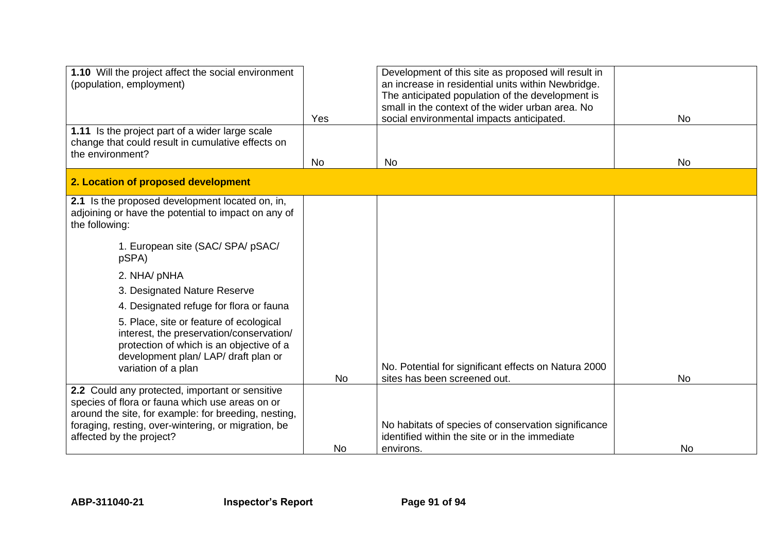| 1.10 Will the project affect the social environment<br>(population, employment)                                                                                                                                                                                                                                                                                                                                                                                     | Yes       | Development of this site as proposed will result in<br>an increase in residential units within Newbridge.<br>The anticipated population of the development is<br>small in the context of the wider urban area. No<br>social environmental impacts anticipated. | <b>No</b> |
|---------------------------------------------------------------------------------------------------------------------------------------------------------------------------------------------------------------------------------------------------------------------------------------------------------------------------------------------------------------------------------------------------------------------------------------------------------------------|-----------|----------------------------------------------------------------------------------------------------------------------------------------------------------------------------------------------------------------------------------------------------------------|-----------|
| 1.11 Is the project part of a wider large scale<br>change that could result in cumulative effects on<br>the environment?                                                                                                                                                                                                                                                                                                                                            | <b>No</b> | <b>No</b>                                                                                                                                                                                                                                                      | <b>No</b> |
| 2. Location of proposed development                                                                                                                                                                                                                                                                                                                                                                                                                                 |           |                                                                                                                                                                                                                                                                |           |
| 2.1 Is the proposed development located on, in,<br>adjoining or have the potential to impact on any of<br>the following:<br>1. European site (SAC/ SPA/ pSAC/<br>pSPA)<br>2. NHA/ pNHA<br>3. Designated Nature Reserve<br>4. Designated refuge for flora or fauna<br>5. Place, site or feature of ecological<br>interest, the preservation/conservation/<br>protection of which is an objective of a<br>development plan/ LAP/ draft plan or<br>variation of a plan |           | No. Potential for significant effects on Natura 2000                                                                                                                                                                                                           |           |
|                                                                                                                                                                                                                                                                                                                                                                                                                                                                     | <b>No</b> | sites has been screened out.                                                                                                                                                                                                                                   | <b>No</b> |
| 2.2 Could any protected, important or sensitive<br>species of flora or fauna which use areas on or<br>around the site, for example: for breeding, nesting,<br>foraging, resting, over-wintering, or migration, be<br>affected by the project?                                                                                                                                                                                                                       | No        | No habitats of species of conservation significance<br>identified within the site or in the immediate<br>environs.                                                                                                                                             | <b>No</b> |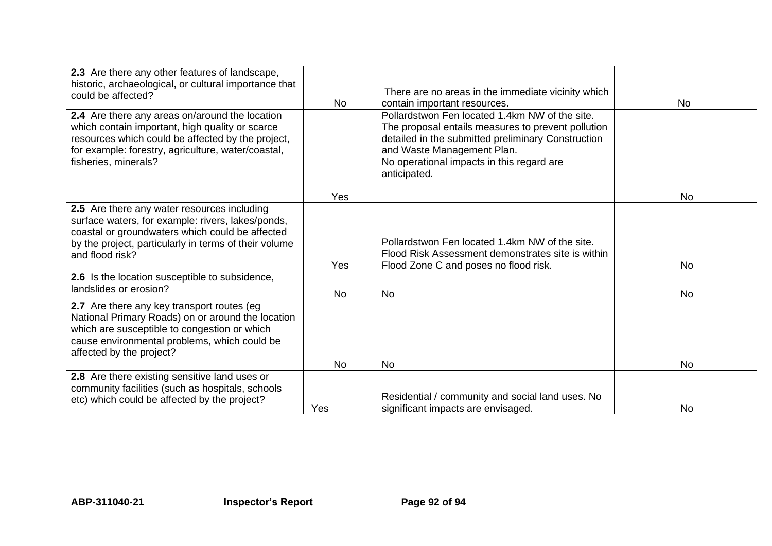| 2.3 Are there any other features of landscape,<br>historic, archaeological, or cultural importance that<br>could be affected?                                                                                                        | No         | There are no areas in the immediate vicinity which<br>contain important resources.                                                                                                                                                                    | <b>No</b> |
|--------------------------------------------------------------------------------------------------------------------------------------------------------------------------------------------------------------------------------------|------------|-------------------------------------------------------------------------------------------------------------------------------------------------------------------------------------------------------------------------------------------------------|-----------|
| 2.4 Are there any areas on/around the location<br>which contain important, high quality or scarce<br>resources which could be affected by the project,<br>for example: forestry, agriculture, water/coastal,<br>fisheries, minerals? |            | Pollardstwon Fen located 1.4km NW of the site.<br>The proposal entails measures to prevent pollution<br>detailed in the submitted preliminary Construction<br>and Waste Management Plan.<br>No operational impacts in this regard are<br>anticipated. |           |
|                                                                                                                                                                                                                                      | <b>Yes</b> |                                                                                                                                                                                                                                                       | <b>No</b> |
| 2.5 Are there any water resources including<br>surface waters, for example: rivers, lakes/ponds,<br>coastal or groundwaters which could be affected<br>by the project, particularly in terms of their volume<br>and flood risk?      | Yes        | Pollardstwon Fen located 1.4km NW of the site.<br>Flood Risk Assessment demonstrates site is within<br>Flood Zone C and poses no flood risk.                                                                                                          | <b>No</b> |
| 2.6 Is the location susceptible to subsidence,<br>landslides or erosion?                                                                                                                                                             | <b>No</b>  | <b>No</b>                                                                                                                                                                                                                                             | <b>No</b> |
| 2.7 Are there any key transport routes (eg)<br>National Primary Roads) on or around the location<br>which are susceptible to congestion or which<br>cause environmental problems, which could be<br>affected by the project?         |            |                                                                                                                                                                                                                                                       |           |
|                                                                                                                                                                                                                                      | <b>No</b>  | <b>No</b>                                                                                                                                                                                                                                             | <b>No</b> |
| 2.8 Are there existing sensitive land uses or<br>community facilities (such as hospitals, schools<br>etc) which could be affected by the project?                                                                                    |            | Residential / community and social land uses. No                                                                                                                                                                                                      |           |
|                                                                                                                                                                                                                                      | Yes        | significant impacts are envisaged.                                                                                                                                                                                                                    | No.       |